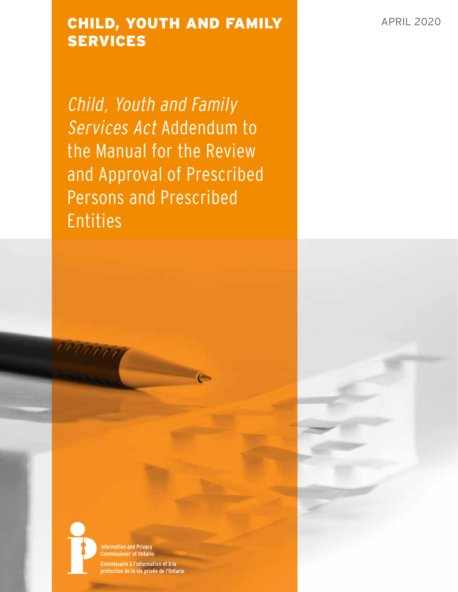# CHILD, YOUTH AND FAMILY APRIL 2020 SERVICES

Child, Youth and Family Services Act Addendum to the Manual for the Review and Approval of Prescribed Persons and Prescribed Entities

1000

**Information and Privacy Commissioner of Ontario** 

Commissaire à l'information et à la protection de la vie privée de l'Ontario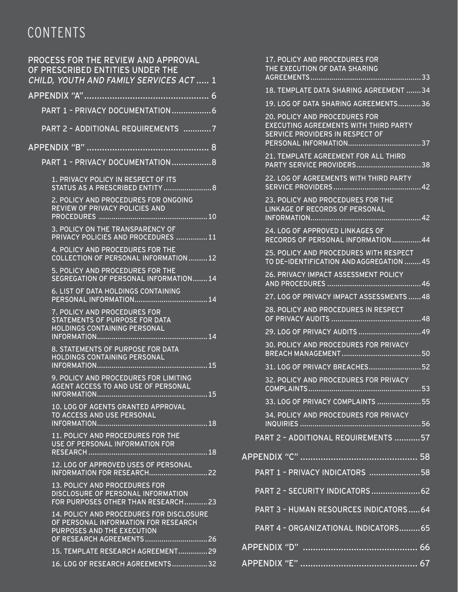# CONTENTS

| PROCESS FOR THE REVIEW AND APPROVAL<br>OF PRESCRIBED ENTITIES UNDER THE<br>CHILD, YOUTH AND FAMILY SERVICES ACT  1                          |
|---------------------------------------------------------------------------------------------------------------------------------------------|
|                                                                                                                                             |
| PART 1 - PRIVACY DOCUMENTATION                                                                                                              |
| PART 2 - ADDITIONAL REQUIREMENTS 7                                                                                                          |
| APPENDIX "B"                                                                                                                                |
| PART 1 - PRIVACY DOCUMENTATION 8                                                                                                            |
| 1. PRIVACY POLICY IN RESPECT OF ITS<br>STATUS AS A PRESCRIBED ENTITY  8                                                                     |
| 2. POLICY AND PROCEDURES FOR ONGOING<br>REVIEW OF PRIVACY POLICIES AND                                                                      |
| 3. POLICY ON THE TRANSPARENCY OF<br>PRIVACY POLICIES AND PROCEDURES 11                                                                      |
| 4. POLICY AND PROCEDURES FOR THE<br><b>COLLECTION OF PERSONAL INFORMATION 12</b>                                                            |
| 5. POLICY AND PROCEDURES FOR THE<br>SEGREGATION OF PERSONAL INFORMATION14                                                                   |
| 6. LIST OF DATA HOLDINGS CONTAINING                                                                                                         |
| 7. POLICY AND PROCEDURES FOR<br>STATEMENTS OF PURPOSE FOR DATA<br>HOLDINGS CONTAINING PERSONAL<br>14                                        |
| 8. STATEMENTS OF PURPOSE FOR DATA<br>HOLDINGS CONTAINING PERSONAL                                                                           |
| 9. POLICY AND PROCEDURES FOR LIMITING<br>AGENT ACCESS TO AND USE OF PERSONAL<br>INFORMATION                                                 |
| 10. LOG OF AGENTS GRANTED APPROVAL<br>TO ACCESS AND USE PERSONAL<br>18                                                                      |
| 11. POLICY AND PROCEDURES FOR THE<br>USE OF PERSONAL INFORMATION FOR<br>$\overline{1,18}$<br>RESEARCH                                       |
| 12. LOG OF APPROVED USES OF PERSONAL                                                                                                        |
| 13. POLICY AND PROCEDURES FOR<br>DISCLOSURE OF PERSONAL INFORMATION<br>FOR PURPOSES OTHER THAN RESEARCH23                                   |
| 14. POLICY AND PROCEDURES FOR DISCLOSURE<br>OF PERSONAL INFORMATION FOR RESEARCH<br>PURPOSES AND THE EXECUTION<br>OF RESEARCH AGREEMENTS 26 |
| 15. TEMPLATE RESEARCH AGREEMENT29                                                                                                           |
| 16. LOG OF RESEARCH AGREEMENTS32                                                                                                            |

| 17. POLICY AND PROCEDURES FOR<br>THE EXECUTION OF DATA SHARING                                                          |  |
|-------------------------------------------------------------------------------------------------------------------------|--|
| 18. TEMPLATE DATA SHARING AGREEMENT 34                                                                                  |  |
| 19. LOG OF DATA SHARING AGREEMENTS36                                                                                    |  |
| <b>20. POLICY AND PROCEDURES FOR</b><br><b>EXECUTING AGREEMENTS WITH THIRD PARTY</b><br>SERVICE PROVIDERS IN RESPECT OF |  |
| 21. TEMPLATE AGREEMENT FOR ALL THIRD                                                                                    |  |
| 22. LOG OF AGREEMENTS WITH THIRD PARTY                                                                                  |  |
| 23. POLICY AND PROCEDURES FOR THE<br>LINKAGE OF RECORDS OF PERSONAL                                                     |  |
| 24. LOG OF APPROVED LINKAGES OF<br>RECORDS OF PERSONAL INFORMATION44                                                    |  |
| 25. POLICY AND PROCEDURES WITH RESPECT<br>TO DE-IDENTIFICATION AND AGGREGATION 45                                       |  |
| <b>26. PRIVACY IMPACT ASSESSMENT POLICY</b>                                                                             |  |
| 27. LOG OF PRIVACY IMPACT ASSESSMENTS  48                                                                               |  |
| 28. POLICY AND PROCEDURES IN RESPECT                                                                                    |  |
| 29. LOG OF PRIVACY AUDITS  49                                                                                           |  |
| 30. POLICY AND PROCEDURES FOR PRIVACY                                                                                   |  |
| 31. LOG OF PRIVACY BREACHES52                                                                                           |  |
| 32. POLICY AND PROCEDURES FOR PRIVACY                                                                                   |  |
| 33. LOG OF PRIVACY COMPLAINTS<br>55                                                                                     |  |
| <b>34. POLICY AND PROCEDURES FOR PRIVACY</b><br>$$ 56<br><b>INQUIRIES</b>                                               |  |
| PART 2 - ADDITIONAL REQUIREMENTS 57                                                                                     |  |
|                                                                                                                         |  |
| PART 1 - PRIVACY INDICATORS 58                                                                                          |  |
| PART 2 - SECURITY INDICATORS62                                                                                          |  |
| PART 3 - HUMAN RESOURCES INDICATORS64                                                                                   |  |
| PART 4 - ORGANIZATIONAL INDICATORS65                                                                                    |  |
|                                                                                                                         |  |
|                                                                                                                         |  |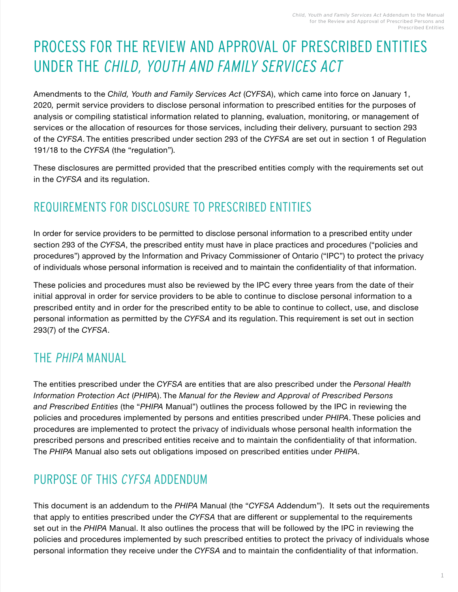# <span id="page-2-0"></span>PROCESS FOR THE REVIEW AND APPROVAL OF PRESCRIBED ENTITIES UNDER THE CHILD, YOUTH AND FAMILY SERVICES ACT

Amendments to the *Child, Youth and Family Services Act* (*CYFSA*), which came into force on January 1, 2020*,* permit service providers to disclose personal information to prescribed entities for the purposes of analysis or compiling statistical information related to planning, evaluation, monitoring, or management of services or the allocation of resources for those services, including their delivery, pursuant to section 293 of the *CYFSA*. The entities prescribed under section 293 of the *CYFSA* are set out in section 1 of Regulation 191/18 to the *CYFSA* (the "regulation")*.*

These disclosures are permitted provided that the prescribed entities comply with the requirements set out in the *CYFSA* and its regulation.

# REQUIREMENTS FOR DISCLOSURE TO PRESCRIBED ENTITIES

In order for service providers to be permitted to disclose personal information to a prescribed entity under section 293 of the *CYFSA*, the prescribed entity must have in place practices and procedures ("policies and procedures") approved by the Information and Privacy Commissioner of Ontario ("IPC") to protect the privacy of individuals whose personal information is received and to maintain the confidentiality of that information.

These policies and procedures must also be reviewed by the IPC every three years from the date of their initial approval in order for service providers to be able to continue to disclose personal information to a prescribed entity and in order for the prescribed entity to be able to continue to collect, use, and disclose personal information as permitted by the *CYFSA* and its regulation. This requirement is set out in section 293(7) of the *CYFSA*.

# THE PHIPA MANUAL

The entities prescribed under the *CYFSA* are entities that are also prescribed under the *Personal Health Information Protection Act* (*PHIPA*). The *Manual for the Review and Approval of Prescribed Persons and Prescribed Entities* (the "*PHIPA* Manual") outlines the process followed by the IPC in reviewing the policies and procedures implemented by persons and entities prescribed under *PHIPA*. These policies and procedures are implemented to protect the privacy of individuals whose personal health information the prescribed persons and prescribed entities receive and to maintain the confidentiality of that information. The *PHIPA* Manual also sets out obligations imposed on prescribed entities under *PHIPA*.

# PURPOSE OF THIS CYFSA ADDENDUM

This document is an addendum to the *PHIPA* Manual (the "*CYFSA* Addendum"). It sets out the requirements that apply to entities prescribed under the *CYFSA* that are different or supplemental to the requirements set out in the *PHIPA* Manual. It also outlines the process that will be followed by the IPC in reviewing the policies and procedures implemented by such prescribed entities to protect the privacy of individuals whose personal information they receive under the *CYFSA* and to maintain the confidentiality of that information.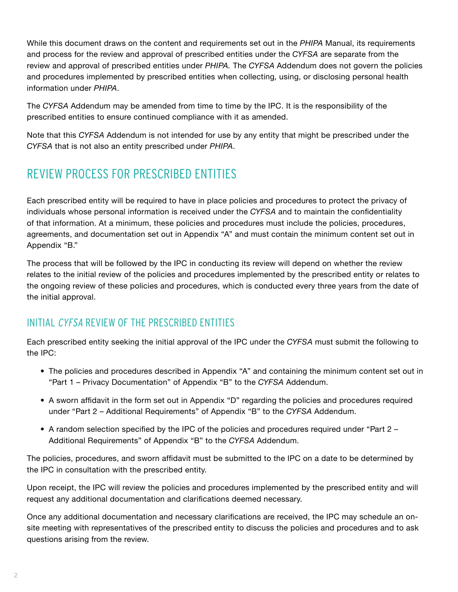While this document draws on the content and requirements set out in the *PHIPA* Manual, its requirements and process for the review and approval of prescribed entities under the *CYFSA* are separate from the review and approval of prescribed entities under *PHIPA.* The *CYFSA* Addendum does not govern the policies and procedures implemented by prescribed entities when collecting, using, or disclosing personal health information under *PHIPA*.

The *CYFSA* Addendum may be amended from time to time by the IPC. It is the responsibility of the prescribed entities to ensure continued compliance with it as amended.

Note that this *CYFSA* Addendum is not intended for use by any entity that might be prescribed under the *CYFSA* that is not also an entity prescribed under *PHIPA*.

# REVIEW PROCESS FOR PRESCRIBED ENTITIES

Each prescribed entity will be required to have in place policies and procedures to protect the privacy of individuals whose personal information is received under the *CYFSA* and to maintain the confidentiality of that information. At a minimum, these policies and procedures must include the policies, procedures, agreements, and documentation set out in Appendix "A" and must contain the minimum content set out in Appendix "B."

The process that will be followed by the IPC in conducting its review will depend on whether the review relates to the initial review of the policies and procedures implemented by the prescribed entity or relates to the ongoing review of these policies and procedures, which is conducted every three years from the date of the initial approval.

## INITIAL CYFSA REVIEW OF THE PRESCRIBED ENTITIES

Each prescribed entity seeking the initial approval of the IPC under the *CYFSA* must submit the following to the IPC:

- The policies and procedures described in Appendix "A" and containing the minimum content set out in "Part 1 – Privacy Documentation" of Appendix "B" to the *CYFSA* Addendum.
- A sworn affidavit in the form set out in Appendix "D" regarding the policies and procedures required under "Part 2 – Additional Requirements" of Appendix "B" to the *CYFSA* Addendum.
- A random selection specified by the IPC of the policies and procedures required under "Part 2 Additional Requirements" of Appendix "B" to the *CYFSA* Addendum.

The policies, procedures, and sworn affidavit must be submitted to the IPC on a date to be determined by the IPC in consultation with the prescribed entity.

Upon receipt, the IPC will review the policies and procedures implemented by the prescribed entity and will request any additional documentation and clarifications deemed necessary.

Once any additional documentation and necessary clarifications are received, the IPC may schedule an onsite meeting with representatives of the prescribed entity to discuss the policies and procedures and to ask questions arising from the review.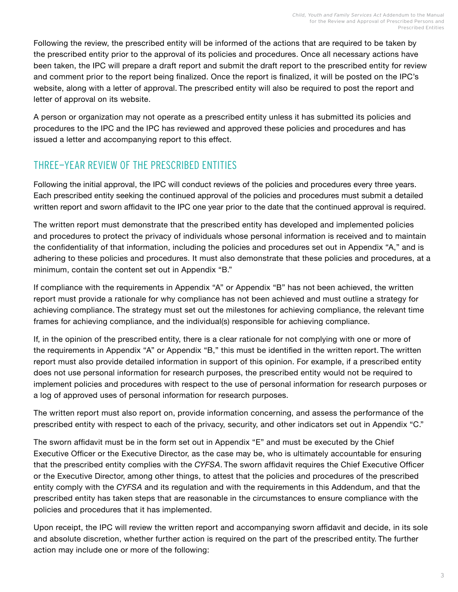Following the review, the prescribed entity will be informed of the actions that are required to be taken by the prescribed entity prior to the approval of its policies and procedures. Once all necessary actions have been taken, the IPC will prepare a draft report and submit the draft report to the prescribed entity for review and comment prior to the report being finalized. Once the report is finalized, it will be posted on the IPC's website, along with a letter of approval. The prescribed entity will also be required to post the report and letter of approval on its website.

A person or organization may not operate as a prescribed entity unless it has submitted its policies and procedures to the IPC and the IPC has reviewed and approved these policies and procedures and has issued a letter and accompanying report to this effect.

## THREE-YEAR REVIEW OF THE PRESCRIBED ENTITIES

Following the initial approval, the IPC will conduct reviews of the policies and procedures every three years. Each prescribed entity seeking the continued approval of the policies and procedures must submit a detailed written report and sworn affidavit to the IPC one year prior to the date that the continued approval is required.

The written report must demonstrate that the prescribed entity has developed and implemented policies and procedures to protect the privacy of individuals whose personal information is received and to maintain the confidentiality of that information, including the policies and procedures set out in Appendix "A," and is adhering to these policies and procedures. It must also demonstrate that these policies and procedures, at a minimum, contain the content set out in Appendix "B."

If compliance with the requirements in Appendix "A" or Appendix "B" has not been achieved, the written report must provide a rationale for why compliance has not been achieved and must outline a strategy for achieving compliance. The strategy must set out the milestones for achieving compliance, the relevant time frames for achieving compliance, and the individual(s) responsible for achieving compliance.

If, in the opinion of the prescribed entity, there is a clear rationale for not complying with one or more of the requirements in Appendix "A" or Appendix "B," this must be identified in the written report. The written report must also provide detailed information in support of this opinion. For example, if a prescribed entity does not use personal information for research purposes, the prescribed entity would not be required to implement policies and procedures with respect to the use of personal information for research purposes or a log of approved uses of personal information for research purposes.

The written report must also report on, provide information concerning, and assess the performance of the prescribed entity with respect to each of the privacy, security, and other indicators set out in Appendix "C."

The sworn affidavit must be in the form set out in Appendix "E" and must be executed by the Chief Executive Officer or the Executive Director, as the case may be, who is ultimately accountable for ensuring that the prescribed entity complies with the *CYFSA*. The sworn affidavit requires the Chief Executive Officer or the Executive Director, among other things, to attest that the policies and procedures of the prescribed entity comply with the *CYFSA* and its regulation and with the requirements in this Addendum, and that the prescribed entity has taken steps that are reasonable in the circumstances to ensure compliance with the policies and procedures that it has implemented.

Upon receipt, the IPC will review the written report and accompanying sworn affidavit and decide, in its sole and absolute discretion, whether further action is required on the part of the prescribed entity. The further action may include one or more of the following: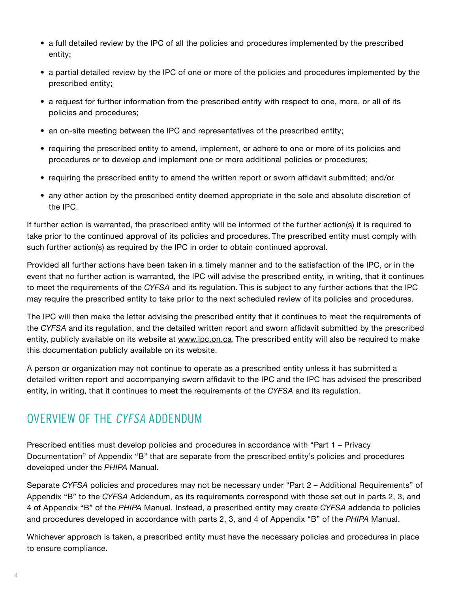- a full detailed review by the IPC of all the policies and procedures implemented by the prescribed entity;
- a partial detailed review by the IPC of one or more of the policies and procedures implemented by the prescribed entity;
- a request for further information from the prescribed entity with respect to one, more, or all of its policies and procedures;
- an on-site meeting between the IPC and representatives of the prescribed entity;
- requiring the prescribed entity to amend, implement, or adhere to one or more of its policies and procedures or to develop and implement one or more additional policies or procedures;
- requiring the prescribed entity to amend the written report or sworn affidavit submitted; and/or
- any other action by the prescribed entity deemed appropriate in the sole and absolute discretion of the IPC.

If further action is warranted, the prescribed entity will be informed of the further action(s) it is required to take prior to the continued approval of its policies and procedures. The prescribed entity must comply with such further action(s) as required by the IPC in order to obtain continued approval.

Provided all further actions have been taken in a timely manner and to the satisfaction of the IPC, or in the event that no further action is warranted, the IPC will advise the prescribed entity, in writing, that it continues to meet the requirements of the *CYFSA* and its regulation. This is subject to any further actions that the IPC may require the prescribed entity to take prior to the next scheduled review of its policies and procedures.

The IPC will then make the letter advising the prescribed entity that it continues to meet the requirements of the *CYFSA* and its regulation, and the detailed written report and sworn affidavit submitted by the prescribed entity, publicly available on its website at [www.ipc.on.ca](http://www.ipc.on.ca/). The prescribed entity will also be required to make this documentation publicly available on its website.

A person or organization may not continue to operate as a prescribed entity unless it has submitted a detailed written report and accompanying sworn affidavit to the IPC and the IPC has advised the prescribed entity, in writing, that it continues to meet the requirements of the *CYFSA* and its regulation.

# OVERVIEW OF THE CYFSA ADDENDUM

Prescribed entities must develop policies and procedures in accordance with "Part 1 – Privacy Documentation" of Appendix "B" that are separate from the prescribed entity's policies and procedures developed under the *PHIPA* Manual.

Separate *CYFSA* policies and procedures may not be necessary under "Part 2 – Additional Requirements" of Appendix "B" to the *CYFSA* Addendum, as its requirements correspond with those set out in parts 2, 3, and 4 of Appendix "B" of the *PHIPA* Manual. Instead, a prescribed entity may create *CYFSA* addenda to policies and procedures developed in accordance with parts 2, 3, and 4 of Appendix "B" of the *PHIPA* Manual.

Whichever approach is taken, a prescribed entity must have the necessary policies and procedures in place to ensure compliance.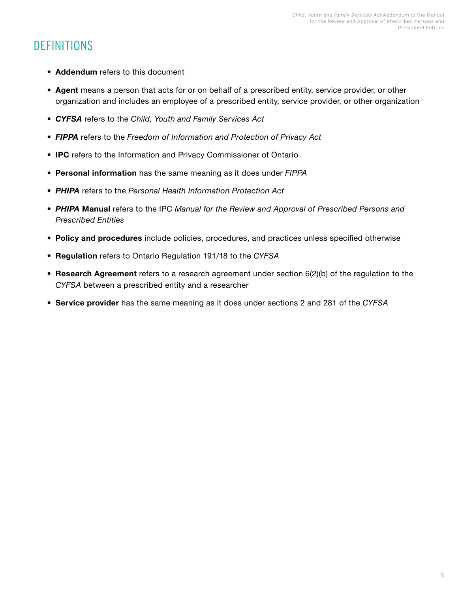# **DEFINITIONS**

- **• Addendum** refers to this document
- **• Agent** means a person that acts for or on behalf of a prescribed entity, service provider, or other organization and includes an employee of a prescribed entity, service provider, or other organization
- *• CYFSA* refers to the *Child, Youth and Family Services Act*
- *• FIPPA* refers to the *Freedom of Information and Protection of Privacy Act*
- **• IPC** refers to the Information and Privacy Commissioner of Ontario
- **• Personal information** has the same meaning as it does under *FIPPA*
- *• PHIPA* refers to the *Personal Health Information Protection Act*
- *• PHIPA* **Manual** refers to the IPC *Manual for the Review and Approval of Prescribed Persons and Prescribed Entities*
- **• Policy and procedures** include policies, procedures, and practices unless specified otherwise
- **• Regulation** refers to Ontario Regulation 191/18 to the *CYFSA*
- **• Research Agreement** refers to a research agreement under section 6(2)(b) of the regulation to the *CYFSA* between a prescribed entity and a researcher
- **• Service provider** has the same meaning as it does under sections 2 and 281 of the *CYFSA*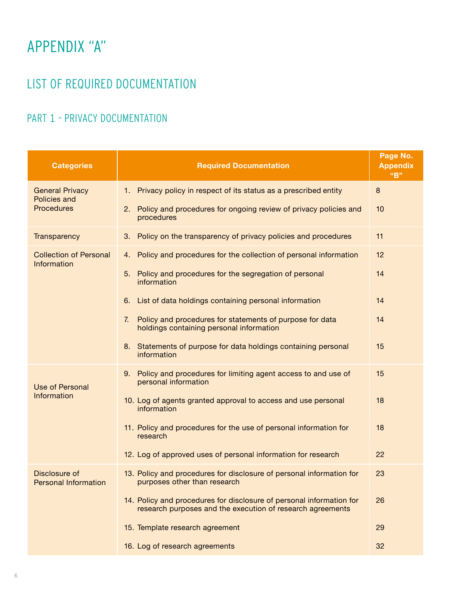# <span id="page-7-0"></span>APPENDIX "A"

# LIST OF REQUIRED DOCUMENTATION

# PART 1 – PRIVACY DOCUMENTATION

| <b>Categories</b>                                                  | <b>Required Documentation</b>                                                                                                      | Page No.<br><b>Appendix</b><br>"B" |
|--------------------------------------------------------------------|------------------------------------------------------------------------------------------------------------------------------------|------------------------------------|
| <b>General Privacy</b><br><b>Policies and</b><br><b>Procedures</b> | Privacy policy in respect of its status as a prescribed entity<br>1.                                                               | $\bf 8$                            |
|                                                                    | Policy and procedures for ongoing review of privacy policies and<br>2.<br>procedures                                               | 10                                 |
| Transparency                                                       | 3. Policy on the transparency of privacy policies and procedures                                                                   | 11                                 |
| <b>Collection of Personal</b><br>Information                       | 4. Policy and procedures for the collection of personal information                                                                | 12                                 |
|                                                                    | Policy and procedures for the segregation of personal<br>5.<br>information                                                         | 14                                 |
|                                                                    | 6. List of data holdings containing personal information                                                                           | 14                                 |
|                                                                    | Policy and procedures for statements of purpose for data<br>7.<br>holdings containing personal information                         | 14                                 |
|                                                                    | 8. Statements of purpose for data holdings containing personal<br>information                                                      | 15                                 |
| <b>Use of Personal</b><br>Information                              | 9. Policy and procedures for limiting agent access to and use of<br>personal information                                           | 15                                 |
|                                                                    | 10. Log of agents granted approval to access and use personal<br>information                                                       | 18                                 |
|                                                                    | 11. Policy and procedures for the use of personal information for<br>research                                                      | 18                                 |
|                                                                    | 12. Log of approved uses of personal information for research                                                                      | 22                                 |
| Disclosure of<br><b>Personal Information</b>                       | 13. Policy and procedures for disclosure of personal information for<br>purposes other than research                               | 23                                 |
|                                                                    | 14. Policy and procedures for disclosure of personal information for<br>research purposes and the execution of research agreements | 26                                 |
|                                                                    | 15. Template research agreement                                                                                                    | 29                                 |
|                                                                    | 16. Log of research agreements                                                                                                     | 32                                 |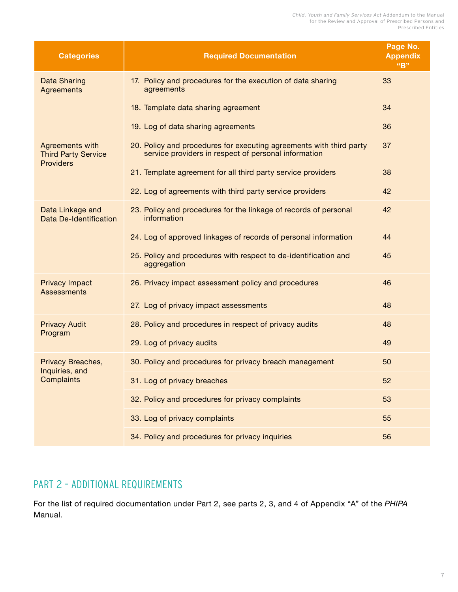Child, Youth and Family Services Act Addendum to the Manual for the Review and Approval of Prescribed Persons and Prescribed Entities

<span id="page-8-0"></span>

| <b>Categories</b>                                                 | <b>Required Documentation</b>                                                                                               | Page No.<br><b>Appendix</b><br>"B" |
|-------------------------------------------------------------------|-----------------------------------------------------------------------------------------------------------------------------|------------------------------------|
| <b>Data Sharing</b><br><b>Agreements</b>                          | 17. Policy and procedures for the execution of data sharing<br>agreements                                                   | 33                                 |
|                                                                   | 18. Template data sharing agreement                                                                                         | 34                                 |
|                                                                   | 19. Log of data sharing agreements                                                                                          | 36                                 |
| Agreements with<br><b>Third Party Service</b><br><b>Providers</b> | 20. Policy and procedures for executing agreements with third party<br>service providers in respect of personal information | 37                                 |
|                                                                   | 21. Template agreement for all third party service providers                                                                | 38                                 |
|                                                                   | 22. Log of agreements with third party service providers                                                                    | 42                                 |
| Data Linkage and<br>Data De-Identification                        | 23. Policy and procedures for the linkage of records of personal<br>information                                             | 42                                 |
|                                                                   | 24. Log of approved linkages of records of personal information                                                             | 44                                 |
|                                                                   | 25. Policy and procedures with respect to de-identification and<br>aggregation                                              | 45                                 |
| <b>Privacy Impact</b><br><b>Assessments</b>                       | 26. Privacy impact assessment policy and procedures                                                                         | 46                                 |
|                                                                   | 27. Log of privacy impact assessments                                                                                       | 48                                 |
| <b>Privacy Audit</b>                                              | 28. Policy and procedures in respect of privacy audits                                                                      | 48                                 |
| Program                                                           | 29. Log of privacy audits                                                                                                   | 49                                 |
| Privacy Breaches,                                                 | 30. Policy and procedures for privacy breach management                                                                     | 50                                 |
| Inquiries, and<br>Complaints                                      | 31. Log of privacy breaches                                                                                                 | 52                                 |
|                                                                   | 32. Policy and procedures for privacy complaints                                                                            | 53                                 |
|                                                                   | 33. Log of privacy complaints                                                                                               | 55                                 |
|                                                                   | 34. Policy and procedures for privacy inquiries                                                                             | 56                                 |

## PART 2 – ADDITIONAL REQUIREMENTS

For the list of required documentation under Part 2, see parts 2, 3, and 4 of Appendix "A" of the *PHIPA* Manual.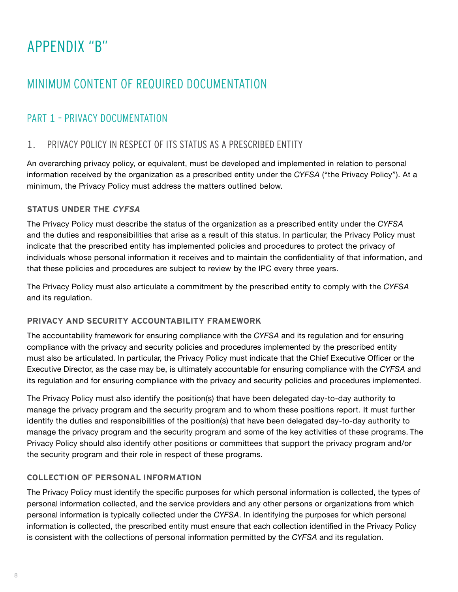# <span id="page-9-0"></span>APPENDIX "B"

# MINIMUM CONTENT OF REQUIRED DOCUMENTATION

## PART 1 – PRIVACY DOCUMENTATION

## 1. PRIVACY POLICY IN RESPECT OF ITS STATUS AS A PRESCRIBED ENTITY

An overarching privacy policy, or equivalent, must be developed and implemented in relation to personal information received by the organization as a prescribed entity under the *CYFSA* ("the Privacy Policy"). At a minimum, the Privacy Policy must address the matters outlined below.

## **STATUS UNDER THE CYFSA**

The Privacy Policy must describe the status of the organization as a prescribed entity under the *CYFSA*  and the duties and responsibilities that arise as a result of this status. In particular, the Privacy Policy must indicate that the prescribed entity has implemented policies and procedures to protect the privacy of individuals whose personal information it receives and to maintain the confidentiality of that information, and that these policies and procedures are subject to review by the IPC every three years.

The Privacy Policy must also articulate a commitment by the prescribed entity to comply with the *CYFSA*  and its regulation.

## **PRIVACY AND SECURITY ACCOUNTABILITY FRAMEWORK**

The accountability framework for ensuring compliance with the *CYFSA* and its regulation and for ensuring compliance with the privacy and security policies and procedures implemented by the prescribed entity must also be articulated. In particular, the Privacy Policy must indicate that the Chief Executive Officer or the Executive Director, as the case may be, is ultimately accountable for ensuring compliance with the *CYFSA* and its regulation and for ensuring compliance with the privacy and security policies and procedures implemented.

The Privacy Policy must also identify the position(s) that have been delegated day-to-day authority to manage the privacy program and the security program and to whom these positions report. It must further identify the duties and responsibilities of the position(s) that have been delegated day-to-day authority to manage the privacy program and the security program and some of the key activities of these programs. The Privacy Policy should also identify other positions or committees that support the privacy program and/or the security program and their role in respect of these programs.

## **COLLECTION OF PERSONAL INFORMATION**

The Privacy Policy must identify the specific purposes for which personal information is collected, the types of personal information collected, and the service providers and any other persons or organizations from which personal information is typically collected under the *CYFSA*. In identifying the purposes for which personal information is collected, the prescribed entity must ensure that each collection identified in the Privacy Policy is consistent with the collections of personal information permitted by the *CYFSA* and its regulation.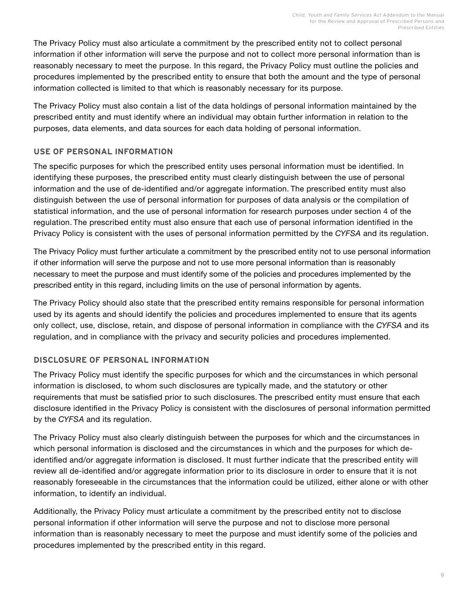The Privacy Policy must also articulate a commitment by the prescribed entity not to collect personal information if other information will serve the purpose and not to collect more personal information than is reasonably necessary to meet the purpose. In this regard, the Privacy Policy must outline the policies and procedures implemented by the prescribed entity to ensure that both the amount and the type of personal information collected is limited to that which is reasonably necessary for its purpose.

The Privacy Policy must also contain a list of the data holdings of personal information maintained by the prescribed entity and must identify where an individual may obtain further information in relation to the purposes, data elements, and data sources for each data holding of personal information.

## **USE OF PERSONAL INFORMATION**

The specific purposes for which the prescribed entity uses personal information must be identified. In identifying these purposes, the prescribed entity must clearly distinguish between the use of personal information and the use of de-identified and/or aggregate information. The prescribed entity must also distinguish between the use of personal information for purposes of data analysis or the compilation of statistical information, and the use of personal information for research purposes under section 4 of the regulation. The prescribed entity must also ensure that each use of personal information identified in the Privacy Policy is consistent with the uses of personal information permitted by the *CYFSA* and its regulation.

The Privacy Policy must further articulate a commitment by the prescribed entity not to use personal information if other information will serve the purpose and not to use more personal information than is reasonably necessary to meet the purpose and must identify some of the policies and procedures implemented by the prescribed entity in this regard, including limits on the use of personal information by agents.

The Privacy Policy should also state that the prescribed entity remains responsible for personal information used by its agents and should identify the policies and procedures implemented to ensure that its agents only collect, use, disclose, retain, and dispose of personal information in compliance with the *CYFSA* and its regulation, and in compliance with the privacy and security policies and procedures implemented.

## **DISCLOSURE OF PERSONAL INFORMATION**

The Privacy Policy must identify the specific purposes for which and the circumstances in which personal information is disclosed, to whom such disclosures are typically made, and the statutory or other requirements that must be satisfied prior to such disclosures. The prescribed entity must ensure that each disclosure identified in the Privacy Policy is consistent with the disclosures of personal information permitted by the *CYFSA* and its regulation.

The Privacy Policy must also clearly distinguish between the purposes for which and the circumstances in which personal information is disclosed and the circumstances in which and the purposes for which deidentified and/or aggregate information is disclosed. It must further indicate that the prescribed entity will review all de-identified and/or aggregate information prior to its disclosure in order to ensure that it is not reasonably foreseeable in the circumstances that the information could be utilized, either alone or with other information, to identify an individual.

Additionally, the Privacy Policy must articulate a commitment by the prescribed entity not to disclose personal information if other information will serve the purpose and not to disclose more personal information than is reasonably necessary to meet the purpose and must identify some of the policies and procedures implemented by the prescribed entity in this regard.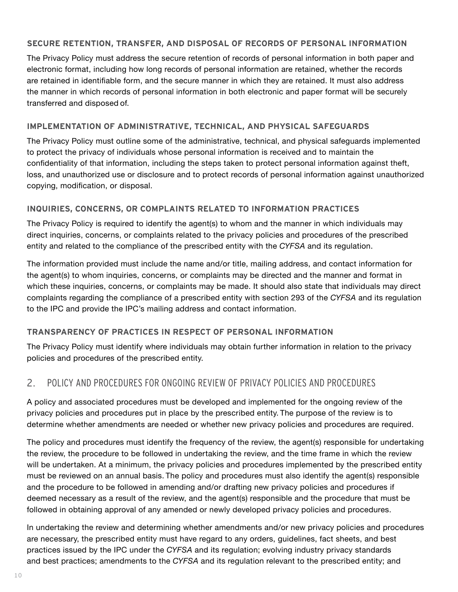## <span id="page-11-0"></span>**SECURE RETENTION, TRANSFER, AND DISPOSAL OF RECORDS OF PERSONAL INFORMATION**

The Privacy Policy must address the secure retention of records of personal information in both paper and electronic format, including how long records of personal information are retained, whether the records are retained in identifiable form, and the secure manner in which they are retained. It must also address the manner in which records of personal information in both electronic and paper format will be securely transferred and disposed of.

#### **IMPLEMENTATION OF ADMINISTRATIVE, TECHNICAL, AND PHYSICAL SAFEGUARDS**

The Privacy Policy must outline some of the administrative, technical, and physical safeguards implemented to protect the privacy of individuals whose personal information is received and to maintain the confidentiality of that information, including the steps taken to protect personal information against theft, loss, and unauthorized use or disclosure and to protect records of personal information against unauthorized copying, modification, or disposal.

#### **INQUIRIES, CONCERNS, OR COMPLAINTS RELATED TO INFORMATION PRACTICES**

The Privacy Policy is required to identify the agent(s) to whom and the manner in which individuals may direct inquiries, concerns, or complaints related to the privacy policies and procedures of the prescribed entity and related to the compliance of the prescribed entity with the *CYFSA* and its regulation.

The information provided must include the name and/or title, mailing address, and contact information for the agent(s) to whom inquiries, concerns, or complaints may be directed and the manner and format in which these inquiries, concerns, or complaints may be made. It should also state that individuals may direct complaints regarding the compliance of a prescribed entity with section 293 of the *CYFSA* and its regulation to the IPC and provide the IPC's mailing address and contact information.

## **TRANSPARENCY OF PRACTICES IN RESPECT OF PERSONAL INFORMATION**

The Privacy Policy must identify where individuals may obtain further information in relation to the privacy policies and procedures of the prescribed entity.

## 2. POLICY AND PROCEDURES FOR ONGOING REVIEW OF PRIVACY POLICIES AND PROCEDURES

A policy and associated procedures must be developed and implemented for the ongoing review of the privacy policies and procedures put in place by the prescribed entity. The purpose of the review is to determine whether amendments are needed or whether new privacy policies and procedures are required.

The policy and procedures must identify the frequency of the review, the agent(s) responsible for undertaking the review, the procedure to be followed in undertaking the review, and the time frame in which the review will be undertaken. At a minimum, the privacy policies and procedures implemented by the prescribed entity must be reviewed on an annual basis. The policy and procedures must also identify the agent(s) responsible and the procedure to be followed in amending and/or drafting new privacy policies and procedures if deemed necessary as a result of the review, and the agent(s) responsible and the procedure that must be followed in obtaining approval of any amended or newly developed privacy policies and procedures.

In undertaking the review and determining whether amendments and/or new privacy policies and procedures are necessary, the prescribed entity must have regard to any orders, guidelines, fact sheets, and best practices issued by the IPC under the *CYFSA* and its regulation; evolving industry privacy standards and best practices; amendments to the *CYFSA* and its regulation relevant to the prescribed entity; and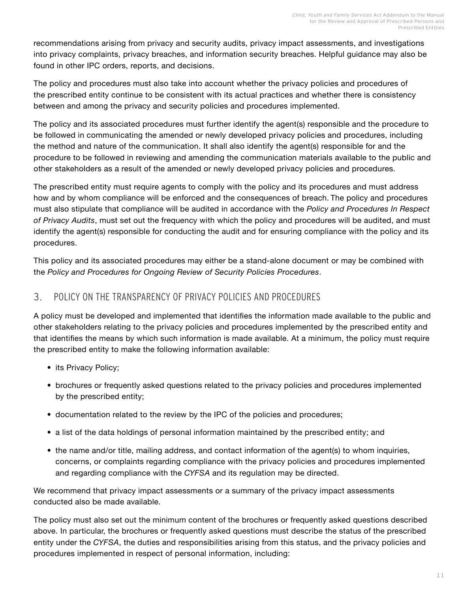<span id="page-12-0"></span>recommendations arising from privacy and security audits, privacy impact assessments, and investigations into privacy complaints, privacy breaches, and information security breaches. Helpful guidance may also be found in other IPC orders, reports, and decisions.

The policy and procedures must also take into account whether the privacy policies and procedures of the prescribed entity continue to be consistent with its actual practices and whether there is consistency between and among the privacy and security policies and procedures implemented.

The policy and its associated procedures must further identify the agent(s) responsible and the procedure to be followed in communicating the amended or newly developed privacy policies and procedures, including the method and nature of the communication. It shall also identify the agent(s) responsible for and the procedure to be followed in reviewing and amending the communication materials available to the public and other stakeholders as a result of the amended or newly developed privacy policies and procedures.

The prescribed entity must require agents to comply with the policy and its procedures and must address how and by whom compliance will be enforced and the consequences of breach. The policy and procedures must also stipulate that compliance will be audited in accordance with the *Policy and Procedures In Respect of Privacy Audits*, must set out the frequency with which the policy and procedures will be audited, and must identify the agent(s) responsible for conducting the audit and for ensuring compliance with the policy and its procedures.

This policy and its associated procedures may either be a stand-alone document or may be combined with the *Policy and Procedures for Ongoing Review of Security Policies Procedures*.

## 3. POLICY ON THE TRANSPARENCY OF PRIVACY POLICIES AND PROCEDURES

A policy must be developed and implemented that identifies the information made available to the public and other stakeholders relating to the privacy policies and procedures implemented by the prescribed entity and that identifies the means by which such information is made available. At a minimum, the policy must require the prescribed entity to make the following information available:

- its Privacy Policy;
- brochures or frequently asked questions related to the privacy policies and procedures implemented by the prescribed entity;
- documentation related to the review by the IPC of the policies and procedures;
- a list of the data holdings of personal information maintained by the prescribed entity; and
- the name and/or title, mailing address, and contact information of the agent(s) to whom inquiries, concerns, or complaints regarding compliance with the privacy policies and procedures implemented and regarding compliance with the *CYFSA* and its regulation may be directed.

We recommend that privacy impact assessments or a summary of the privacy impact assessments conducted also be made available.

The policy must also set out the minimum content of the brochures or frequently asked questions described above. In particular, the brochures or frequently asked questions must describe the status of the prescribed entity under the *CYFSA*, the duties and responsibilities arising from this status, and the privacy policies and procedures implemented in respect of personal information, including: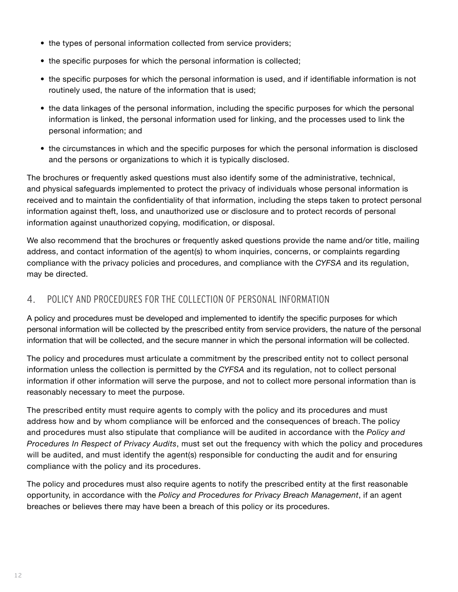- <span id="page-13-0"></span>• the types of personal information collected from service providers;
- the specific purposes for which the personal information is collected;
- the specific purposes for which the personal information is used, and if identifiable information is not routinely used, the nature of the information that is used;
- the data linkages of the personal information, including the specific purposes for which the personal information is linked, the personal information used for linking, and the processes used to link the personal information; and
- the circumstances in which and the specific purposes for which the personal information is disclosed and the persons or organizations to which it is typically disclosed.

The brochures or frequently asked questions must also identify some of the administrative, technical, and physical safeguards implemented to protect the privacy of individuals whose personal information is received and to maintain the confidentiality of that information, including the steps taken to protect personal information against theft, loss, and unauthorized use or disclosure and to protect records of personal information against unauthorized copying, modification, or disposal.

We also recommend that the brochures or frequently asked questions provide the name and/or title, mailing address, and contact information of the agent(s) to whom inquiries, concerns, or complaints regarding compliance with the privacy policies and procedures, and compliance with the *CYFSA* and its regulation, may be directed.

## 4. POLICY AND PROCEDURES FOR THE COLLECTION OF PERSONAL INFORMATION

A policy and procedures must be developed and implemented to identify the specific purposes for which personal information will be collected by the prescribed entity from service providers, the nature of the personal information that will be collected, and the secure manner in which the personal information will be collected.

The policy and procedures must articulate a commitment by the prescribed entity not to collect personal information unless the collection is permitted by the *CYFSA* and its regulation, not to collect personal information if other information will serve the purpose, and not to collect more personal information than is reasonably necessary to meet the purpose.

The prescribed entity must require agents to comply with the policy and its procedures and must address how and by whom compliance will be enforced and the consequences of breach. The policy and procedures must also stipulate that compliance will be audited in accordance with the *Policy and Procedures In Respect of Privacy Audits*, must set out the frequency with which the policy and procedures will be audited, and must identify the agent(s) responsible for conducting the audit and for ensuring compliance with the policy and its procedures.

The policy and procedures must also require agents to notify the prescribed entity at the first reasonable opportunity, in accordance with the *Policy and Procedures for Privacy Breach Management*, if an agent breaches or believes there may have been a breach of this policy or its procedures.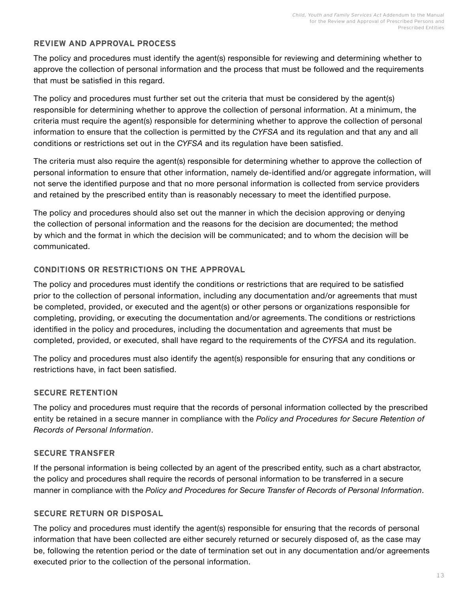## **REVIEW AND APPROVAL PROCESS**

The policy and procedures must identify the agent(s) responsible for reviewing and determining whether to approve the collection of personal information and the process that must be followed and the requirements that must be satisfied in this regard.

The policy and procedures must further set out the criteria that must be considered by the agent(s) responsible for determining whether to approve the collection of personal information. At a minimum, the criteria must require the agent(s) responsible for determining whether to approve the collection of personal information to ensure that the collection is permitted by the *CYFSA* and its regulation and that any and all conditions or restrictions set out in the *CYFSA* and its regulation have been satisfied.

The criteria must also require the agent(s) responsible for determining whether to approve the collection of personal information to ensure that other information, namely de-identified and/or aggregate information, will not serve the identified purpose and that no more personal information is collected from service providers and retained by the prescribed entity than is reasonably necessary to meet the identified purpose.

The policy and procedures should also set out the manner in which the decision approving or denying the collection of personal information and the reasons for the decision are documented; the method by which and the format in which the decision will be communicated; and to whom the decision will be communicated.

## **CONDITIONS OR RESTRICTIONS ON THE APPROVAL**

The policy and procedures must identify the conditions or restrictions that are required to be satisfied prior to the collection of personal information, including any documentation and/or agreements that must be completed, provided, or executed and the agent(s) or other persons or organizations responsible for completing, providing, or executing the documentation and/or agreements. The conditions or restrictions identified in the policy and procedures, including the documentation and agreements that must be completed, provided, or executed, shall have regard to the requirements of the *CYFSA* and its regulation.

The policy and procedures must also identify the agent(s) responsible for ensuring that any conditions or restrictions have, in fact been satisfied.

## **SECURE RETENTION**

The policy and procedures must require that the records of personal information collected by the prescribed entity be retained in a secure manner in compliance with the *Policy and Procedures for Secure Retention of Records of Personal Information*.

## **SECURE TRANSFER**

If the personal information is being collected by an agent of the prescribed entity, such as a chart abstractor, the policy and procedures shall require the records of personal information to be transferred in a secure manner in compliance with the *Policy and Procedures for Secure Transfer of Records of Personal Information*.

## **SECURE RETURN OR DISPOSAL**

The policy and procedures must identify the agent(s) responsible for ensuring that the records of personal information that have been collected are either securely returned or securely disposed of, as the case may be, following the retention period or the date of termination set out in any documentation and/or agreements executed prior to the collection of the personal information.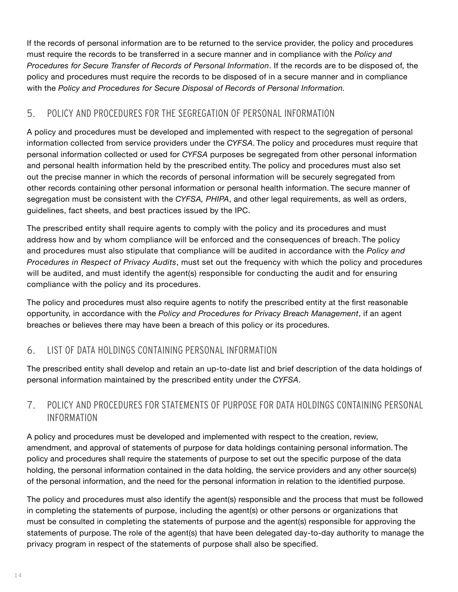<span id="page-15-0"></span>If the records of personal information are to be returned to the service provider, the policy and procedures must require the records to be transferred in a secure manner and in compliance with the *Policy and Procedures for Secure Transfer of Records of Personal Information*. If the records are to be disposed of, the policy and procedures must require the records to be disposed of in a secure manner and in compliance with the *Policy and Procedures for Secure Disposal of Records of Personal Information.*

## 5. POLICY AND PROCEDURES FOR THE SEGREGATION OF PERSONAL INFORMATION

A policy and procedures must be developed and implemented with respect to the segregation of personal information collected from service providers under the *CYFSA*. The policy and procedures must require that personal information collected or used for *CYFSA* purposes be segregated from other personal information and personal health information held by the prescribed entity. The policy and procedures must also set out the precise manner in which the records of personal information will be securely segregated from other records containing other personal information or personal health information. The secure manner of segregation must be consistent with the *CYFSA, PHIPA*, and other legal requirements, as well as orders, guidelines, fact sheets, and best practices issued by the IPC.

The prescribed entity shall require agents to comply with the policy and its procedures and must address how and by whom compliance will be enforced and the consequences of breach. The policy and procedures must also stipulate that compliance will be audited in accordance with the *Policy and Procedures in Respect of Privacy Audits*, must set out the frequency with which the policy and procedures will be audited, and must identify the agent(s) responsible for conducting the audit and for ensuring compliance with the policy and its procedures.

The policy and procedures must also require agents to notify the prescribed entity at the first reasonable opportunity, in accordance with the *Policy and Procedures for Privacy Breach Management*, if an agent breaches or believes there may have been a breach of this policy or its procedures.

## 6. LIST OF DATA HOLDINGS CONTAINING PERSONAL INFORMATION

The prescribed entity shall develop and retain an up-to-date list and brief description of the data holdings of personal information maintained by the prescribed entity under the *CYFSA*.

## 7. POLICY AND PROCEDURES FOR STATEMENTS OF PURPOSE FOR DATA HOLDINGS CONTAINING PERSONAL INFORMATION

A policy and procedures must be developed and implemented with respect to the creation, review, amendment, and approval of statements of purpose for data holdings containing personal information. The policy and procedures shall require the statements of purpose to set out the specific purpose of the data holding, the personal information contained in the data holding, the service providers and any other source(s) of the personal information, and the need for the personal information in relation to the identified purpose.

The policy and procedures must also identify the agent(s) responsible and the process that must be followed in completing the statements of purpose, including the agent(s) or other persons or organizations that must be consulted in completing the statements of purpose and the agent(s) responsible for approving the statements of purpose. The role of the agent(s) that have been delegated day-to-day authority to manage the privacy program in respect of the statements of purpose shall also be specified.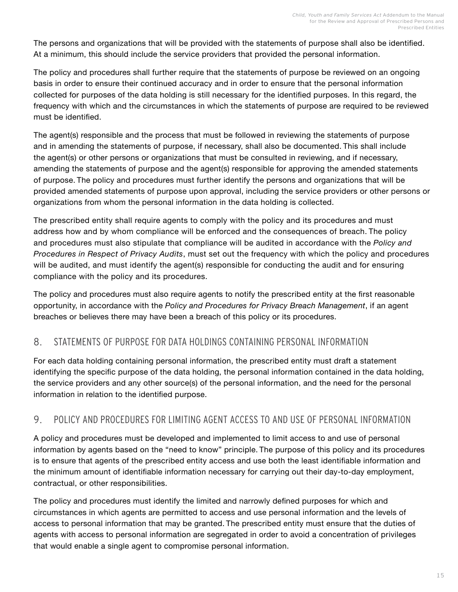<span id="page-16-0"></span>The persons and organizations that will be provided with the statements of purpose shall also be identified. At a minimum, this should include the service providers that provided the personal information.

The policy and procedures shall further require that the statements of purpose be reviewed on an ongoing basis in order to ensure their continued accuracy and in order to ensure that the personal information collected for purposes of the data holding is still necessary for the identified purposes. In this regard, the frequency with which and the circumstances in which the statements of purpose are required to be reviewed must be identified.

The agent(s) responsible and the process that must be followed in reviewing the statements of purpose and in amending the statements of purpose, if necessary, shall also be documented. This shall include the agent(s) or other persons or organizations that must be consulted in reviewing, and if necessary, amending the statements of purpose and the agent(s) responsible for approving the amended statements of purpose. The policy and procedures must further identify the persons and organizations that will be provided amended statements of purpose upon approval, including the service providers or other persons or organizations from whom the personal information in the data holding is collected.

The prescribed entity shall require agents to comply with the policy and its procedures and must address how and by whom compliance will be enforced and the consequences of breach. The policy and procedures must also stipulate that compliance will be audited in accordance with the *Policy and Procedures in Respect of Privacy Audits*, must set out the frequency with which the policy and procedures will be audited, and must identify the agent(s) responsible for conducting the audit and for ensuring compliance with the policy and its procedures.

The policy and procedures must also require agents to notify the prescribed entity at the first reasonable opportunity, in accordance with the *Policy and Procedures for Privacy Breach Management*, if an agent breaches or believes there may have been a breach of this policy or its procedures.

## 8. STATEMENTS OF PURPOSE FOR DATA HOLDINGS CONTAINING PERSONAL INFORMATION

For each data holding containing personal information, the prescribed entity must draft a statement identifying the specific purpose of the data holding, the personal information contained in the data holding, the service providers and any other source(s) of the personal information, and the need for the personal information in relation to the identified purpose.

## 9. POLICY AND PROCEDURES FOR LIMITING AGENT ACCESS TO AND USE OF PERSONAL INFORMATION

A policy and procedures must be developed and implemented to limit access to and use of personal information by agents based on the "need to know" principle. The purpose of this policy and its procedures is to ensure that agents of the prescribed entity access and use both the least identifiable information and the minimum amount of identifiable information necessary for carrying out their day-to-day employment, contractual, or other responsibilities.

The policy and procedures must identify the limited and narrowly defined purposes for which and circumstances in which agents are permitted to access and use personal information and the levels of access to personal information that may be granted. The prescribed entity must ensure that the duties of agents with access to personal information are segregated in order to avoid a concentration of privileges that would enable a single agent to compromise personal information.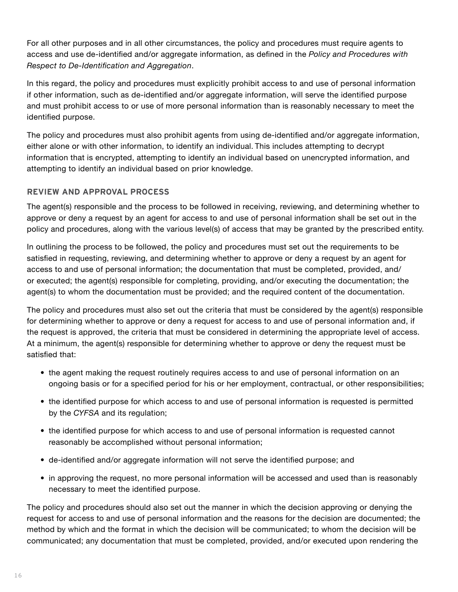For all other purposes and in all other circumstances, the policy and procedures must require agents to access and use de-identified and/or aggregate information, as defined in the *Policy and Procedures with Respect to De-Identification and Aggregation*.

In this regard, the policy and procedures must explicitly prohibit access to and use of personal information if other information, such as de-identified and/or aggregate information, will serve the identified purpose and must prohibit access to or use of more personal information than is reasonably necessary to meet the identified purpose.

The policy and procedures must also prohibit agents from using de-identified and/or aggregate information, either alone or with other information, to identify an individual. This includes attempting to decrypt information that is encrypted, attempting to identify an individual based on unencrypted information, and attempting to identify an individual based on prior knowledge.

## **REVIEW AND APPROVAL PROCESS**

The agent(s) responsible and the process to be followed in receiving, reviewing, and determining whether to approve or deny a request by an agent for access to and use of personal information shall be set out in the policy and procedures, along with the various level(s) of access that may be granted by the prescribed entity.

In outlining the process to be followed, the policy and procedures must set out the requirements to be satisfied in requesting, reviewing, and determining whether to approve or deny a request by an agent for access to and use of personal information; the documentation that must be completed, provided, and/ or executed; the agent(s) responsible for completing, providing, and/or executing the documentation; the agent(s) to whom the documentation must be provided; and the required content of the documentation.

The policy and procedures must also set out the criteria that must be considered by the agent(s) responsible for determining whether to approve or deny a request for access to and use of personal information and, if the request is approved, the criteria that must be considered in determining the appropriate level of access. At a minimum, the agent(s) responsible for determining whether to approve or deny the request must be satisfied that:

- the agent making the request routinely requires access to and use of personal information on an ongoing basis or for a specified period for his or her employment, contractual, or other responsibilities;
- the identified purpose for which access to and use of personal information is requested is permitted by the *CYFSA* and its regulation;
- the identified purpose for which access to and use of personal information is requested cannot reasonably be accomplished without personal information;
- de-identified and/or aggregate information will not serve the identified purpose; and
- in approving the request, no more personal information will be accessed and used than is reasonably necessary to meet the identified purpose.

The policy and procedures should also set out the manner in which the decision approving or denying the request for access to and use of personal information and the reasons for the decision are documented; the method by which and the format in which the decision will be communicated; to whom the decision will be communicated; any documentation that must be completed, provided, and/or executed upon rendering the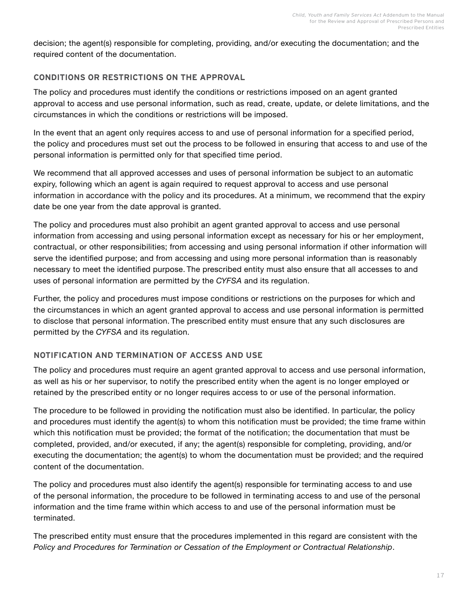decision; the agent(s) responsible for completing, providing, and/or executing the documentation; and the required content of the documentation.

## **CONDITIONS OR RESTRICTIONS ON THE APPROVAL**

The policy and procedures must identify the conditions or restrictions imposed on an agent granted approval to access and use personal information, such as read, create, update, or delete limitations, and the circumstances in which the conditions or restrictions will be imposed.

In the event that an agent only requires access to and use of personal information for a specified period, the policy and procedures must set out the process to be followed in ensuring that access to and use of the personal information is permitted only for that specified time period.

We recommend that all approved accesses and uses of personal information be subject to an automatic expiry, following which an agent is again required to request approval to access and use personal information in accordance with the policy and its procedures. At a minimum, we recommend that the expiry date be one year from the date approval is granted.

The policy and procedures must also prohibit an agent granted approval to access and use personal information from accessing and using personal information except as necessary for his or her employment, contractual, or other responsibilities; from accessing and using personal information if other information will serve the identified purpose; and from accessing and using more personal information than is reasonably necessary to meet the identified purpose. The prescribed entity must also ensure that all accesses to and uses of personal information are permitted by the *CYFSA* and its regulation.

Further, the policy and procedures must impose conditions or restrictions on the purposes for which and the circumstances in which an agent granted approval to access and use personal information is permitted to disclose that personal information. The prescribed entity must ensure that any such disclosures are permitted by the *CYFSA* and its regulation.

## **NOTIFICATION AND TERMINATION OF ACCESS AND USE**

The policy and procedures must require an agent granted approval to access and use personal information, as well as his or her supervisor, to notify the prescribed entity when the agent is no longer employed or retained by the prescribed entity or no longer requires access to or use of the personal information.

The procedure to be followed in providing the notification must also be identified. In particular, the policy and procedures must identify the agent(s) to whom this notification must be provided; the time frame within which this notification must be provided; the format of the notification; the documentation that must be completed, provided, and/or executed, if any; the agent(s) responsible for completing, providing, and/or executing the documentation; the agent(s) to whom the documentation must be provided; and the required content of the documentation.

The policy and procedures must also identify the agent(s) responsible for terminating access to and use of the personal information, the procedure to be followed in terminating access to and use of the personal information and the time frame within which access to and use of the personal information must be terminated.

The prescribed entity must ensure that the procedures implemented in this regard are consistent with the *Policy and Procedures for Termination or Cessation of the Employment or Contractual Relationship*.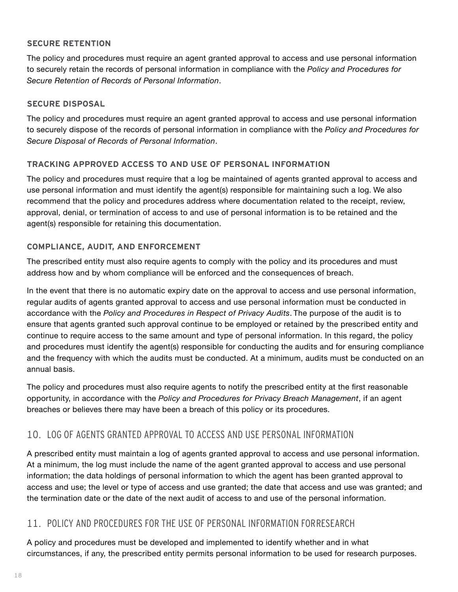## <span id="page-19-0"></span>**SECURE RETENTION**

The policy and procedures must require an agent granted approval to access and use personal information to securely retain the records of personal information in compliance with the *Policy and Procedures for Secure Retention of Records of Personal Information*.

## **SECURE DISPOSAL**

The policy and procedures must require an agent granted approval to access and use personal information to securely dispose of the records of personal information in compliance with the *Policy and Procedures for Secure Disposal of Records of Personal Information*.

## **TRACKING APPROVED ACCESS TO AND USE OF PERSONAL INFORMATION**

The policy and procedures must require that a log be maintained of agents granted approval to access and use personal information and must identify the agent(s) responsible for maintaining such a log. We also recommend that the policy and procedures address where documentation related to the receipt, review, approval, denial, or termination of access to and use of personal information is to be retained and the agent(s) responsible for retaining this documentation.

## **COMPLIANCE, AUDIT, AND ENFORCEMENT**

The prescribed entity must also require agents to comply with the policy and its procedures and must address how and by whom compliance will be enforced and the consequences of breach.

In the event that there is no automatic expiry date on the approval to access and use personal information, regular audits of agents granted approval to access and use personal information must be conducted in accordance with the *Policy and Procedures in Respect of Privacy Audits*. The purpose of the audit is to ensure that agents granted such approval continue to be employed or retained by the prescribed entity and continue to require access to the same amount and type of personal information. In this regard, the policy and procedures must identify the agent(s) responsible for conducting the audits and for ensuring compliance and the frequency with which the audits must be conducted. At a minimum, audits must be conducted on an annual basis.

The policy and procedures must also require agents to notify the prescribed entity at the first reasonable opportunity, in accordance with the *Policy and Procedures for Privacy Breach Management*, if an agent breaches or believes there may have been a breach of this policy or its procedures.

## 10. LOG OF AGENTS GRANTED APPROVAL TO ACCESS AND USE PERSONAL INFORMATION

A prescribed entity must maintain a log of agents granted approval to access and use personal information. At a minimum, the log must include the name of the agent granted approval to access and use personal information; the data holdings of personal information to which the agent has been granted approval to access and use; the level or type of access and use granted; the date that access and use was granted; and the termination date or the date of the next audit of access to and use of the personal information.

## 11. POLICY AND PROCEDURES FOR THE USE OF PERSONAL INFORMATION FOR RESEARCH

A policy and procedures must be developed and implemented to identify whether and in what circumstances, if any, the prescribed entity permits personal information to be used for research purposes.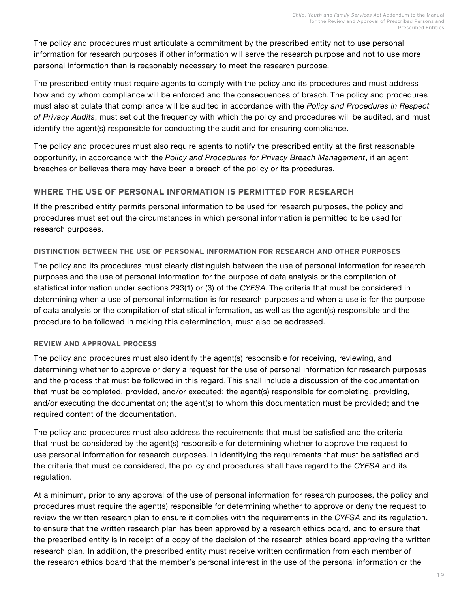The policy and procedures must articulate a commitment by the prescribed entity not to use personal information for research purposes if other information will serve the research purpose and not to use more personal information than is reasonably necessary to meet the research purpose.

The prescribed entity must require agents to comply with the policy and its procedures and must address how and by whom compliance will be enforced and the consequences of breach. The policy and procedures must also stipulate that compliance will be audited in accordance with the *Policy and Procedures in Respect of Privacy Audits*, must set out the frequency with which the policy and procedures will be audited, and must identify the agent(s) responsible for conducting the audit and for ensuring compliance.

The policy and procedures must also require agents to notify the prescribed entity at the first reasonable opportunity, in accordance with the *Policy and Procedures for Privacy Breach Management*, if an agent breaches or believes there may have been a breach of the policy or its procedures.

## **WHERE THE USE OF PERSONAL INFORMATION IS PERMITTED FOR RESEARCH**

If the prescribed entity permits personal information to be used for research purposes, the policy and procedures must set out the circumstances in which personal information is permitted to be used for research purposes.

#### **DISTINCTION BETWEEN THE USE OF PERSONAL INFORMATION FOR RESEARCH AND OTHER PURPOSES**

The policy and its procedures must clearly distinguish between the use of personal information for research purposes and the use of personal information for the purpose of data analysis or the compilation of statistical information under sections 293(1) or (3) of the *CYFSA*. The criteria that must be considered in determining when a use of personal information is for research purposes and when a use is for the purpose of data analysis or the compilation of statistical information, as well as the agent(s) responsible and the procedure to be followed in making this determination, must also be addressed.

## **REVIEW AND APPROVAL PROCESS**

The policy and procedures must also identify the agent(s) responsible for receiving, reviewing, and determining whether to approve or deny a request for the use of personal information for research purposes and the process that must be followed in this regard. This shall include a discussion of the documentation that must be completed, provided, and/or executed; the agent(s) responsible for completing, providing, and/or executing the documentation; the agent(s) to whom this documentation must be provided; and the required content of the documentation.

The policy and procedures must also address the requirements that must be satisfied and the criteria that must be considered by the agent(s) responsible for determining whether to approve the request to use personal information for research purposes. In identifying the requirements that must be satisfied and the criteria that must be considered, the policy and procedures shall have regard to the *CYFSA* and its regulation.

At a minimum, prior to any approval of the use of personal information for research purposes, the policy and procedures must require the agent(s) responsible for determining whether to approve or deny the request to review the written research plan to ensure it complies with the requirements in the *CYFSA* and its regulation, to ensure that the written research plan has been approved by a research ethics board, and to ensure that the prescribed entity is in receipt of a copy of the decision of the research ethics board approving the written research plan. In addition, the prescribed entity must receive written confirmation from each member of the research ethics board that the member's personal interest in the use of the personal information or the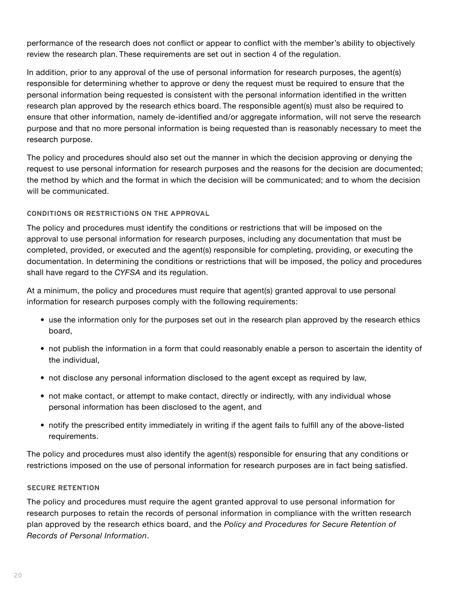performance of the research does not conflict or appear to conflict with the member's ability to objectively review the research plan. These requirements are set out in section 4 of the regulation.

In addition, prior to any approval of the use of personal information for research purposes, the agent(s) responsible for determining whether to approve or deny the request must be required to ensure that the personal information being requested is consistent with the personal information identified in the written research plan approved by the research ethics board. The responsible agent(s) must also be required to ensure that other information, namely de-identified and/or aggregate information, will not serve the research purpose and that no more personal information is being requested than is reasonably necessary to meet the research purpose.

The policy and procedures should also set out the manner in which the decision approving or denying the request to use personal information for research purposes and the reasons for the decision are documented; the method by which and the format in which the decision will be communicated; and to whom the decision will be communicated.

#### **CONDITIONS OR RESTRICTIONS ON THE APPROVAL**

The policy and procedures must identify the conditions or restrictions that will be imposed on the approval to use personal information for research purposes, including any documentation that must be completed, provided, or executed and the agent(s) responsible for completing, providing, or executing the documentation. In determining the conditions or restrictions that will be imposed, the policy and procedures shall have regard to the *CYFSA* and its regulation.

At a minimum, the policy and procedures must require that agent(s) granted approval to use personal information for research purposes comply with the following requirements:

- use the information only for the purposes set out in the research plan approved by the research ethics board,
- not publish the information in a form that could reasonably enable a person to ascertain the identity of the individual,
- not disclose any personal information disclosed to the agent except as required by law,
- not make contact, or attempt to make contact, directly or indirectly, with any individual whose personal information has been disclosed to the agent, and
- notify the prescribed entity immediately in writing if the agent fails to fulfill any of the above-listed requirements.

The policy and procedures must also identify the agent(s) responsible for ensuring that any conditions or restrictions imposed on the use of personal information for research purposes are in fact being satisfied.

#### **SECURE RETENTION**

The policy and procedures must require the agent granted approval to use personal information for research purposes to retain the records of personal information in compliance with the written research plan approved by the research ethics board, and the *Policy and Procedures for Secure Retention of Records of Personal Information*.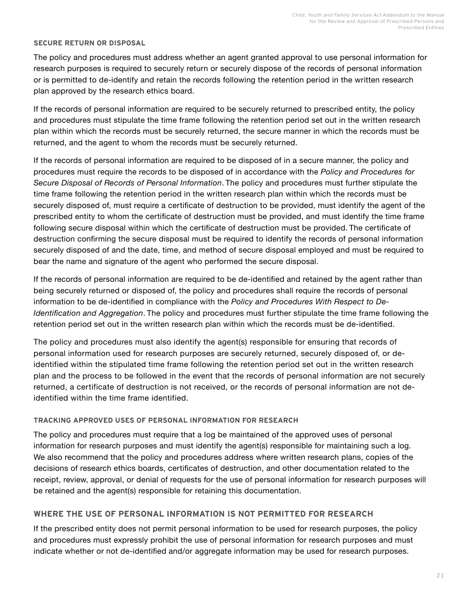#### **SECURE RETURN OR DISPOSAL**

The policy and procedures must address whether an agent granted approval to use personal information for research purposes is required to securely return or securely dispose of the records of personal information or is permitted to de-identify and retain the records following the retention period in the written research plan approved by the research ethics board.

If the records of personal information are required to be securely returned to prescribed entity, the policy and procedures must stipulate the time frame following the retention period set out in the written research plan within which the records must be securely returned, the secure manner in which the records must be returned, and the agent to whom the records must be securely returned.

If the records of personal information are required to be disposed of in a secure manner, the policy and procedures must require the records to be disposed of in accordance with the *Policy and Procedures for Secure Disposal of Records of Personal Information*. The policy and procedures must further stipulate the time frame following the retention period in the written research plan within which the records must be securely disposed of, must require a certificate of destruction to be provided, must identify the agent of the prescribed entity to whom the certificate of destruction must be provided, and must identify the time frame following secure disposal within which the certificate of destruction must be provided. The certificate of destruction confirming the secure disposal must be required to identify the records of personal information securely disposed of and the date, time, and method of secure disposal employed and must be required to bear the name and signature of the agent who performed the secure disposal.

If the records of personal information are required to be de-identified and retained by the agent rather than being securely returned or disposed of, the policy and procedures shall require the records of personal information to be de-identified in compliance with the *Policy and Procedures With Respect to De-Identification and Aggregation*. The policy and procedures must further stipulate the time frame following the retention period set out in the written research plan within which the records must be de-identified.

The policy and procedures must also identify the agent(s) responsible for ensuring that records of personal information used for research purposes are securely returned, securely disposed of, or deidentified within the stipulated time frame following the retention period set out in the written research plan and the process to be followed in the event that the records of personal information are not securely returned, a certificate of destruction is not received, or the records of personal information are not deidentified within the time frame identified.

#### **TRACKING APPROVED USES OF PERSONAL INFORMATION FOR RESEARCH**

The policy and procedures must require that a log be maintained of the approved uses of personal information for research purposes and must identify the agent(s) responsible for maintaining such a log. We also recommend that the policy and procedures address where written research plans, copies of the decisions of research ethics boards, certificates of destruction, and other documentation related to the receipt, review, approval, or denial of requests for the use of personal information for research purposes will be retained and the agent(s) responsible for retaining this documentation.

## **WHERE THE USE OF PERSONAL INFORMATION IS NOT PERMITTED FOR RESEARCH**

If the prescribed entity does not permit personal information to be used for research purposes, the policy and procedures must expressly prohibit the use of personal information for research purposes and must indicate whether or not de-identified and/or aggregate information may be used for research purposes.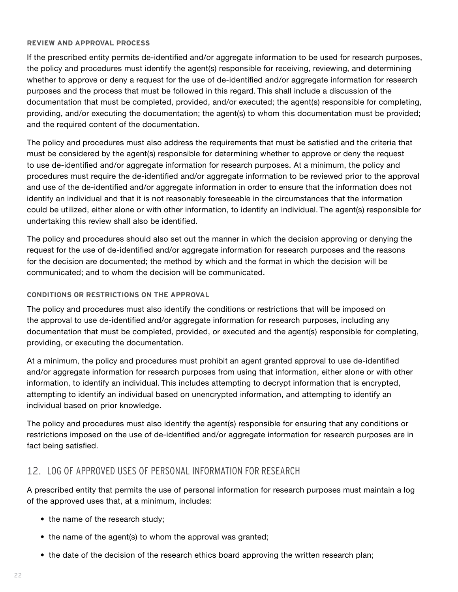#### <span id="page-23-0"></span>**REVIEW AND APPROVAL PROCESS**

If the prescribed entity permits de-identified and/or aggregate information to be used for research purposes, the policy and procedures must identify the agent(s) responsible for receiving, reviewing, and determining whether to approve or deny a request for the use of de-identified and/or aggregate information for research purposes and the process that must be followed in this regard. This shall include a discussion of the documentation that must be completed, provided, and/or executed; the agent(s) responsible for completing, providing, and/or executing the documentation; the agent(s) to whom this documentation must be provided; and the required content of the documentation.

The policy and procedures must also address the requirements that must be satisfied and the criteria that must be considered by the agent(s) responsible for determining whether to approve or deny the request to use de-identified and/or aggregate information for research purposes. At a minimum, the policy and procedures must require the de-identified and/or aggregate information to be reviewed prior to the approval and use of the de-identified and/or aggregate information in order to ensure that the information does not identify an individual and that it is not reasonably foreseeable in the circumstances that the information could be utilized, either alone or with other information, to identify an individual. The agent(s) responsible for undertaking this review shall also be identified.

The policy and procedures should also set out the manner in which the decision approving or denying the request for the use of de-identified and/or aggregate information for research purposes and the reasons for the decision are documented; the method by which and the format in which the decision will be communicated; and to whom the decision will be communicated.

#### **CONDITIONS OR RESTRICTIONS ON THE APPROVAL**

The policy and procedures must also identify the conditions or restrictions that will be imposed on the approval to use de-identified and/or aggregate information for research purposes, including any documentation that must be completed, provided, or executed and the agent(s) responsible for completing, providing, or executing the documentation.

At a minimum, the policy and procedures must prohibit an agent granted approval to use de-identified and/or aggregate information for research purposes from using that information, either alone or with other information, to identify an individual. This includes attempting to decrypt information that is encrypted, attempting to identify an individual based on unencrypted information, and attempting to identify an individual based on prior knowledge.

The policy and procedures must also identify the agent(s) responsible for ensuring that any conditions or restrictions imposed on the use of de-identified and/or aggregate information for research purposes are in fact being satisfied.

## 12. LOG OF APPROVED USES OF PERSONAL INFORMATION FOR RESEARCH

A prescribed entity that permits the use of personal information for research purposes must maintain a log of the approved uses that, at a minimum, includes:

- the name of the research study;
- the name of the agent(s) to whom the approval was granted;
- the date of the decision of the research ethics board approving the written research plan;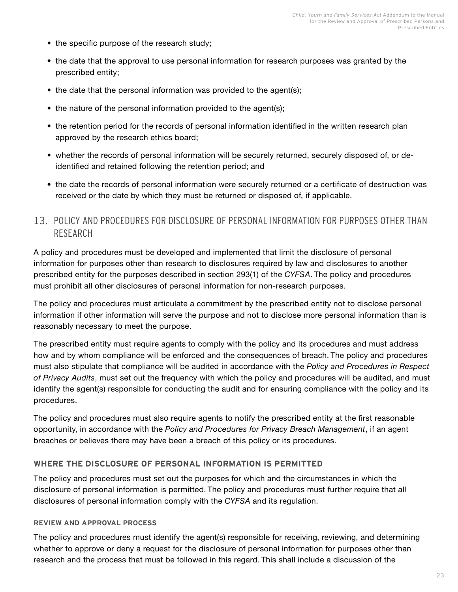- <span id="page-24-0"></span>• the specific purpose of the research study;
- the date that the approval to use personal information for research purposes was granted by the prescribed entity;
- the date that the personal information was provided to the agent(s);
- the nature of the personal information provided to the agent(s);
- the retention period for the records of personal information identified in the written research plan approved by the research ethics board;
- whether the records of personal information will be securely returned, securely disposed of, or deidentified and retained following the retention period; and
- the date the records of personal information were securely returned or a certificate of destruction was received or the date by which they must be returned or disposed of, if applicable.

## 13. POLICY AND PROCEDURES FOR DISCLOSURE OF PERSONAL INFORMATION FOR PURPOSES OTHER THAN RESEARCH

A policy and procedures must be developed and implemented that limit the disclosure of personal information for purposes other than research to disclosures required by law and disclosures to another prescribed entity for the purposes described in section 293(1) of the *CYFSA*. The policy and procedures must prohibit all other disclosures of personal information for non-research purposes.

The policy and procedures must articulate a commitment by the prescribed entity not to disclose personal information if other information will serve the purpose and not to disclose more personal information than is reasonably necessary to meet the purpose.

The prescribed entity must require agents to comply with the policy and its procedures and must address how and by whom compliance will be enforced and the consequences of breach. The policy and procedures must also stipulate that compliance will be audited in accordance with the *Policy and Procedures in Respect of Privacy Audits*, must set out the frequency with which the policy and procedures will be audited, and must identify the agent(s) responsible for conducting the audit and for ensuring compliance with the policy and its procedures.

The policy and procedures must also require agents to notify the prescribed entity at the first reasonable opportunity, in accordance with the *Policy and Procedures for Privacy Breach Management*, if an agent breaches or believes there may have been a breach of this policy or its procedures.

#### **WHERE THE DISCLOSURE OF PERSONAL INFORMATION IS PERMITTED**

The policy and procedures must set out the purposes for which and the circumstances in which the disclosure of personal information is permitted. The policy and procedures must further require that all disclosures of personal information comply with the *CYFSA* and its regulation.

#### **REVIEW AND APPROVAL PROCESS**

The policy and procedures must identify the agent(s) responsible for receiving, reviewing, and determining whether to approve or deny a request for the disclosure of personal information for purposes other than research and the process that must be followed in this regard. This shall include a discussion of the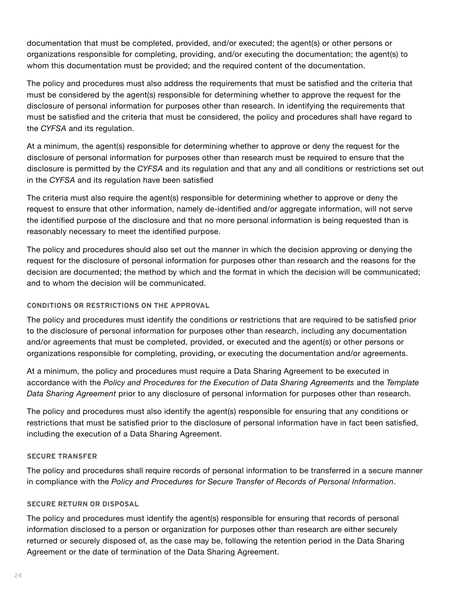documentation that must be completed, provided, and/or executed; the agent(s) or other persons or organizations responsible for completing, providing, and/or executing the documentation; the agent(s) to whom this documentation must be provided; and the required content of the documentation.

The policy and procedures must also address the requirements that must be satisfied and the criteria that must be considered by the agent(s) responsible for determining whether to approve the request for the disclosure of personal information for purposes other than research. In identifying the requirements that must be satisfied and the criteria that must be considered, the policy and procedures shall have regard to the *CYFSA* and its regulation.

At a minimum, the agent(s) responsible for determining whether to approve or deny the request for the disclosure of personal information for purposes other than research must be required to ensure that the disclosure is permitted by the *CYFSA* and its regulation and that any and all conditions or restrictions set out in the *CYFSA* and its regulation have been satisfied

The criteria must also require the agent(s) responsible for determining whether to approve or deny the request to ensure that other information, namely de-identified and/or aggregate information, will not serve the identified purpose of the disclosure and that no more personal information is being requested than is reasonably necessary to meet the identified purpose.

The policy and procedures should also set out the manner in which the decision approving or denying the request for the disclosure of personal information for purposes other than research and the reasons for the decision are documented; the method by which and the format in which the decision will be communicated; and to whom the decision will be communicated.

## **CONDITIONS OR RESTRICTIONS ON THE APPROVAL**

The policy and procedures must identify the conditions or restrictions that are required to be satisfied prior to the disclosure of personal information for purposes other than research, including any documentation and/or agreements that must be completed, provided, or executed and the agent(s) or other persons or organizations responsible for completing, providing, or executing the documentation and/or agreements.

At a minimum, the policy and procedures must require a Data Sharing Agreement to be executed in accordance with the *Policy and Procedures for the Execution of Data Sharing Agreements* and the *Template Data Sharing Agreement* prior to any disclosure of personal information for purposes other than research.

The policy and procedures must also identify the agent(s) responsible for ensuring that any conditions or restrictions that must be satisfied prior to the disclosure of personal information have in fact been satisfied, including the execution of a Data Sharing Agreement.

#### **SECURE TRANSFER**

The policy and procedures shall require records of personal information to be transferred in a secure manner in compliance with the *Policy and Procedures for Secure Transfer of Records of Personal Information*.

## **SECURE RETURN OR DISPOSAL**

The policy and procedures must identify the agent(s) responsible for ensuring that records of personal information disclosed to a person or organization for purposes other than research are either securely returned or securely disposed of, as the case may be, following the retention period in the Data Sharing Agreement or the date of termination of the Data Sharing Agreement.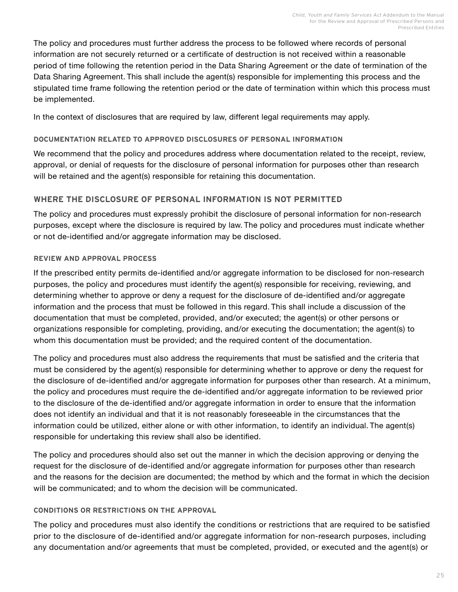The policy and procedures must further address the process to be followed where records of personal information are not securely returned or a certificate of destruction is not received within a reasonable period of time following the retention period in the Data Sharing Agreement or the date of termination of the Data Sharing Agreement. This shall include the agent(s) responsible for implementing this process and the stipulated time frame following the retention period or the date of termination within which this process must be implemented.

In the context of disclosures that are required by law, different legal requirements may apply.

#### **DOCUMENTATION RELATED TO APPROVED DISCLOSURES OF PERSONAL INFORMATION**

We recommend that the policy and procedures address where documentation related to the receipt, review, approval, or denial of requests for the disclosure of personal information for purposes other than research will be retained and the agent(s) responsible for retaining this documentation.

## **WHERE THE DISCLOSURE OF PERSONAL INFORMATION IS NOT PERMITTED**

The policy and procedures must expressly prohibit the disclosure of personal information for non-research purposes, except where the disclosure is required by law. The policy and procedures must indicate whether or not de-identified and/or aggregate information may be disclosed.

## **REVIEW AND APPROVAL PROCESS**

If the prescribed entity permits de-identified and/or aggregate information to be disclosed for non-research purposes, the policy and procedures must identify the agent(s) responsible for receiving, reviewing, and determining whether to approve or deny a request for the disclosure of de-identified and/or aggregate information and the process that must be followed in this regard. This shall include a discussion of the documentation that must be completed, provided, and/or executed; the agent(s) or other persons or organizations responsible for completing, providing, and/or executing the documentation; the agent(s) to whom this documentation must be provided; and the required content of the documentation.

The policy and procedures must also address the requirements that must be satisfied and the criteria that must be considered by the agent(s) responsible for determining whether to approve or deny the request for the disclosure of de-identified and/or aggregate information for purposes other than research. At a minimum, the policy and procedures must require the de-identified and/or aggregate information to be reviewed prior to the disclosure of the de-identified and/or aggregate information in order to ensure that the information does not identify an individual and that it is not reasonably foreseeable in the circumstances that the information could be utilized, either alone or with other information, to identify an individual. The agent(s) responsible for undertaking this review shall also be identified.

The policy and procedures should also set out the manner in which the decision approving or denying the request for the disclosure of de-identified and/or aggregate information for purposes other than research and the reasons for the decision are documented; the method by which and the format in which the decision will be communicated; and to whom the decision will be communicated.

#### **CONDITIONS OR RESTRICTIONS ON THE APPROVAL**

The policy and procedures must also identify the conditions or restrictions that are required to be satisfied prior to the disclosure of de-identified and/or aggregate information for non-research purposes, including any documentation and/or agreements that must be completed, provided, or executed and the agent(s) or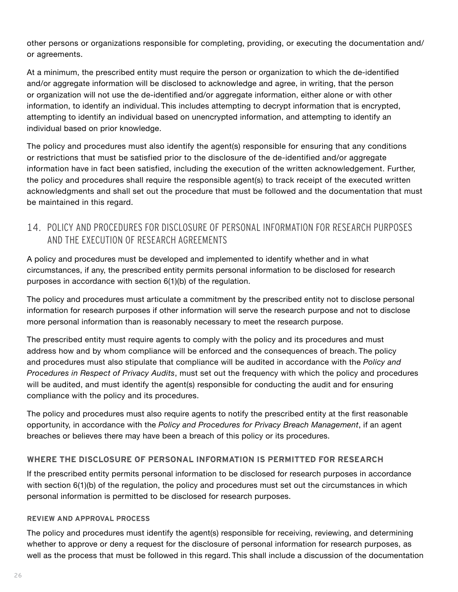<span id="page-27-0"></span>other persons or organizations responsible for completing, providing, or executing the documentation and/ or agreements.

At a minimum, the prescribed entity must require the person or organization to which the de-identified and/or aggregate information will be disclosed to acknowledge and agree, in writing, that the person or organization will not use the de-identified and/or aggregate information, either alone or with other information, to identify an individual. This includes attempting to decrypt information that is encrypted, attempting to identify an individual based on unencrypted information, and attempting to identify an individual based on prior knowledge.

The policy and procedures must also identify the agent(s) responsible for ensuring that any conditions or restrictions that must be satisfied prior to the disclosure of the de-identified and/or aggregate information have in fact been satisfied, including the execution of the written acknowledgement. Further, the policy and procedures shall require the responsible agent(s) to track receipt of the executed written acknowledgments and shall set out the procedure that must be followed and the documentation that must be maintained in this regard.

## 14. POLICY AND PROCEDURES FOR DISCLOSURE OF PERSONAL INFORMATION FOR RESEARCH PURPOSES AND THE EXECUTION OF RESEARCH AGREEMENTS

A policy and procedures must be developed and implemented to identify whether and in what circumstances, if any, the prescribed entity permits personal information to be disclosed for research purposes in accordance with section 6(1)(b) of the regulation.

The policy and procedures must articulate a commitment by the prescribed entity not to disclose personal information for research purposes if other information will serve the research purpose and not to disclose more personal information than is reasonably necessary to meet the research purpose.

The prescribed entity must require agents to comply with the policy and its procedures and must address how and by whom compliance will be enforced and the consequences of breach. The policy and procedures must also stipulate that compliance will be audited in accordance with the *Policy and Procedures in Respect of Privacy Audits*, must set out the frequency with which the policy and procedures will be audited, and must identify the agent(s) responsible for conducting the audit and for ensuring compliance with the policy and its procedures.

The policy and procedures must also require agents to notify the prescribed entity at the first reasonable opportunity, in accordance with the *Policy and Procedures for Privacy Breach Management*, if an agent breaches or believes there may have been a breach of this policy or its procedures.

## **WHERE THE DISCLOSURE OF PERSONAL INFORMATION IS PERMITTED FOR RESEARCH**

If the prescribed entity permits personal information to be disclosed for research purposes in accordance with section 6(1)(b) of the regulation, the policy and procedures must set out the circumstances in which personal information is permitted to be disclosed for research purposes.

#### **REVIEW AND APPROVAL PROCESS**

The policy and procedures must identify the agent(s) responsible for receiving, reviewing, and determining whether to approve or deny a request for the disclosure of personal information for research purposes, as well as the process that must be followed in this regard. This shall include a discussion of the documentation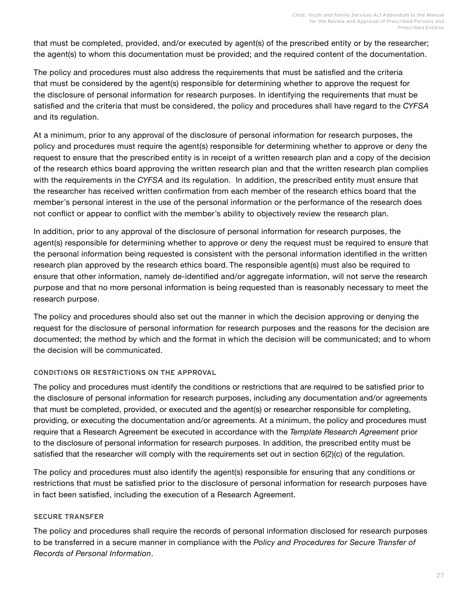that must be completed, provided, and/or executed by agent(s) of the prescribed entity or by the researcher; the agent(s) to whom this documentation must be provided; and the required content of the documentation.

The policy and procedures must also address the requirements that must be satisfied and the criteria that must be considered by the agent(s) responsible for determining whether to approve the request for the disclosure of personal information for research purposes. In identifying the requirements that must be satisfied and the criteria that must be considered, the policy and procedures shall have regard to the *CYFSA*  and its regulation.

At a minimum, prior to any approval of the disclosure of personal information for research purposes, the policy and procedures must require the agent(s) responsible for determining whether to approve or deny the request to ensure that the prescribed entity is in receipt of a written research plan and a copy of the decision of the research ethics board approving the written research plan and that the written research plan complies with the requirements in the *CYFSA* and its regulation. In addition, the prescribed entity must ensure that the researcher has received written confirmation from each member of the research ethics board that the member's personal interest in the use of the personal information or the performance of the research does not conflict or appear to conflict with the member's ability to objectively review the research plan.

In addition, prior to any approval of the disclosure of personal information for research purposes, the agent(s) responsible for determining whether to approve or deny the request must be required to ensure that the personal information being requested is consistent with the personal information identified in the written research plan approved by the research ethics board. The responsible agent(s) must also be required to ensure that other information, namely de-identified and/or aggregate information, will not serve the research purpose and that no more personal information is being requested than is reasonably necessary to meet the research purpose.

The policy and procedures should also set out the manner in which the decision approving or denying the request for the disclosure of personal information for research purposes and the reasons for the decision are documented; the method by which and the format in which the decision will be communicated; and to whom the decision will be communicated.

#### **CONDITIONS OR RESTRICTIONS ON THE APPROVAL**

The policy and procedures must identify the conditions or restrictions that are required to be satisfied prior to the disclosure of personal information for research purposes, including any documentation and/or agreements that must be completed, provided, or executed and the agent(s) or researcher responsible for completing, providing, or executing the documentation and/or agreements. At a minimum, the policy and procedures must require that a Research Agreement be executed in accordance with the *Template Research Agreement* prior to the disclosure of personal information for research purposes. In addition, the prescribed entity must be satisfied that the researcher will comply with the requirements set out in section 6(2)(c) of the regulation.

The policy and procedures must also identify the agent(s) responsible for ensuring that any conditions or restrictions that must be satisfied prior to the disclosure of personal information for research purposes have in fact been satisfied, including the execution of a Research Agreement.

#### **SECURE TRANSFER**

The policy and procedures shall require the records of personal information disclosed for research purposes to be transferred in a secure manner in compliance with the *Policy and Procedures for Secure Transfer of Records of Personal Information*.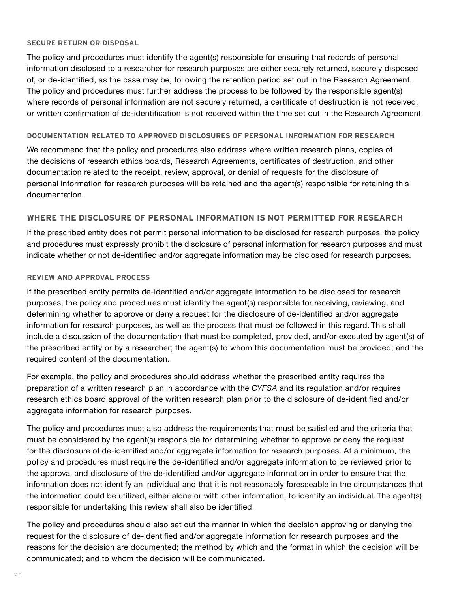#### **SECURE RETURN OR DISPOSAL**

The policy and procedures must identify the agent(s) responsible for ensuring that records of personal information disclosed to a researcher for research purposes are either securely returned, securely disposed of, or de-identified, as the case may be, following the retention period set out in the Research Agreement. The policy and procedures must further address the process to be followed by the responsible agent(s) where records of personal information are not securely returned, a certificate of destruction is not received, or written confirmation of de-identification is not received within the time set out in the Research Agreement.

#### **DOCUMENTATION RELATED TO APPROVED DISCLOSURES OF PERSONAL INFORMATION FOR RESEARCH**

We recommend that the policy and procedures also address where written research plans, copies of the decisions of research ethics boards, Research Agreements, certificates of destruction, and other documentation related to the receipt, review, approval, or denial of requests for the disclosure of personal information for research purposes will be retained and the agent(s) responsible for retaining this documentation.

#### **WHERE THE DISCLOSURE OF PERSONAL INFORMATION IS NOT PERMITTED FOR RESEARCH**

If the prescribed entity does not permit personal information to be disclosed for research purposes, the policy and procedures must expressly prohibit the disclosure of personal information for research purposes and must indicate whether or not de-identified and/or aggregate information may be disclosed for research purposes.

#### **REVIEW AND APPROVAL PROCESS**

If the prescribed entity permits de-identified and/or aggregate information to be disclosed for research purposes, the policy and procedures must identify the agent(s) responsible for receiving, reviewing, and determining whether to approve or deny a request for the disclosure of de-identified and/or aggregate information for research purposes, as well as the process that must be followed in this regard. This shall include a discussion of the documentation that must be completed, provided, and/or executed by agent(s) of the prescribed entity or by a researcher; the agent(s) to whom this documentation must be provided; and the required content of the documentation.

For example, the policy and procedures should address whether the prescribed entity requires the preparation of a written research plan in accordance with the *CYFSA* and its regulation and/or requires research ethics board approval of the written research plan prior to the disclosure of de-identified and/or aggregate information for research purposes.

The policy and procedures must also address the requirements that must be satisfied and the criteria that must be considered by the agent(s) responsible for determining whether to approve or deny the request for the disclosure of de-identified and/or aggregate information for research purposes. At a minimum, the policy and procedures must require the de-identified and/or aggregate information to be reviewed prior to the approval and disclosure of the de-identified and/or aggregate information in order to ensure that the information does not identify an individual and that it is not reasonably foreseeable in the circumstances that the information could be utilized, either alone or with other information, to identify an individual. The agent(s) responsible for undertaking this review shall also be identified.

The policy and procedures should also set out the manner in which the decision approving or denying the request for the disclosure of de-identified and/or aggregate information for research purposes and the reasons for the decision are documented; the method by which and the format in which the decision will be communicated; and to whom the decision will be communicated.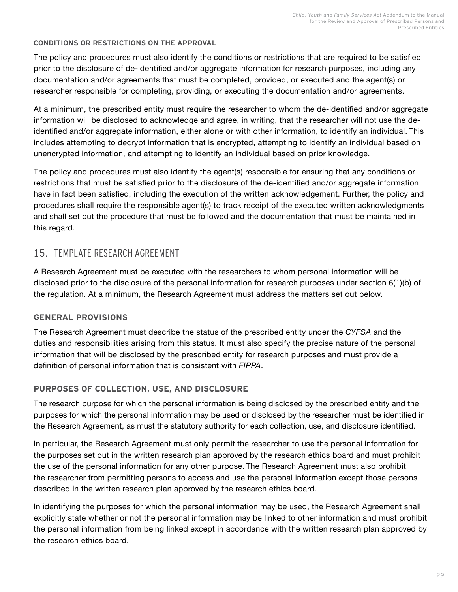#### <span id="page-30-0"></span>**CONDITIONS OR RESTRICTIONS ON THE APPROVAL**

The policy and procedures must also identify the conditions or restrictions that are required to be satisfied prior to the disclosure of de-identified and/or aggregate information for research purposes, including any documentation and/or agreements that must be completed, provided, or executed and the agent(s) or researcher responsible for completing, providing, or executing the documentation and/or agreements.

At a minimum, the prescribed entity must require the researcher to whom the de-identified and/or aggregate information will be disclosed to acknowledge and agree, in writing, that the researcher will not use the deidentified and/or aggregate information, either alone or with other information, to identify an individual. This includes attempting to decrypt information that is encrypted, attempting to identify an individual based on unencrypted information, and attempting to identify an individual based on prior knowledge.

The policy and procedures must also identify the agent(s) responsible for ensuring that any conditions or restrictions that must be satisfied prior to the disclosure of the de-identified and/or aggregate information have in fact been satisfied, including the execution of the written acknowledgement. Further, the policy and procedures shall require the responsible agent(s) to track receipt of the executed written acknowledgments and shall set out the procedure that must be followed and the documentation that must be maintained in this regard.

## 15. TEMPLATE RESEARCH AGREEMENT

A Research Agreement must be executed with the researchers to whom personal information will be disclosed prior to the disclosure of the personal information for research purposes under section 6(1)(b) of the regulation. At a minimum, the Research Agreement must address the matters set out below.

## **GENERAL PROVISIONS**

The Research Agreement must describe the status of the prescribed entity under the *CYFSA* and the duties and responsibilities arising from this status. It must also specify the precise nature of the personal information that will be disclosed by the prescribed entity for research purposes and must provide a definition of personal information that is consistent with *FIPPA*.

## **PURPOSES OF COLLECTION, USE, AND DISCLOSURE**

The research purpose for which the personal information is being disclosed by the prescribed entity and the purposes for which the personal information may be used or disclosed by the researcher must be identified in the Research Agreement, as must the statutory authority for each collection, use, and disclosure identified.

In particular, the Research Agreement must only permit the researcher to use the personal information for the purposes set out in the written research plan approved by the research ethics board and must prohibit the use of the personal information for any other purpose. The Research Agreement must also prohibit the researcher from permitting persons to access and use the personal information except those persons described in the written research plan approved by the research ethics board.

In identifying the purposes for which the personal information may be used, the Research Agreement shall explicitly state whether or not the personal information may be linked to other information and must prohibit the personal information from being linked except in accordance with the written research plan approved by the research ethics board.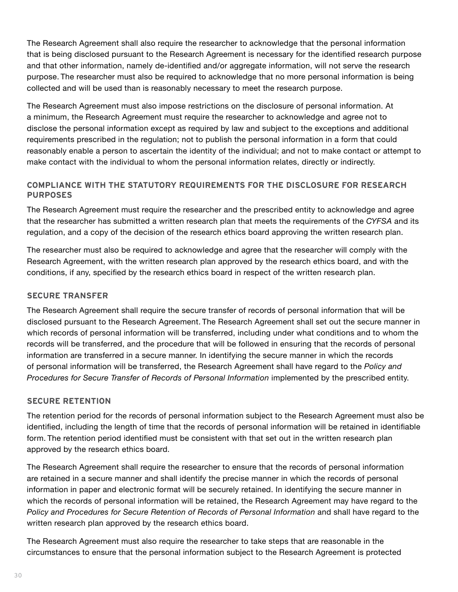The Research Agreement shall also require the researcher to acknowledge that the personal information that is being disclosed pursuant to the Research Agreement is necessary for the identified research purpose and that other information, namely de-identified and/or aggregate information, will not serve the research purpose. The researcher must also be required to acknowledge that no more personal information is being collected and will be used than is reasonably necessary to meet the research purpose.

The Research Agreement must also impose restrictions on the disclosure of personal information. At a minimum, the Research Agreement must require the researcher to acknowledge and agree not to disclose the personal information except as required by law and subject to the exceptions and additional requirements prescribed in the regulation; not to publish the personal information in a form that could reasonably enable a person to ascertain the identity of the individual; and not to make contact or attempt to make contact with the individual to whom the personal information relates, directly or indirectly.

## **COMPLIANCE WITH THE STATUTORY REQUIREMENTS FOR THE DISCLOSURE FOR RESEARCH PURPOSES**

The Research Agreement must require the researcher and the prescribed entity to acknowledge and agree that the researcher has submitted a written research plan that meets the requirements of the *CYFSA* and its regulation, and a copy of the decision of the research ethics board approving the written research plan.

The researcher must also be required to acknowledge and agree that the researcher will comply with the Research Agreement, with the written research plan approved by the research ethics board, and with the conditions, if any, specified by the research ethics board in respect of the written research plan.

#### **SECURE TRANSFER**

The Research Agreement shall require the secure transfer of records of personal information that will be disclosed pursuant to the Research Agreement. The Research Agreement shall set out the secure manner in which records of personal information will be transferred, including under what conditions and to whom the records will be transferred, and the procedure that will be followed in ensuring that the records of personal information are transferred in a secure manner. In identifying the secure manner in which the records of personal information will be transferred, the Research Agreement shall have regard to the *Policy and Procedures for Secure Transfer of Records of Personal Information* implemented by the prescribed entity.

## **SECURE RETENTION**

The retention period for the records of personal information subject to the Research Agreement must also be identified, including the length of time that the records of personal information will be retained in identifiable form. The retention period identified must be consistent with that set out in the written research plan approved by the research ethics board.

The Research Agreement shall require the researcher to ensure that the records of personal information are retained in a secure manner and shall identify the precise manner in which the records of personal information in paper and electronic format will be securely retained. In identifying the secure manner in which the records of personal information will be retained, the Research Agreement may have regard to the *Policy and Procedures for Secure Retention of Records of Personal Information* and shall have regard to the written research plan approved by the research ethics board.

The Research Agreement must also require the researcher to take steps that are reasonable in the circumstances to ensure that the personal information subject to the Research Agreement is protected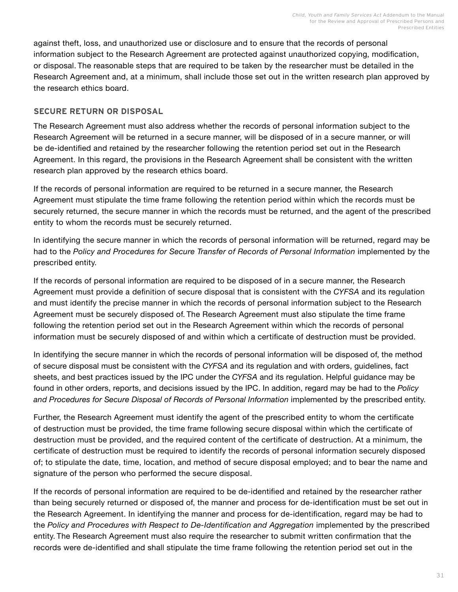against theft, loss, and unauthorized use or disclosure and to ensure that the records of personal information subject to the Research Agreement are protected against unauthorized copying, modification, or disposal. The reasonable steps that are required to be taken by the researcher must be detailed in the Research Agreement and, at a minimum, shall include those set out in the written research plan approved by the research ethics board.

## **SECURE RETURN OR DISPOSAL**

The Research Agreement must also address whether the records of personal information subject to the Research Agreement will be returned in a secure manner, will be disposed of in a secure manner, or will be de-identified and retained by the researcher following the retention period set out in the Research Agreement. In this regard, the provisions in the Research Agreement shall be consistent with the written research plan approved by the research ethics board.

If the records of personal information are required to be returned in a secure manner, the Research Agreement must stipulate the time frame following the retention period within which the records must be securely returned, the secure manner in which the records must be returned, and the agent of the prescribed entity to whom the records must be securely returned.

In identifying the secure manner in which the records of personal information will be returned, regard may be had to the Policy and Procedures for Secure Transfer of Records of Personal Information implemented by the prescribed entity.

If the records of personal information are required to be disposed of in a secure manner, the Research Agreement must provide a definition of secure disposal that is consistent with the *CYFSA* and its regulation and must identify the precise manner in which the records of personal information subject to the Research Agreement must be securely disposed of. The Research Agreement must also stipulate the time frame following the retention period set out in the Research Agreement within which the records of personal information must be securely disposed of and within which a certificate of destruction must be provided.

In identifying the secure manner in which the records of personal information will be disposed of, the method of secure disposal must be consistent with the *CYFSA* and its regulation and with orders, guidelines, fact sheets, and best practices issued by the IPC under the *CYFSA* and its regulation. Helpful guidance may be found in other orders, reports, and decisions issued by the IPC. In addition, regard may be had to the *Policy*  and Procedures for Secure Disposal of Records of Personal Information implemented by the prescribed entity.

Further, the Research Agreement must identify the agent of the prescribed entity to whom the certificate of destruction must be provided, the time frame following secure disposal within which the certificate of destruction must be provided, and the required content of the certificate of destruction. At a minimum, the certificate of destruction must be required to identify the records of personal information securely disposed of; to stipulate the date, time, location, and method of secure disposal employed; and to bear the name and signature of the person who performed the secure disposal.

If the records of personal information are required to be de-identified and retained by the researcher rather than being securely returned or disposed of, the manner and process for de-identification must be set out in the Research Agreement. In identifying the manner and process for de-identification, regard may be had to the *Policy and Procedures with Respect to De-Identification and Aggregation* implemented by the prescribed entity. The Research Agreement must also require the researcher to submit written confirmation that the records were de-identified and shall stipulate the time frame following the retention period set out in the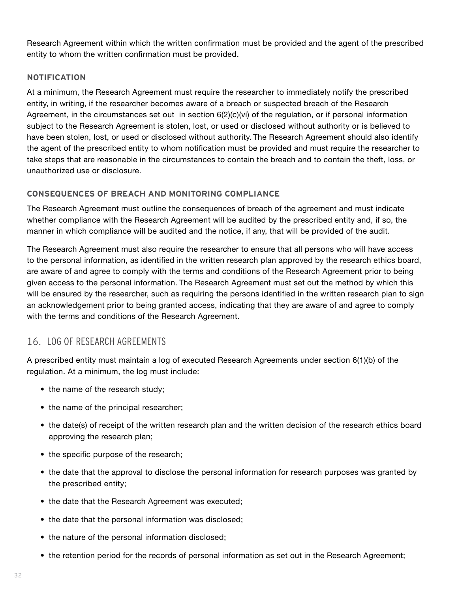<span id="page-33-0"></span>Research Agreement within which the written confirmation must be provided and the agent of the prescribed entity to whom the written confirmation must be provided.

#### **NOTIFICATION**

At a minimum, the Research Agreement must require the researcher to immediately notify the prescribed entity, in writing, if the researcher becomes aware of a breach or suspected breach of the Research Agreement, in the circumstances set out in section 6(2)(c)(vi) of the regulation, or if personal information subject to the Research Agreement is stolen, lost, or used or disclosed without authority or is believed to have been stolen, lost, or used or disclosed without authority. The Research Agreement should also identify the agent of the prescribed entity to whom notification must be provided and must require the researcher to take steps that are reasonable in the circumstances to contain the breach and to contain the theft, loss, or unauthorized use or disclosure.

## **CONSEQUENCES OF BREACH AND MONITORING COMPLIANCE**

The Research Agreement must outline the consequences of breach of the agreement and must indicate whether compliance with the Research Agreement will be audited by the prescribed entity and, if so, the manner in which compliance will be audited and the notice, if any, that will be provided of the audit.

The Research Agreement must also require the researcher to ensure that all persons who will have access to the personal information, as identified in the written research plan approved by the research ethics board, are aware of and agree to comply with the terms and conditions of the Research Agreement prior to being given access to the personal information. The Research Agreement must set out the method by which this will be ensured by the researcher, such as requiring the persons identified in the written research plan to sign an acknowledgement prior to being granted access, indicating that they are aware of and agree to comply with the terms and conditions of the Research Agreement.

## 16. LOG OF RESEARCH AGREEMENTS

A prescribed entity must maintain a log of executed Research Agreements under section 6(1)(b) of the regulation. At a minimum, the log must include:

- the name of the research study;
- the name of the principal researcher;
- the date(s) of receipt of the written research plan and the written decision of the research ethics board approving the research plan;
- the specific purpose of the research;
- the date that the approval to disclose the personal information for research purposes was granted by the prescribed entity;
- the date that the Research Agreement was executed;
- the date that the personal information was disclosed;
- the nature of the personal information disclosed;
- the retention period for the records of personal information as set out in the Research Agreement;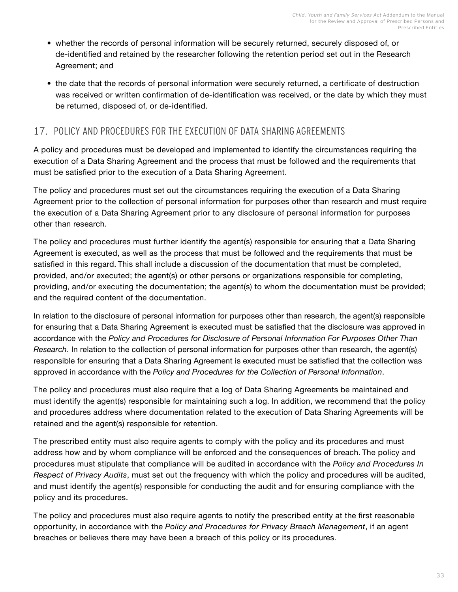- <span id="page-34-0"></span>• whether the records of personal information will be securely returned, securely disposed of, or de-identified and retained by the researcher following the retention period set out in the Research Agreement; and
- the date that the records of personal information were securely returned, a certificate of destruction was received or written confirmation of de-identification was received, or the date by which they must be returned, disposed of, or de-identified.

## 17. POLICY AND PROCEDURES FOR THE EXECUTION OF DATA SHARING AGREEMENTS

A policy and procedures must be developed and implemented to identify the circumstances requiring the execution of a Data Sharing Agreement and the process that must be followed and the requirements that must be satisfied prior to the execution of a Data Sharing Agreement.

The policy and procedures must set out the circumstances requiring the execution of a Data Sharing Agreement prior to the collection of personal information for purposes other than research and must require the execution of a Data Sharing Agreement prior to any disclosure of personal information for purposes other than research.

The policy and procedures must further identify the agent(s) responsible for ensuring that a Data Sharing Agreement is executed, as well as the process that must be followed and the requirements that must be satisfied in this regard. This shall include a discussion of the documentation that must be completed, provided, and/or executed; the agent(s) or other persons or organizations responsible for completing, providing, and/or executing the documentation; the agent(s) to whom the documentation must be provided; and the required content of the documentation.

In relation to the disclosure of personal information for purposes other than research, the agent(s) responsible for ensuring that a Data Sharing Agreement is executed must be satisfied that the disclosure was approved in accordance with the *Policy and Procedures for Disclosure of Personal Information For Purposes Other Than Research*. In relation to the collection of personal information for purposes other than research, the agent(s) responsible for ensuring that a Data Sharing Agreement is executed must be satisfied that the collection was approved in accordance with the *Policy and Procedures for the Collection of Personal Information*.

The policy and procedures must also require that a log of Data Sharing Agreements be maintained and must identify the agent(s) responsible for maintaining such a log. In addition, we recommend that the policy and procedures address where documentation related to the execution of Data Sharing Agreements will be retained and the agent(s) responsible for retention.

The prescribed entity must also require agents to comply with the policy and its procedures and must address how and by whom compliance will be enforced and the consequences of breach. The policy and procedures must stipulate that compliance will be audited in accordance with the *Policy and Procedures In Respect of Privacy Audits*, must set out the frequency with which the policy and procedures will be audited, and must identify the agent(s) responsible for conducting the audit and for ensuring compliance with the policy and its procedures.

The policy and procedures must also require agents to notify the prescribed entity at the first reasonable opportunity, in accordance with the *Policy and Procedures for Privacy Breach Management*, if an agent breaches or believes there may have been a breach of this policy or its procedures.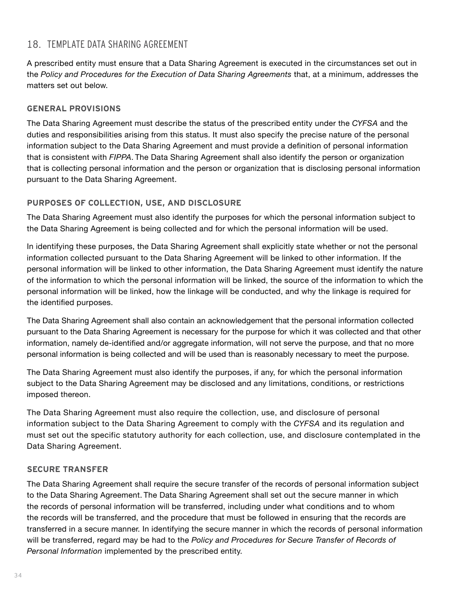## <span id="page-35-0"></span>18. TEMPLATE DATA SHARING AGREEMENT

A prescribed entity must ensure that a Data Sharing Agreement is executed in the circumstances set out in the *Policy and Procedures for the Execution of Data Sharing Agreements* that, at a minimum, addresses the matters set out below.

## **GENERAL PROVISIONS**

The Data Sharing Agreement must describe the status of the prescribed entity under the *CYFSA* and the duties and responsibilities arising from this status. It must also specify the precise nature of the personal information subject to the Data Sharing Agreement and must provide a definition of personal information that is consistent with *FIPPA*. The Data Sharing Agreement shall also identify the person or organization that is collecting personal information and the person or organization that is disclosing personal information pursuant to the Data Sharing Agreement.

## **PURPOSES OF COLLECTION, USE, AND DISCLOSURE**

The Data Sharing Agreement must also identify the purposes for which the personal information subject to the Data Sharing Agreement is being collected and for which the personal information will be used.

In identifying these purposes, the Data Sharing Agreement shall explicitly state whether or not the personal information collected pursuant to the Data Sharing Agreement will be linked to other information. If the personal information will be linked to other information, the Data Sharing Agreement must identify the nature of the information to which the personal information will be linked, the source of the information to which the personal information will be linked, how the linkage will be conducted, and why the linkage is required for the identified purposes.

The Data Sharing Agreement shall also contain an acknowledgement that the personal information collected pursuant to the Data Sharing Agreement is necessary for the purpose for which it was collected and that other information, namely de-identified and/or aggregate information, will not serve the purpose, and that no more personal information is being collected and will be used than is reasonably necessary to meet the purpose.

The Data Sharing Agreement must also identify the purposes, if any, for which the personal information subject to the Data Sharing Agreement may be disclosed and any limitations, conditions, or restrictions imposed thereon.

The Data Sharing Agreement must also require the collection, use, and disclosure of personal information subject to the Data Sharing Agreement to comply with the *CYFSA* and its regulation and must set out the specific statutory authority for each collection, use, and disclosure contemplated in the Data Sharing Agreement.

## **SECURE TRANSFER**

The Data Sharing Agreement shall require the secure transfer of the records of personal information subject to the Data Sharing Agreement. The Data Sharing Agreement shall set out the secure manner in which the records of personal information will be transferred, including under what conditions and to whom the records will be transferred, and the procedure that must be followed in ensuring that the records are transferred in a secure manner. In identifying the secure manner in which the records of personal information will be transferred, regard may be had to the *Policy and Procedures for Secure Transfer of Records of Personal Information* implemented by the prescribed entity.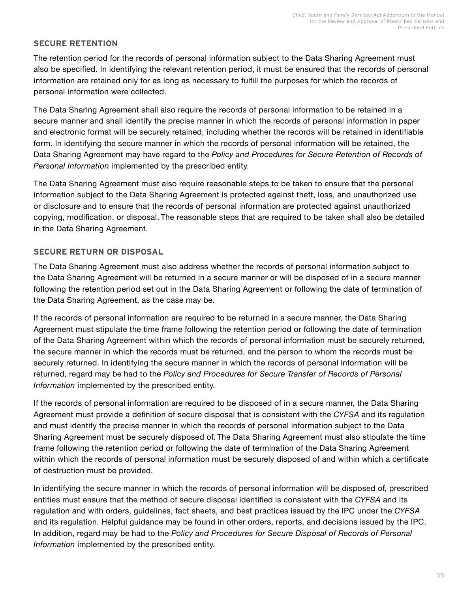## **SECURE RETENTION**

The retention period for the records of personal information subject to the Data Sharing Agreement must also be specified. In identifying the relevant retention period, it must be ensured that the records of personal information are retained only for as long as necessary to fulfill the purposes for which the records of personal information were collected.

The Data Sharing Agreement shall also require the records of personal information to be retained in a secure manner and shall identify the precise manner in which the records of personal information in paper and electronic format will be securely retained, including whether the records will be retained in identifiable form. In identifying the secure manner in which the records of personal information will be retained, the Data Sharing Agreement may have regard to the *Policy and Procedures for Secure Retention of Records of Personal Information* implemented by the prescribed entity.

The Data Sharing Agreement must also require reasonable steps to be taken to ensure that the personal information subject to the Data Sharing Agreement is protected against theft, loss, and unauthorized use or disclosure and to ensure that the records of personal information are protected against unauthorized copying, modification, or disposal. The reasonable steps that are required to be taken shall also be detailed in the Data Sharing Agreement.

## **SECURE RETURN OR DISPOSAL**

The Data Sharing Agreement must also address whether the records of personal information subject to the Data Sharing Agreement will be returned in a secure manner or will be disposed of in a secure manner following the retention period set out in the Data Sharing Agreement or following the date of termination of the Data Sharing Agreement, as the case may be.

If the records of personal information are required to be returned in a secure manner, the Data Sharing Agreement must stipulate the time frame following the retention period or following the date of termination of the Data Sharing Agreement within which the records of personal information must be securely returned, the secure manner in which the records must be returned, and the person to whom the records must be securely returned. In identifying the secure manner in which the records of personal information will be returned, regard may be had to the *Policy and Procedures for Secure Transfer of Records of Personal Information* implemented by the prescribed entity.

If the records of personal information are required to be disposed of in a secure manner, the Data Sharing Agreement must provide a definition of secure disposal that is consistent with the *CYFSA* and its regulation and must identify the precise manner in which the records of personal information subject to the Data Sharing Agreement must be securely disposed of. The Data Sharing Agreement must also stipulate the time frame following the retention period or following the date of termination of the Data Sharing Agreement within which the records of personal information must be securely disposed of and within which a certificate of destruction must be provided.

In identifying the secure manner in which the records of personal information will be disposed of, prescribed entities must ensure that the method of secure disposal identified is consistent with the *CYFSA* and its regulation and with orders, guidelines, fact sheets, and best practices issued by the IPC under the *CYFSA*  and its regulation. Helpful guidance may be found in other orders, reports, and decisions issued by the IPC. In addition, regard may be had to the *Policy and Procedures for Secure Disposal of Records of Personal Information* implemented by the prescribed entity.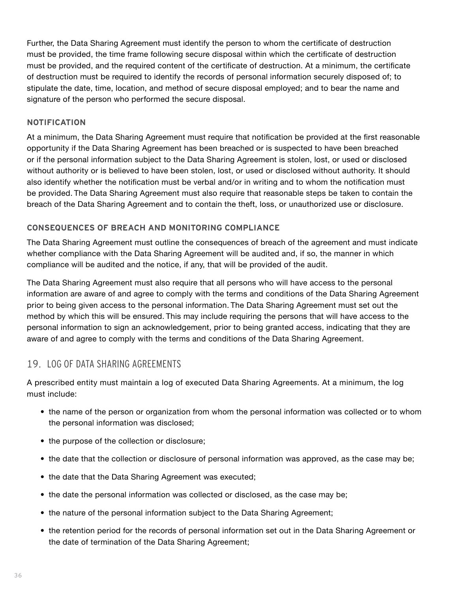<span id="page-37-0"></span>Further, the Data Sharing Agreement must identify the person to whom the certificate of destruction must be provided, the time frame following secure disposal within which the certificate of destruction must be provided, and the required content of the certificate of destruction. At a minimum, the certificate of destruction must be required to identify the records of personal information securely disposed of; to stipulate the date, time, location, and method of secure disposal employed; and to bear the name and signature of the person who performed the secure disposal.

#### **NOTIFICATION**

At a minimum, the Data Sharing Agreement must require that notification be provided at the first reasonable opportunity if the Data Sharing Agreement has been breached or is suspected to have been breached or if the personal information subject to the Data Sharing Agreement is stolen, lost, or used or disclosed without authority or is believed to have been stolen, lost, or used or disclosed without authority. It should also identify whether the notification must be verbal and/or in writing and to whom the notification must be provided. The Data Sharing Agreement must also require that reasonable steps be taken to contain the breach of the Data Sharing Agreement and to contain the theft, loss, or unauthorized use or disclosure.

## **CONSEQUENCES OF BREACH AND MONITORING COMPLIANCE**

The Data Sharing Agreement must outline the consequences of breach of the agreement and must indicate whether compliance with the Data Sharing Agreement will be audited and, if so, the manner in which compliance will be audited and the notice, if any, that will be provided of the audit.

The Data Sharing Agreement must also require that all persons who will have access to the personal information are aware of and agree to comply with the terms and conditions of the Data Sharing Agreement prior to being given access to the personal information. The Data Sharing Agreement must set out the method by which this will be ensured. This may include requiring the persons that will have access to the personal information to sign an acknowledgement, prior to being granted access, indicating that they are aware of and agree to comply with the terms and conditions of the Data Sharing Agreement.

## 19. LOG OF DATA SHARING AGREEMENTS

A prescribed entity must maintain a log of executed Data Sharing Agreements. At a minimum, the log must include:

- the name of the person or organization from whom the personal information was collected or to whom the personal information was disclosed;
- the purpose of the collection or disclosure;
- the date that the collection or disclosure of personal information was approved, as the case may be;
- the date that the Data Sharing Agreement was executed;
- the date the personal information was collected or disclosed, as the case may be;
- the nature of the personal information subject to the Data Sharing Agreement;
- the retention period for the records of personal information set out in the Data Sharing Agreement or the date of termination of the Data Sharing Agreement;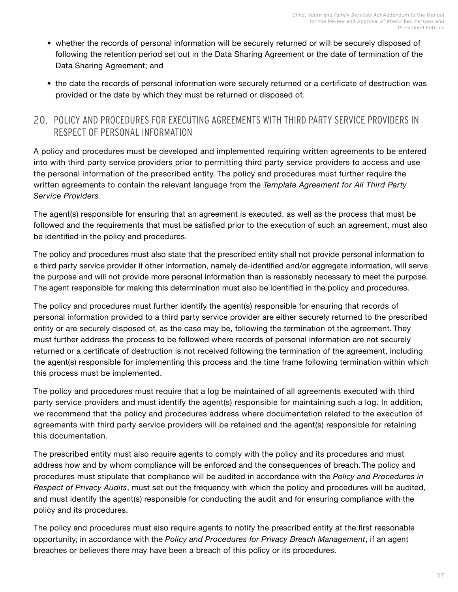- <span id="page-38-0"></span>• whether the records of personal information will be securely returned or will be securely disposed of following the retention period set out in the Data Sharing Agreement or the date of termination of the Data Sharing Agreement; and
- the date the records of personal information were securely returned or a certificate of destruction was provided or the date by which they must be returned or disposed of.

## 20. POLICY AND PROCEDURES FOR EXECUTING AGREEMENTS WITH THIRD PARTY SERVICE PROVIDERS IN RESPECT OF PERSONAL INFORMATION

A policy and procedures must be developed and implemented requiring written agreements to be entered into with third party service providers prior to permitting third party service providers to access and use the personal information of the prescribed entity. The policy and procedures must further require the written agreements to contain the relevant language from the *Template Agreement for All Third Party Service Providers*.

The agent(s) responsible for ensuring that an agreement is executed, as well as the process that must be followed and the requirements that must be satisfied prior to the execution of such an agreement, must also be identified in the policy and procedures.

The policy and procedures must also state that the prescribed entity shall not provide personal information to a third party service provider if other information, namely de-identified and/or aggregate information, will serve the purpose and will not provide more personal information than is reasonably necessary to meet the purpose. The agent responsible for making this determination must also be identified in the policy and procedures.

The policy and procedures must further identify the agent(s) responsible for ensuring that records of personal information provided to a third party service provider are either securely returned to the prescribed entity or are securely disposed of, as the case may be, following the termination of the agreement. They must further address the process to be followed where records of personal information are not securely returned or a certificate of destruction is not received following the termination of the agreement, including the agent(s) responsible for implementing this process and the time frame following termination within which this process must be implemented.

The policy and procedures must require that a log be maintained of all agreements executed with third party service providers and must identify the agent(s) responsible for maintaining such a log. In addition, we recommend that the policy and procedures address where documentation related to the execution of agreements with third party service providers will be retained and the agent(s) responsible for retaining this documentation.

The prescribed entity must also require agents to comply with the policy and its procedures and must address how and by whom compliance will be enforced and the consequences of breach. The policy and procedures must stipulate that compliance will be audited in accordance with the *Policy and Procedures in Respect of Privacy Audits*, must set out the frequency with which the policy and procedures will be audited, and must identify the agent(s) responsible for conducting the audit and for ensuring compliance with the policy and its procedures.

The policy and procedures must also require agents to notify the prescribed entity at the first reasonable opportunity, in accordance with the *Policy and Procedures for Privacy Breach Management*, if an agent breaches or believes there may have been a breach of this policy or its procedures.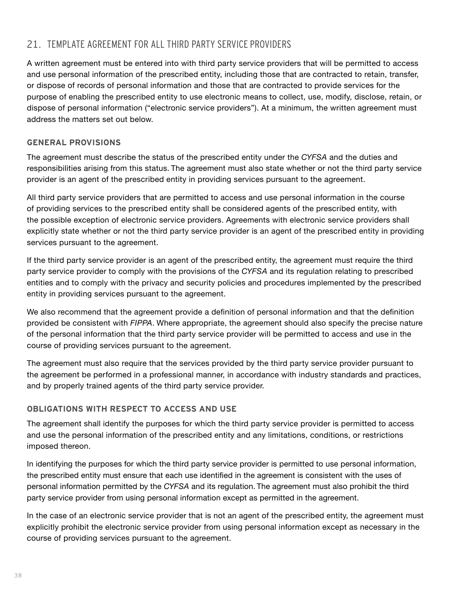## <span id="page-39-0"></span>21. TEMPLATE AGREEMENT FOR ALL THIRD PARTY SERVICE PROVIDERS

A written agreement must be entered into with third party service providers that will be permitted to access and use personal information of the prescribed entity, including those that are contracted to retain, transfer, or dispose of records of personal information and those that are contracted to provide services for the purpose of enabling the prescribed entity to use electronic means to collect, use, modify, disclose, retain, or dispose of personal information ("electronic service providers"). At a minimum, the written agreement must address the matters set out below.

## **GENERAL PROVISIONS**

The agreement must describe the status of the prescribed entity under the *CYFSA* and the duties and responsibilities arising from this status. The agreement must also state whether or not the third party service provider is an agent of the prescribed entity in providing services pursuant to the agreement.

All third party service providers that are permitted to access and use personal information in the course of providing services to the prescribed entity shall be considered agents of the prescribed entity, with the possible exception of electronic service providers. Agreements with electronic service providers shall explicitly state whether or not the third party service provider is an agent of the prescribed entity in providing services pursuant to the agreement.

If the third party service provider is an agent of the prescribed entity, the agreement must require the third party service provider to comply with the provisions of the *CYFSA* and its regulation relating to prescribed entities and to comply with the privacy and security policies and procedures implemented by the prescribed entity in providing services pursuant to the agreement.

We also recommend that the agreement provide a definition of personal information and that the definition provided be consistent with *FIPPA*. Where appropriate, the agreement should also specify the precise nature of the personal information that the third party service provider will be permitted to access and use in the course of providing services pursuant to the agreement.

The agreement must also require that the services provided by the third party service provider pursuant to the agreement be performed in a professional manner, in accordance with industry standards and practices, and by properly trained agents of the third party service provider.

## **OBLIGATIONS WITH RESPECT TO ACCESS AND USE**

The agreement shall identify the purposes for which the third party service provider is permitted to access and use the personal information of the prescribed entity and any limitations, conditions, or restrictions imposed thereon.

In identifying the purposes for which the third party service provider is permitted to use personal information, the prescribed entity must ensure that each use identified in the agreement is consistent with the uses of personal information permitted by the *CYFSA* and its regulation. The agreement must also prohibit the third party service provider from using personal information except as permitted in the agreement.

In the case of an electronic service provider that is not an agent of the prescribed entity, the agreement must explicitly prohibit the electronic service provider from using personal information except as necessary in the course of providing services pursuant to the agreement.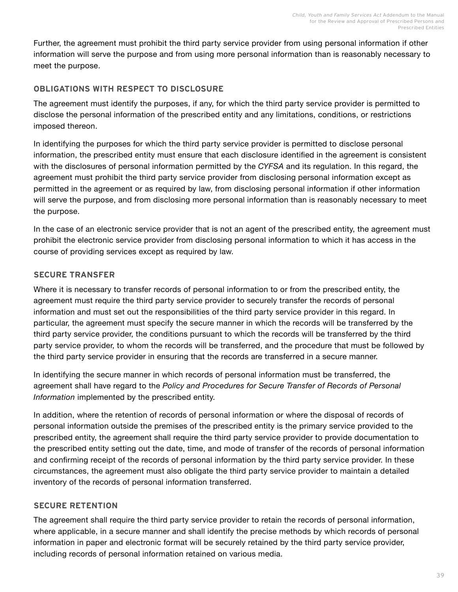Further, the agreement must prohibit the third party service provider from using personal information if other information will serve the purpose and from using more personal information than is reasonably necessary to meet the purpose.

## **OBLIGATIONS WITH RESPECT TO DISCLOSURE**

The agreement must identify the purposes, if any, for which the third party service provider is permitted to disclose the personal information of the prescribed entity and any limitations, conditions, or restrictions imposed thereon.

In identifying the purposes for which the third party service provider is permitted to disclose personal information, the prescribed entity must ensure that each disclosure identified in the agreement is consistent with the disclosures of personal information permitted by the *CYFSA* and its regulation. In this regard, the agreement must prohibit the third party service provider from disclosing personal information except as permitted in the agreement or as required by law, from disclosing personal information if other information will serve the purpose, and from disclosing more personal information than is reasonably necessary to meet the purpose.

In the case of an electronic service provider that is not an agent of the prescribed entity, the agreement must prohibit the electronic service provider from disclosing personal information to which it has access in the course of providing services except as required by law.

## **SECURE TRANSFER**

Where it is necessary to transfer records of personal information to or from the prescribed entity, the agreement must require the third party service provider to securely transfer the records of personal information and must set out the responsibilities of the third party service provider in this regard. In particular, the agreement must specify the secure manner in which the records will be transferred by the third party service provider, the conditions pursuant to which the records will be transferred by the third party service provider, to whom the records will be transferred, and the procedure that must be followed by the third party service provider in ensuring that the records are transferred in a secure manner.

In identifying the secure manner in which records of personal information must be transferred, the agreement shall have regard to the *Policy and Procedures for Secure Transfer of Records of Personal Information* implemented by the prescribed entity.

In addition, where the retention of records of personal information or where the disposal of records of personal information outside the premises of the prescribed entity is the primary service provided to the prescribed entity, the agreement shall require the third party service provider to provide documentation to the prescribed entity setting out the date, time, and mode of transfer of the records of personal information and confirming receipt of the records of personal information by the third party service provider. In these circumstances, the agreement must also obligate the third party service provider to maintain a detailed inventory of the records of personal information transferred.

## **SECURE RETENTION**

The agreement shall require the third party service provider to retain the records of personal information, where applicable, in a secure manner and shall identify the precise methods by which records of personal information in paper and electronic format will be securely retained by the third party service provider, including records of personal information retained on various media.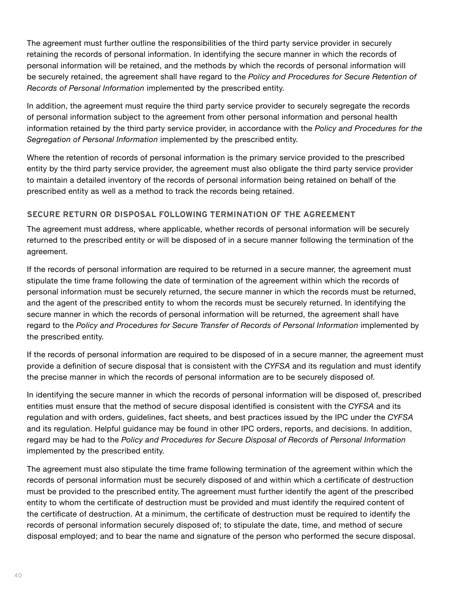The agreement must further outline the responsibilities of the third party service provider in securely retaining the records of personal information. In identifying the secure manner in which the records of personal information will be retained, and the methods by which the records of personal information will be securely retained, the agreement shall have regard to the *Policy and Procedures for Secure Retention of Records of Personal Information* implemented by the prescribed entity.

In addition, the agreement must require the third party service provider to securely segregate the records of personal information subject to the agreement from other personal information and personal health information retained by the third party service provider, in accordance with the *Policy and Procedures for the Segregation of Personal Information* implemented by the prescribed entity.

Where the retention of records of personal information is the primary service provided to the prescribed entity by the third party service provider, the agreement must also obligate the third party service provider to maintain a detailed inventory of the records of personal information being retained on behalf of the prescribed entity as well as a method to track the records being retained.

## **SECURE RETURN OR DISPOSAL FOLLOWING TERMINATION OF THE AGREEMENT**

The agreement must address, where applicable, whether records of personal information will be securely returned to the prescribed entity or will be disposed of in a secure manner following the termination of the agreement.

If the records of personal information are required to be returned in a secure manner, the agreement must stipulate the time frame following the date of termination of the agreement within which the records of personal information must be securely returned, the secure manner in which the records must be returned, and the agent of the prescribed entity to whom the records must be securely returned. In identifying the secure manner in which the records of personal information will be returned, the agreement shall have regard to the *Policy and Procedures for Secure Transfer of Records of Personal Information* implemented by the prescribed entity.

If the records of personal information are required to be disposed of in a secure manner, the agreement must provide a definition of secure disposal that is consistent with the *CYFSA* and its regulation and must identify the precise manner in which the records of personal information are to be securely disposed of.

In identifying the secure manner in which the records of personal information will be disposed of, prescribed entities must ensure that the method of secure disposal identified is consistent with the *CYFSA* and its regulation and with orders, guidelines, fact sheets, and best practices issued by the IPC under the *CYFSA*  and its regulation. Helpful guidance may be found in other IPC orders, reports, and decisions. In addition, regard may be had to the *Policy and Procedures for Secure Disposal of Records of Personal Information*  implemented by the prescribed entity.

The agreement must also stipulate the time frame following termination of the agreement within which the records of personal information must be securely disposed of and within which a certificate of destruction must be provided to the prescribed entity. The agreement must further identify the agent of the prescribed entity to whom the certificate of destruction must be provided and must identify the required content of the certificate of destruction. At a minimum, the certificate of destruction must be required to identify the records of personal information securely disposed of; to stipulate the date, time, and method of secure disposal employed; and to bear the name and signature of the person who performed the secure disposal.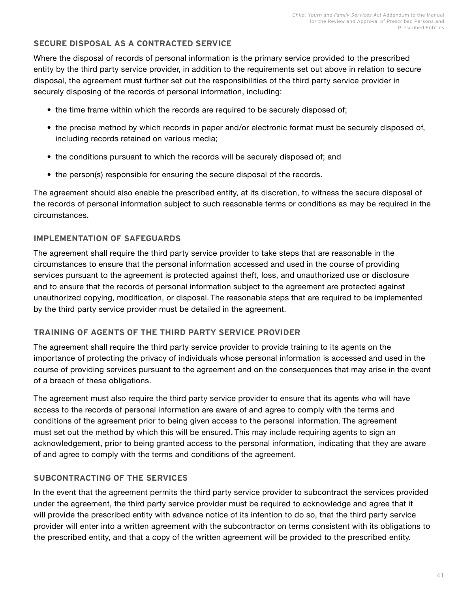## **SECURE DISPOSAL AS A CONTRACTED SERVICE**

Where the disposal of records of personal information is the primary service provided to the prescribed entity by the third party service provider, in addition to the requirements set out above in relation to secure disposal, the agreement must further set out the responsibilities of the third party service provider in securely disposing of the records of personal information, including:

- the time frame within which the records are required to be securely disposed of;
- the precise method by which records in paper and/or electronic format must be securely disposed of, including records retained on various media;
- the conditions pursuant to which the records will be securely disposed of; and
- the person(s) responsible for ensuring the secure disposal of the records.

The agreement should also enable the prescribed entity, at its discretion, to witness the secure disposal of the records of personal information subject to such reasonable terms or conditions as may be required in the circumstances.

## **IMPLEMENTATION OF SAFEGUARDS**

The agreement shall require the third party service provider to take steps that are reasonable in the circumstances to ensure that the personal information accessed and used in the course of providing services pursuant to the agreement is protected against theft, loss, and unauthorized use or disclosure and to ensure that the records of personal information subject to the agreement are protected against unauthorized copying, modification, or disposal. The reasonable steps that are required to be implemented by the third party service provider must be detailed in the agreement.

## **TRAINING OF AGENTS OF THE THIRD PARTY SERVICE PROVIDER**

The agreement shall require the third party service provider to provide training to its agents on the importance of protecting the privacy of individuals whose personal information is accessed and used in the course of providing services pursuant to the agreement and on the consequences that may arise in the event of a breach of these obligations.

The agreement must also require the third party service provider to ensure that its agents who will have access to the records of personal information are aware of and agree to comply with the terms and conditions of the agreement prior to being given access to the personal information. The agreement must set out the method by which this will be ensured. This may include requiring agents to sign an acknowledgement, prior to being granted access to the personal information, indicating that they are aware of and agree to comply with the terms and conditions of the agreement.

## **SUBCONTRACTING OF THE SERVICES**

In the event that the agreement permits the third party service provider to subcontract the services provided under the agreement, the third party service provider must be required to acknowledge and agree that it will provide the prescribed entity with advance notice of its intention to do so, that the third party service provider will enter into a written agreement with the subcontractor on terms consistent with its obligations to the prescribed entity, and that a copy of the written agreement will be provided to the prescribed entity.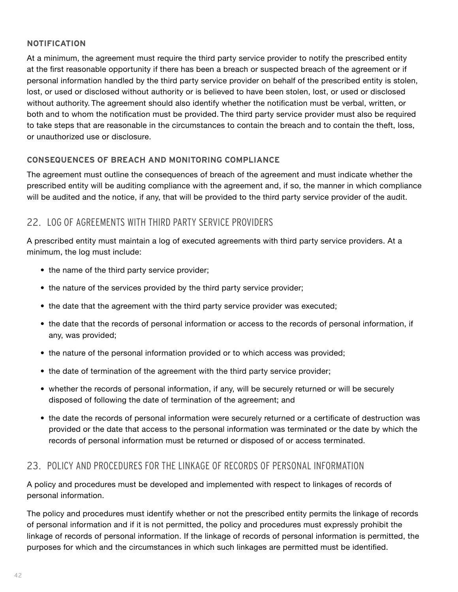## <span id="page-43-0"></span>**NOTIFICATION**

At a minimum, the agreement must require the third party service provider to notify the prescribed entity at the first reasonable opportunity if there has been a breach or suspected breach of the agreement or if personal information handled by the third party service provider on behalf of the prescribed entity is stolen, lost, or used or disclosed without authority or is believed to have been stolen, lost, or used or disclosed without authority. The agreement should also identify whether the notification must be verbal, written, or both and to whom the notification must be provided. The third party service provider must also be required to take steps that are reasonable in the circumstances to contain the breach and to contain the theft, loss, or unauthorized use or disclosure.

## **CONSEQUENCES OF BREACH AND MONITORING COMPLIANCE**

The agreement must outline the consequences of breach of the agreement and must indicate whether the prescribed entity will be auditing compliance with the agreement and, if so, the manner in which compliance will be audited and the notice, if any, that will be provided to the third party service provider of the audit.

## 22. LOG OF AGREEMENTS WITH THIRD PARTY SERVICE PROVIDERS

A prescribed entity must maintain a log of executed agreements with third party service providers. At a minimum, the log must include:

- the name of the third party service provider;
- the nature of the services provided by the third party service provider;
- the date that the agreement with the third party service provider was executed;
- the date that the records of personal information or access to the records of personal information, if any, was provided;
- the nature of the personal information provided or to which access was provided;
- the date of termination of the agreement with the third party service provider;
- whether the records of personal information, if any, will be securely returned or will be securely disposed of following the date of termination of the agreement; and
- the date the records of personal information were securely returned or a certificate of destruction was provided or the date that access to the personal information was terminated or the date by which the records of personal information must be returned or disposed of or access terminated.

## 23. POLICY AND PROCEDURES FOR THE LINKAGE OF RECORDS OF PERSONAL INFORMATION

A policy and procedures must be developed and implemented with respect to linkages of records of personal information.

The policy and procedures must identify whether or not the prescribed entity permits the linkage of records of personal information and if it is not permitted, the policy and procedures must expressly prohibit the linkage of records of personal information. If the linkage of records of personal information is permitted, the purposes for which and the circumstances in which such linkages are permitted must be identified.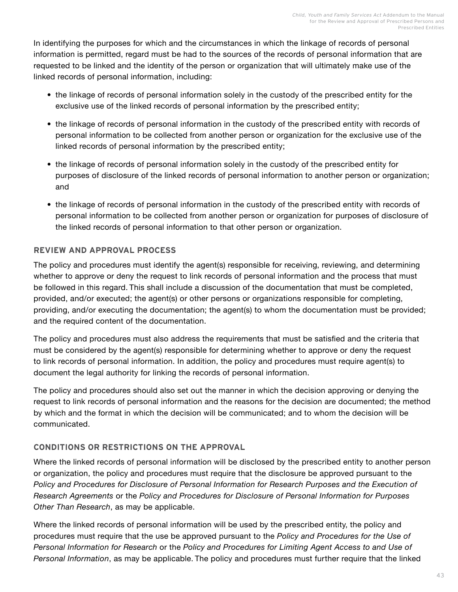In identifying the purposes for which and the circumstances in which the linkage of records of personal information is permitted, regard must be had to the sources of the records of personal information that are requested to be linked and the identity of the person or organization that will ultimately make use of the linked records of personal information, including:

- the linkage of records of personal information solely in the custody of the prescribed entity for the exclusive use of the linked records of personal information by the prescribed entity;
- the linkage of records of personal information in the custody of the prescribed entity with records of personal information to be collected from another person or organization for the exclusive use of the linked records of personal information by the prescribed entity;
- the linkage of records of personal information solely in the custody of the prescribed entity for purposes of disclosure of the linked records of personal information to another person or organization; and
- the linkage of records of personal information in the custody of the prescribed entity with records of personal information to be collected from another person or organization for purposes of disclosure of the linked records of personal information to that other person or organization.

## **REVIEW AND APPROVAL PROCESS**

The policy and procedures must identify the agent(s) responsible for receiving, reviewing, and determining whether to approve or deny the request to link records of personal information and the process that must be followed in this regard. This shall include a discussion of the documentation that must be completed, provided, and/or executed; the agent(s) or other persons or organizations responsible for completing, providing, and/or executing the documentation; the agent(s) to whom the documentation must be provided; and the required content of the documentation.

The policy and procedures must also address the requirements that must be satisfied and the criteria that must be considered by the agent(s) responsible for determining whether to approve or deny the request to link records of personal information. In addition, the policy and procedures must require agent(s) to document the legal authority for linking the records of personal information.

The policy and procedures should also set out the manner in which the decision approving or denying the request to link records of personal information and the reasons for the decision are documented; the method by which and the format in which the decision will be communicated; and to whom the decision will be communicated.

## **CONDITIONS OR RESTRICTIONS ON THE APPROVAL**

Where the linked records of personal information will be disclosed by the prescribed entity to another person or organization, the policy and procedures must require that the disclosure be approved pursuant to the *Policy and Procedures for Disclosure of Personal Information for Research Purposes and the Execution of Research Agreements* or the *Policy and Procedures for Disclosure of Personal Information for Purposes Other Than Research*, as may be applicable.

Where the linked records of personal information will be used by the prescribed entity, the policy and procedures must require that the use be approved pursuant to the *Policy and Procedures for the Use of Personal Information for Research* or the *Policy and Procedures for Limiting Agent Access to and Use of Personal Information*, as may be applicable. The policy and procedures must further require that the linked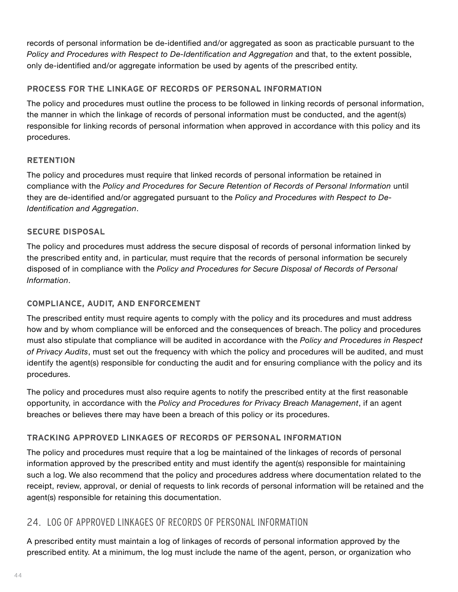records of personal information be de-identified and/or aggregated as soon as practicable pursuant to the *Policy and Procedures with Respect to De-Identification and Aggregation and that, to the extent possible,* only de-identified and/or aggregate information be used by agents of the prescribed entity.

## **PROCESS FOR THE LINKAGE OF RECORDS OF PERSONAL INFORMATION**

The policy and procedures must outline the process to be followed in linking records of personal information, the manner in which the linkage of records of personal information must be conducted, and the agent(s) responsible for linking records of personal information when approved in accordance with this policy and its procedures.

## **RETENTION**

The policy and procedures must require that linked records of personal information be retained in compliance with the *Policy and Procedures for Secure Retention of Records of Personal Information* until they are de-identified and/or aggregated pursuant to the *Policy and Procedures with Respect to De-Identification and Aggregation*.

## **SECURE DISPOSAL**

The policy and procedures must address the secure disposal of records of personal information linked by the prescribed entity and, in particular, must require that the records of personal information be securely disposed of in compliance with the *Policy and Procedures for Secure Disposal of Records of Personal Information*.

## **COMPLIANCE, AUDIT, AND ENFORCEMENT**

The prescribed entity must require agents to comply with the policy and its procedures and must address how and by whom compliance will be enforced and the consequences of breach. The policy and procedures must also stipulate that compliance will be audited in accordance with the *Policy and Procedures in Respect of Privacy Audits*, must set out the frequency with which the policy and procedures will be audited, and must identify the agent(s) responsible for conducting the audit and for ensuring compliance with the policy and its procedures.

The policy and procedures must also require agents to notify the prescribed entity at the first reasonable opportunity, in accordance with the *Policy and Procedures for Privacy Breach Management*, if an agent breaches or believes there may have been a breach of this policy or its procedures.

## **TRACKING APPROVED LINKAGES OF RECORDS OF PERSONAL INFORMATION**

The policy and procedures must require that a log be maintained of the linkages of records of personal information approved by the prescribed entity and must identify the agent(s) responsible for maintaining such a log. We also recommend that the policy and procedures address where documentation related to the receipt, review, approval, or denial of requests to link records of personal information will be retained and the agent(s) responsible for retaining this documentation.

## 24. LOG OF APPROVED LINKAGES OF RECORDS OF PERSONAL INFORMATION

A prescribed entity must maintain a log of linkages of records of personal information approved by the prescribed entity. At a minimum, the log must include the name of the agent, person, or organization who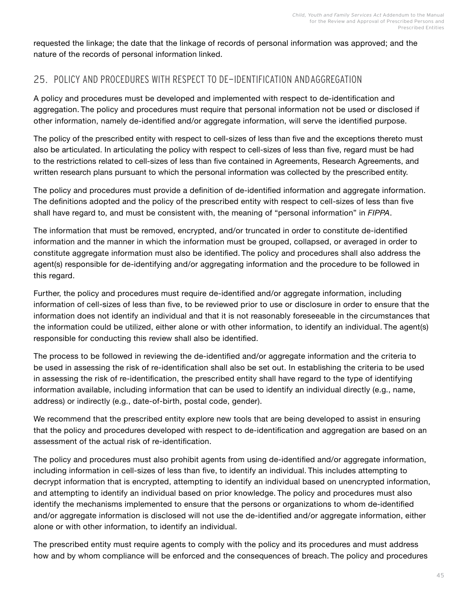<span id="page-46-0"></span>requested the linkage; the date that the linkage of records of personal information was approved; and the nature of the records of personal information linked.

## 25. POLICY AND PROCEDURES WITH RESPECT TO DE-IDENTIFICATION AND AGGREGATION

A policy and procedures must be developed and implemented with respect to de-identification and aggregation. The policy and procedures must require that personal information not be used or disclosed if other information, namely de-identified and/or aggregate information, will serve the identified purpose.

The policy of the prescribed entity with respect to cell-sizes of less than five and the exceptions thereto must also be articulated. In articulating the policy with respect to cell-sizes of less than five, regard must be had to the restrictions related to cell-sizes of less than five contained in Agreements, Research Agreements, and written research plans pursuant to which the personal information was collected by the prescribed entity.

The policy and procedures must provide a definition of de-identified information and aggregate information. The definitions adopted and the policy of the prescribed entity with respect to cell-sizes of less than five shall have regard to, and must be consistent with, the meaning of "personal information" in *FIPPA*.

The information that must be removed, encrypted, and/or truncated in order to constitute de-identified information and the manner in which the information must be grouped, collapsed, or averaged in order to constitute aggregate information must also be identified. The policy and procedures shall also address the agent(s) responsible for de-identifying and/or aggregating information and the procedure to be followed in this regard.

Further, the policy and procedures must require de-identified and/or aggregate information, including information of cell-sizes of less than five, to be reviewed prior to use or disclosure in order to ensure that the information does not identify an individual and that it is not reasonably foreseeable in the circumstances that the information could be utilized, either alone or with other information, to identify an individual. The agent(s) responsible for conducting this review shall also be identified.

The process to be followed in reviewing the de-identified and/or aggregate information and the criteria to be used in assessing the risk of re-identification shall also be set out. In establishing the criteria to be used in assessing the risk of re-identification, the prescribed entity shall have regard to the type of identifying information available, including information that can be used to identify an individual directly (e.g., name, address) or indirectly (e.g., date-of-birth, postal code, gender).

We recommend that the prescribed entity explore new tools that are being developed to assist in ensuring that the policy and procedures developed with respect to de-identification and aggregation are based on an assessment of the actual risk of re-identification.

The policy and procedures must also prohibit agents from using de-identified and/or aggregate information, including information in cell-sizes of less than five, to identify an individual. This includes attempting to decrypt information that is encrypted, attempting to identify an individual based on unencrypted information, and attempting to identify an individual based on prior knowledge. The policy and procedures must also identify the mechanisms implemented to ensure that the persons or organizations to whom de-identified and/or aggregate information is disclosed will not use the de-identified and/or aggregate information, either alone or with other information, to identify an individual.

The prescribed entity must require agents to comply with the policy and its procedures and must address how and by whom compliance will be enforced and the consequences of breach. The policy and procedures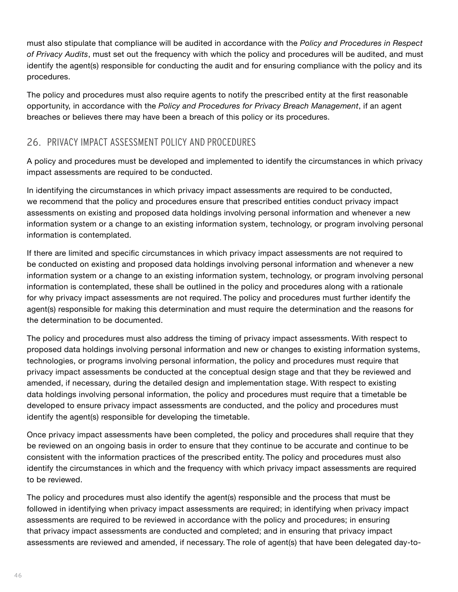<span id="page-47-0"></span>must also stipulate that compliance will be audited in accordance with the *Policy and Procedures in Respect of Privacy Audits*, must set out the frequency with which the policy and procedures will be audited, and must identify the agent(s) responsible for conducting the audit and for ensuring compliance with the policy and its procedures.

The policy and procedures must also require agents to notify the prescribed entity at the first reasonable opportunity, in accordance with the *Policy and Procedures for Privacy Breach Management*, if an agent breaches or believes there may have been a breach of this policy or its procedures.

## 26. PRIVACY IMPACT ASSESSMENT POLICY AND PROCEDURES

A policy and procedures must be developed and implemented to identify the circumstances in which privacy impact assessments are required to be conducted.

In identifying the circumstances in which privacy impact assessments are required to be conducted, we recommend that the policy and procedures ensure that prescribed entities conduct privacy impact assessments on existing and proposed data holdings involving personal information and whenever a new information system or a change to an existing information system, technology, or program involving personal information is contemplated.

If there are limited and specific circumstances in which privacy impact assessments are not required to be conducted on existing and proposed data holdings involving personal information and whenever a new information system or a change to an existing information system, technology, or program involving personal information is contemplated, these shall be outlined in the policy and procedures along with a rationale for why privacy impact assessments are not required. The policy and procedures must further identify the agent(s) responsible for making this determination and must require the determination and the reasons for the determination to be documented.

The policy and procedures must also address the timing of privacy impact assessments. With respect to proposed data holdings involving personal information and new or changes to existing information systems, technologies, or programs involving personal information, the policy and procedures must require that privacy impact assessments be conducted at the conceptual design stage and that they be reviewed and amended, if necessary, during the detailed design and implementation stage. With respect to existing data holdings involving personal information, the policy and procedures must require that a timetable be developed to ensure privacy impact assessments are conducted, and the policy and procedures must identify the agent(s) responsible for developing the timetable.

Once privacy impact assessments have been completed, the policy and procedures shall require that they be reviewed on an ongoing basis in order to ensure that they continue to be accurate and continue to be consistent with the information practices of the prescribed entity. The policy and procedures must also identify the circumstances in which and the frequency with which privacy impact assessments are required to be reviewed.

The policy and procedures must also identify the agent(s) responsible and the process that must be followed in identifying when privacy impact assessments are required; in identifying when privacy impact assessments are required to be reviewed in accordance with the policy and procedures; in ensuring that privacy impact assessments are conducted and completed; and in ensuring that privacy impact assessments are reviewed and amended, if necessary. The role of agent(s) that have been delegated day-to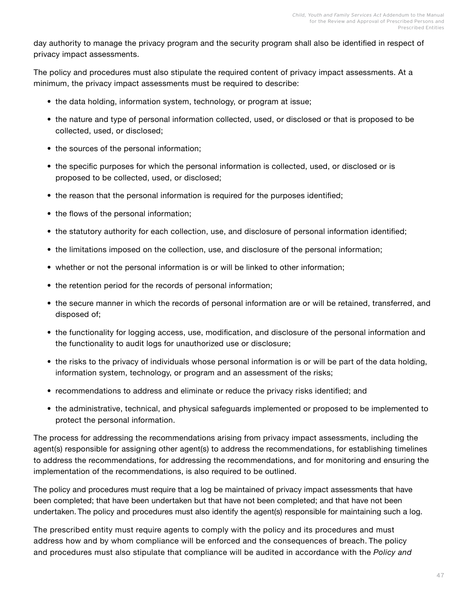day authority to manage the privacy program and the security program shall also be identified in respect of privacy impact assessments.

The policy and procedures must also stipulate the required content of privacy impact assessments. At a minimum, the privacy impact assessments must be required to describe:

- the data holding, information system, technology, or program at issue;
- the nature and type of personal information collected, used, or disclosed or that is proposed to be collected, used, or disclosed;
- the sources of the personal information;
- the specific purposes for which the personal information is collected, used, or disclosed or is proposed to be collected, used, or disclosed;
- the reason that the personal information is required for the purposes identified;
- the flows of the personal information;
- the statutory authority for each collection, use, and disclosure of personal information identified;
- the limitations imposed on the collection, use, and disclosure of the personal information;
- whether or not the personal information is or will be linked to other information;
- the retention period for the records of personal information;
- the secure manner in which the records of personal information are or will be retained, transferred, and disposed of;
- the functionality for logging access, use, modification, and disclosure of the personal information and the functionality to audit logs for unauthorized use or disclosure;
- the risks to the privacy of individuals whose personal information is or will be part of the data holding, information system, technology, or program and an assessment of the risks;
- recommendations to address and eliminate or reduce the privacy risks identified; and
- the administrative, technical, and physical safeguards implemented or proposed to be implemented to protect the personal information.

The process for addressing the recommendations arising from privacy impact assessments, including the agent(s) responsible for assigning other agent(s) to address the recommendations, for establishing timelines to address the recommendations, for addressing the recommendations, and for monitoring and ensuring the implementation of the recommendations, is also required to be outlined.

The policy and procedures must require that a log be maintained of privacy impact assessments that have been completed; that have been undertaken but that have not been completed; and that have not been undertaken. The policy and procedures must also identify the agent(s) responsible for maintaining such a log.

The prescribed entity must require agents to comply with the policy and its procedures and must address how and by whom compliance will be enforced and the consequences of breach. The policy and procedures must also stipulate that compliance will be audited in accordance with the *Policy and*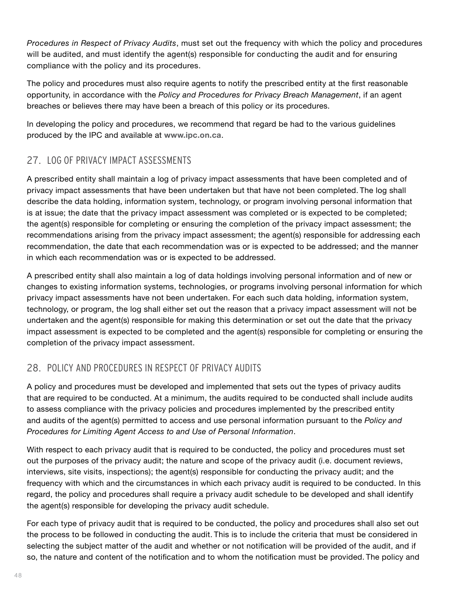<span id="page-49-0"></span>*Procedures in Respect of Privacy Audits*, must set out the frequency with which the policy and procedures will be audited, and must identify the agent(s) responsible for conducting the audit and for ensuring compliance with the policy and its procedures.

The policy and procedures must also require agents to notify the prescribed entity at the first reasonable opportunity, in accordance with the *Policy and Procedures for Privacy Breach Management*, if an agent breaches or believes there may have been a breach of this policy or its procedures.

In developing the policy and procedures, we recommend that regard be had to the various guidelines produced by the IPC and available at **[www.ipc.on.ca](http://www.ipc.on.ca)**.

## 27. LOG OF PRIVACY IMPACT ASSESSMENTS

A prescribed entity shall maintain a log of privacy impact assessments that have been completed and of privacy impact assessments that have been undertaken but that have not been completed. The log shall describe the data holding, information system, technology, or program involving personal information that is at issue; the date that the privacy impact assessment was completed or is expected to be completed; the agent(s) responsible for completing or ensuring the completion of the privacy impact assessment; the recommendations arising from the privacy impact assessment; the agent(s) responsible for addressing each recommendation, the date that each recommendation was or is expected to be addressed; and the manner in which each recommendation was or is expected to be addressed.

A prescribed entity shall also maintain a log of data holdings involving personal information and of new or changes to existing information systems, technologies, or programs involving personal information for which privacy impact assessments have not been undertaken. For each such data holding, information system, technology, or program, the log shall either set out the reason that a privacy impact assessment will not be undertaken and the agent(s) responsible for making this determination or set out the date that the privacy impact assessment is expected to be completed and the agent(s) responsible for completing or ensuring the completion of the privacy impact assessment.

## 28. POLICY AND PROCEDURES IN RESPECT OF PRIVACY AUDITS

A policy and procedures must be developed and implemented that sets out the types of privacy audits that are required to be conducted. At a minimum, the audits required to be conducted shall include audits to assess compliance with the privacy policies and procedures implemented by the prescribed entity and audits of the agent(s) permitted to access and use personal information pursuant to the *Policy and Procedures for Limiting Agent Access to and Use of Personal Information*.

With respect to each privacy audit that is required to be conducted, the policy and procedures must set out the purposes of the privacy audit; the nature and scope of the privacy audit (i.e. document reviews, interviews, site visits, inspections); the agent(s) responsible for conducting the privacy audit; and the frequency with which and the circumstances in which each privacy audit is required to be conducted. In this regard, the policy and procedures shall require a privacy audit schedule to be developed and shall identify the agent(s) responsible for developing the privacy audit schedule.

For each type of privacy audit that is required to be conducted, the policy and procedures shall also set out the process to be followed in conducting the audit. This is to include the criteria that must be considered in selecting the subject matter of the audit and whether or not notification will be provided of the audit, and if so, the nature and content of the notification and to whom the notification must be provided. The policy and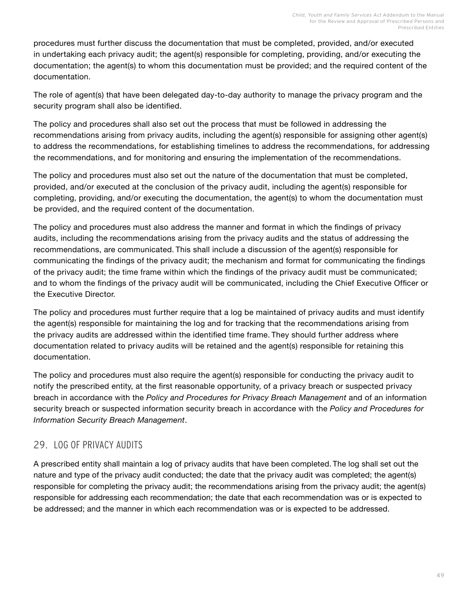<span id="page-50-0"></span>procedures must further discuss the documentation that must be completed, provided, and/or executed in undertaking each privacy audit; the agent(s) responsible for completing, providing, and/or executing the documentation; the agent(s) to whom this documentation must be provided; and the required content of the documentation.

The role of agent(s) that have been delegated day-to-day authority to manage the privacy program and the security program shall also be identified.

The policy and procedures shall also set out the process that must be followed in addressing the recommendations arising from privacy audits, including the agent(s) responsible for assigning other agent(s) to address the recommendations, for establishing timelines to address the recommendations, for addressing the recommendations, and for monitoring and ensuring the implementation of the recommendations.

The policy and procedures must also set out the nature of the documentation that must be completed, provided, and/or executed at the conclusion of the privacy audit, including the agent(s) responsible for completing, providing, and/or executing the documentation, the agent(s) to whom the documentation must be provided, and the required content of the documentation.

The policy and procedures must also address the manner and format in which the findings of privacy audits, including the recommendations arising from the privacy audits and the status of addressing the recommendations, are communicated. This shall include a discussion of the agent(s) responsible for communicating the findings of the privacy audit; the mechanism and format for communicating the findings of the privacy audit; the time frame within which the findings of the privacy audit must be communicated; and to whom the findings of the privacy audit will be communicated, including the Chief Executive Officer or the Executive Director.

The policy and procedures must further require that a log be maintained of privacy audits and must identify the agent(s) responsible for maintaining the log and for tracking that the recommendations arising from the privacy audits are addressed within the identified time frame. They should further address where documentation related to privacy audits will be retained and the agent(s) responsible for retaining this documentation.

The policy and procedures must also require the agent(s) responsible for conducting the privacy audit to notify the prescribed entity, at the first reasonable opportunity, of a privacy breach or suspected privacy breach in accordance with the *Policy and Procedures for Privacy Breach Management* and of an information security breach or suspected information security breach in accordance with the *Policy and Procedures for Information Security Breach Management*.

## 29. LOG OF PRIVACY AUDITS

A prescribed entity shall maintain a log of privacy audits that have been completed. The log shall set out the nature and type of the privacy audit conducted; the date that the privacy audit was completed; the agent(s) responsible for completing the privacy audit; the recommendations arising from the privacy audit; the agent(s) responsible for addressing each recommendation; the date that each recommendation was or is expected to be addressed; and the manner in which each recommendation was or is expected to be addressed.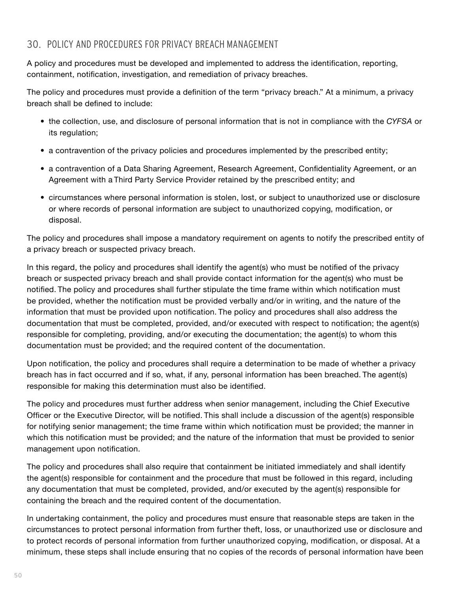## <span id="page-51-0"></span>30. POLICY AND PROCEDURES FOR PRIVACY BREACH MANAGEMENT

A policy and procedures must be developed and implemented to address the identification, reporting, containment, notification, investigation, and remediation of privacy breaches.

The policy and procedures must provide a definition of the term "privacy breach." At a minimum, a privacy breach shall be defined to include:

- the collection, use, and disclosure of personal information that is not in compliance with the *CYFSA* or its regulation;
- a contravention of the privacy policies and procedures implemented by the prescribed entity;
- a contravention of a Data Sharing Agreement, Research Agreement, Confidentiality Agreement, or an Agreement with a Third Party Service Provider retained by the prescribed entity; and
- circumstances where personal information is stolen, lost, or subject to unauthorized use or disclosure or where records of personal information are subject to unauthorized copying, modification, or disposal.

The policy and procedures shall impose a mandatory requirement on agents to notify the prescribed entity of a privacy breach or suspected privacy breach.

In this regard, the policy and procedures shall identify the agent(s) who must be notified of the privacy breach or suspected privacy breach and shall provide contact information for the agent(s) who must be notified. The policy and procedures shall further stipulate the time frame within which notification must be provided, whether the notification must be provided verbally and/or in writing, and the nature of the information that must be provided upon notification. The policy and procedures shall also address the documentation that must be completed, provided, and/or executed with respect to notification; the agent(s) responsible for completing, providing, and/or executing the documentation; the agent(s) to whom this documentation must be provided; and the required content of the documentation.

Upon notification, the policy and procedures shall require a determination to be made of whether a privacy breach has in fact occurred and if so, what, if any, personal information has been breached. The agent(s) responsible for making this determination must also be identified.

The policy and procedures must further address when senior management, including the Chief Executive Officer or the Executive Director, will be notified. This shall include a discussion of the agent(s) responsible for notifying senior management; the time frame within which notification must be provided; the manner in which this notification must be provided; and the nature of the information that must be provided to senior management upon notification.

The policy and procedures shall also require that containment be initiated immediately and shall identify the agent(s) responsible for containment and the procedure that must be followed in this regard, including any documentation that must be completed, provided, and/or executed by the agent(s) responsible for containing the breach and the required content of the documentation.

In undertaking containment, the policy and procedures must ensure that reasonable steps are taken in the circumstances to protect personal information from further theft, loss, or unauthorized use or disclosure and to protect records of personal information from further unauthorized copying, modification, or disposal. At a minimum, these steps shall include ensuring that no copies of the records of personal information have been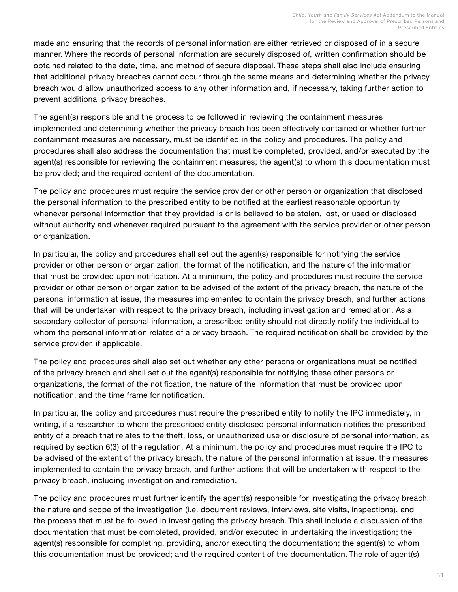made and ensuring that the records of personal information are either retrieved or disposed of in a secure manner. Where the records of personal information are securely disposed of, written confirmation should be obtained related to the date, time, and method of secure disposal. These steps shall also include ensuring that additional privacy breaches cannot occur through the same means and determining whether the privacy breach would allow unauthorized access to any other information and, if necessary, taking further action to prevent additional privacy breaches.

The agent(s) responsible and the process to be followed in reviewing the containment measures implemented and determining whether the privacy breach has been effectively contained or whether further containment measures are necessary, must be identified in the policy and procedures. The policy and procedures shall also address the documentation that must be completed, provided, and/or executed by the agent(s) responsible for reviewing the containment measures; the agent(s) to whom this documentation must be provided; and the required content of the documentation.

The policy and procedures must require the service provider or other person or organization that disclosed the personal information to the prescribed entity to be notified at the earliest reasonable opportunity whenever personal information that they provided is or is believed to be stolen, lost, or used or disclosed without authority and whenever required pursuant to the agreement with the service provider or other person or organization.

In particular, the policy and procedures shall set out the agent(s) responsible for notifying the service provider or other person or organization, the format of the notification, and the nature of the information that must be provided upon notification. At a minimum, the policy and procedures must require the service provider or other person or organization to be advised of the extent of the privacy breach, the nature of the personal information at issue, the measures implemented to contain the privacy breach, and further actions that will be undertaken with respect to the privacy breach, including investigation and remediation. As a secondary collector of personal information, a prescribed entity should not directly notify the individual to whom the personal information relates of a privacy breach. The required notification shall be provided by the service provider, if applicable.

The policy and procedures shall also set out whether any other persons or organizations must be notified of the privacy breach and shall set out the agent(s) responsible for notifying these other persons or organizations, the format of the notification, the nature of the information that must be provided upon notification, and the time frame for notification.

In particular, the policy and procedures must require the prescribed entity to notify the IPC immediately, in writing, if a researcher to whom the prescribed entity disclosed personal information notifies the prescribed entity of a breach that relates to the theft, loss, or unauthorized use or disclosure of personal information, as required by section 6(3) of the regulation. At a minimum, the policy and procedures must require the IPC to be advised of the extent of the privacy breach, the nature of the personal information at issue, the measures implemented to contain the privacy breach, and further actions that will be undertaken with respect to the privacy breach, including investigation and remediation.

The policy and procedures must further identify the agent(s) responsible for investigating the privacy breach, the nature and scope of the investigation (i.e. document reviews, interviews, site visits, inspections), and the process that must be followed in investigating the privacy breach. This shall include a discussion of the documentation that must be completed, provided, and/or executed in undertaking the investigation; the agent(s) responsible for completing, providing, and/or executing the documentation; the agent(s) to whom this documentation must be provided; and the required content of the documentation. The role of agent(s)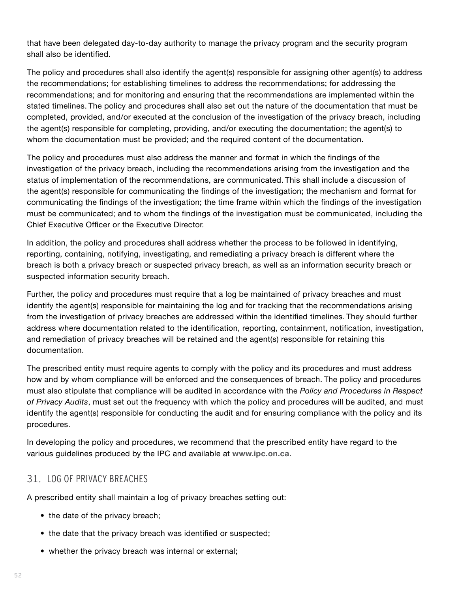<span id="page-53-0"></span>that have been delegated day-to-day authority to manage the privacy program and the security program shall also be identified.

The policy and procedures shall also identify the agent(s) responsible for assigning other agent(s) to address the recommendations; for establishing timelines to address the recommendations; for addressing the recommendations; and for monitoring and ensuring that the recommendations are implemented within the stated timelines. The policy and procedures shall also set out the nature of the documentation that must be completed, provided, and/or executed at the conclusion of the investigation of the privacy breach, including the agent(s) responsible for completing, providing, and/or executing the documentation; the agent(s) to whom the documentation must be provided; and the required content of the documentation.

The policy and procedures must also address the manner and format in which the findings of the investigation of the privacy breach, including the recommendations arising from the investigation and the status of implementation of the recommendations, are communicated. This shall include a discussion of the agent(s) responsible for communicating the findings of the investigation; the mechanism and format for communicating the findings of the investigation; the time frame within which the findings of the investigation must be communicated; and to whom the findings of the investigation must be communicated, including the Chief Executive Officer or the Executive Director.

In addition, the policy and procedures shall address whether the process to be followed in identifying, reporting, containing, notifying, investigating, and remediating a privacy breach is different where the breach is both a privacy breach or suspected privacy breach, as well as an information security breach or suspected information security breach.

Further, the policy and procedures must require that a log be maintained of privacy breaches and must identify the agent(s) responsible for maintaining the log and for tracking that the recommendations arising from the investigation of privacy breaches are addressed within the identified timelines. They should further address where documentation related to the identification, reporting, containment, notification, investigation, and remediation of privacy breaches will be retained and the agent(s) responsible for retaining this documentation.

The prescribed entity must require agents to comply with the policy and its procedures and must address how and by whom compliance will be enforced and the consequences of breach. The policy and procedures must also stipulate that compliance will be audited in accordance with the *Policy and Procedures in Respect of Privacy Audits*, must set out the frequency with which the policy and procedures will be audited, and must identify the agent(s) responsible for conducting the audit and for ensuring compliance with the policy and its procedures.

In developing the policy and procedures, we recommend that the prescribed entity have regard to the various guidelines produced by the IPC and available at **[www.ipc.on.ca](http://www.ipc.on.ca)**.

## 31. LOG OF PRIVACY BREACHES

A prescribed entity shall maintain a log of privacy breaches setting out:

- the date of the privacy breach;
- the date that the privacy breach was identified or suspected;
- whether the privacy breach was internal or external;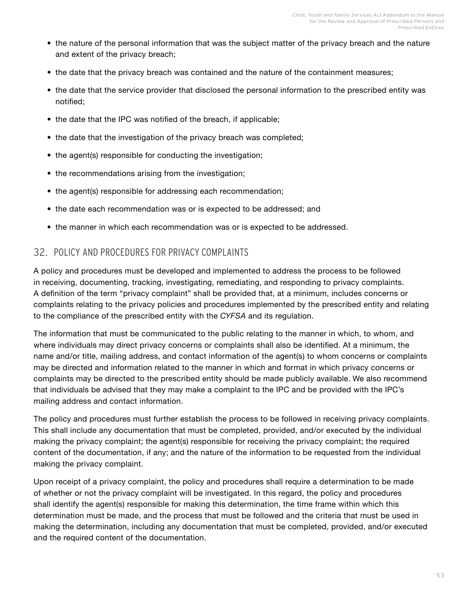- <span id="page-54-0"></span>• the nature of the personal information that was the subject matter of the privacy breach and the nature and extent of the privacy breach;
- the date that the privacy breach was contained and the nature of the containment measures;
- the date that the service provider that disclosed the personal information to the prescribed entity was notified;
- the date that the IPC was notified of the breach, if applicable;
- the date that the investigation of the privacy breach was completed;
- the agent(s) responsible for conducting the investigation;
- the recommendations arising from the investigation;
- the agent(s) responsible for addressing each recommendation;
- the date each recommendation was or is expected to be addressed; and
- the manner in which each recommendation was or is expected to be addressed.

## 32. POLICY AND PROCEDURES FOR PRIVACY COMPLAINTS

A policy and procedures must be developed and implemented to address the process to be followed in receiving, documenting, tracking, investigating, remediating, and responding to privacy complaints. A definition of the term "privacy complaint" shall be provided that, at a minimum, includes concerns or complaints relating to the privacy policies and procedures implemented by the prescribed entity and relating to the compliance of the prescribed entity with the *CYFSA* and its regulation.

The information that must be communicated to the public relating to the manner in which, to whom, and where individuals may direct privacy concerns or complaints shall also be identified. At a minimum, the name and/or title, mailing address, and contact information of the agent(s) to whom concerns or complaints may be directed and information related to the manner in which and format in which privacy concerns or complaints may be directed to the prescribed entity should be made publicly available. We also recommend that individuals be advised that they may make a complaint to the IPC and be provided with the IPC's mailing address and contact information.

The policy and procedures must further establish the process to be followed in receiving privacy complaints. This shall include any documentation that must be completed, provided, and/or executed by the individual making the privacy complaint; the agent(s) responsible for receiving the privacy complaint; the required content of the documentation, if any; and the nature of the information to be requested from the individual making the privacy complaint.

Upon receipt of a privacy complaint, the policy and procedures shall require a determination to be made of whether or not the privacy complaint will be investigated. In this regard, the policy and procedures shall identify the agent(s) responsible for making this determination, the time frame within which this determination must be made, and the process that must be followed and the criteria that must be used in making the determination, including any documentation that must be completed, provided, and/or executed and the required content of the documentation.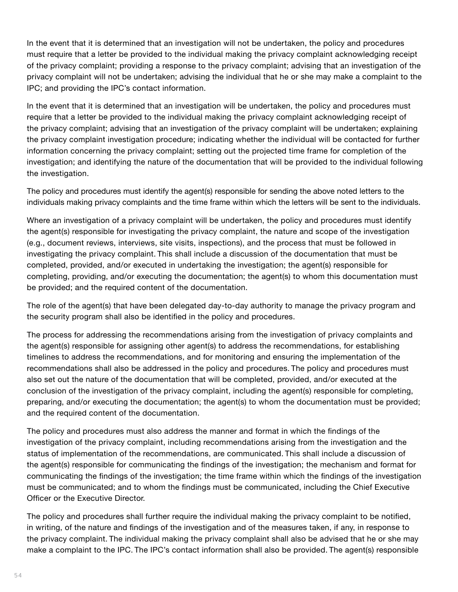In the event that it is determined that an investigation will not be undertaken, the policy and procedures must require that a letter be provided to the individual making the privacy complaint acknowledging receipt of the privacy complaint; providing a response to the privacy complaint; advising that an investigation of the privacy complaint will not be undertaken; advising the individual that he or she may make a complaint to the IPC; and providing the IPC's contact information.

In the event that it is determined that an investigation will be undertaken, the policy and procedures must require that a letter be provided to the individual making the privacy complaint acknowledging receipt of the privacy complaint; advising that an investigation of the privacy complaint will be undertaken; explaining the privacy complaint investigation procedure; indicating whether the individual will be contacted for further information concerning the privacy complaint; setting out the projected time frame for completion of the investigation; and identifying the nature of the documentation that will be provided to the individual following the investigation.

The policy and procedures must identify the agent(s) responsible for sending the above noted letters to the individuals making privacy complaints and the time frame within which the letters will be sent to the individuals.

Where an investigation of a privacy complaint will be undertaken, the policy and procedures must identify the agent(s) responsible for investigating the privacy complaint, the nature and scope of the investigation (e.g., document reviews, interviews, site visits, inspections), and the process that must be followed in investigating the privacy complaint. This shall include a discussion of the documentation that must be completed, provided, and/or executed in undertaking the investigation; the agent(s) responsible for completing, providing, and/or executing the documentation; the agent(s) to whom this documentation must be provided; and the required content of the documentation.

The role of the agent(s) that have been delegated day-to-day authority to manage the privacy program and the security program shall also be identified in the policy and procedures.

The process for addressing the recommendations arising from the investigation of privacy complaints and the agent(s) responsible for assigning other agent(s) to address the recommendations, for establishing timelines to address the recommendations, and for monitoring and ensuring the implementation of the recommendations shall also be addressed in the policy and procedures. The policy and procedures must also set out the nature of the documentation that will be completed, provided, and/or executed at the conclusion of the investigation of the privacy complaint, including the agent(s) responsible for completing, preparing, and/or executing the documentation; the agent(s) to whom the documentation must be provided; and the required content of the documentation.

The policy and procedures must also address the manner and format in which the findings of the investigation of the privacy complaint, including recommendations arising from the investigation and the status of implementation of the recommendations, are communicated. This shall include a discussion of the agent(s) responsible for communicating the findings of the investigation; the mechanism and format for communicating the findings of the investigation; the time frame within which the findings of the investigation must be communicated; and to whom the findings must be communicated, including the Chief Executive Officer or the Executive Director.

The policy and procedures shall further require the individual making the privacy complaint to be notified, in writing, of the nature and findings of the investigation and of the measures taken, if any, in response to the privacy complaint. The individual making the privacy complaint shall also be advised that he or she may make a complaint to the IPC. The IPC's contact information shall also be provided. The agent(s) responsible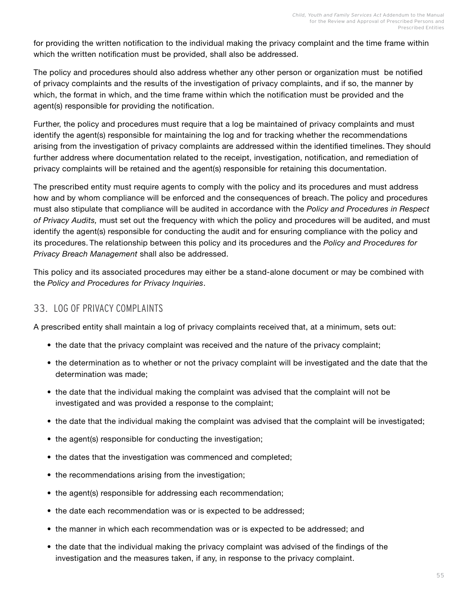<span id="page-56-0"></span>for providing the written notification to the individual making the privacy complaint and the time frame within which the written notification must be provided, shall also be addressed.

The policy and procedures should also address whether any other person or organization must be notified of privacy complaints and the results of the investigation of privacy complaints, and if so, the manner by which, the format in which, and the time frame within which the notification must be provided and the agent(s) responsible for providing the notification.

Further, the policy and procedures must require that a log be maintained of privacy complaints and must identify the agent(s) responsible for maintaining the log and for tracking whether the recommendations arising from the investigation of privacy complaints are addressed within the identified timelines. They should further address where documentation related to the receipt, investigation, notification, and remediation of privacy complaints will be retained and the agent(s) responsible for retaining this documentation.

The prescribed entity must require agents to comply with the policy and its procedures and must address how and by whom compliance will be enforced and the consequences of breach. The policy and procedures must also stipulate that compliance will be audited in accordance with the *Policy and Procedures in Respect of Privacy Audits,* must set out the frequency with which the policy and procedures will be audited, and must identify the agent(s) responsible for conducting the audit and for ensuring compliance with the policy and its procedures. The relationship between this policy and its procedures and the *Policy and Procedures for Privacy Breach Management* shall also be addressed.

This policy and its associated procedures may either be a stand-alone document or may be combined with the *Policy and Procedures for Privacy Inquiries*.

## 33. LOG OF PRIVACY COMPLAINTS

A prescribed entity shall maintain a log of privacy complaints received that, at a minimum, sets out:

- the date that the privacy complaint was received and the nature of the privacy complaint;
- the determination as to whether or not the privacy complaint will be investigated and the date that the determination was made;
- the date that the individual making the complaint was advised that the complaint will not be investigated and was provided a response to the complaint;
- the date that the individual making the complaint was advised that the complaint will be investigated;
- the agent(s) responsible for conducting the investigation;
- the dates that the investigation was commenced and completed;
- the recommendations arising from the investigation;
- the agent(s) responsible for addressing each recommendation;
- the date each recommendation was or is expected to be addressed;
- the manner in which each recommendation was or is expected to be addressed; and
- the date that the individual making the privacy complaint was advised of the findings of the investigation and the measures taken, if any, in response to the privacy complaint.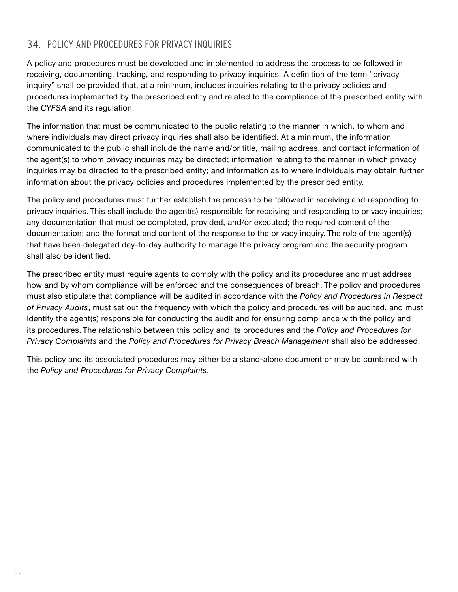## <span id="page-57-0"></span>34. POLICY AND PROCEDURES FOR PRIVACY INQUIRIES

A policy and procedures must be developed and implemented to address the process to be followed in receiving, documenting, tracking, and responding to privacy inquiries. A definition of the term "privacy inquiry" shall be provided that, at a minimum, includes inquiries relating to the privacy policies and procedures implemented by the prescribed entity and related to the compliance of the prescribed entity with the *CYFSA* and its regulation.

The information that must be communicated to the public relating to the manner in which, to whom and where individuals may direct privacy inquiries shall also be identified. At a minimum, the information communicated to the public shall include the name and/or title, mailing address, and contact information of the agent(s) to whom privacy inquiries may be directed; information relating to the manner in which privacy inquiries may be directed to the prescribed entity; and information as to where individuals may obtain further information about the privacy policies and procedures implemented by the prescribed entity.

The policy and procedures must further establish the process to be followed in receiving and responding to privacy inquiries. This shall include the agent(s) responsible for receiving and responding to privacy inquiries; any documentation that must be completed, provided, and/or executed; the required content of the documentation; and the format and content of the response to the privacy inquiry. The role of the agent(s) that have been delegated day-to-day authority to manage the privacy program and the security program shall also be identified.

The prescribed entity must require agents to comply with the policy and its procedures and must address how and by whom compliance will be enforced and the consequences of breach. The policy and procedures must also stipulate that compliance will be audited in accordance with the *Policy and Procedures in Respect of Privacy Audits*, must set out the frequency with which the policy and procedures will be audited, and must identify the agent(s) responsible for conducting the audit and for ensuring compliance with the policy and its procedures. The relationship between this policy and its procedures and the *Policy and Procedures for Privacy Complaints* and the *Policy and Procedures for Privacy Breach Management* shall also be addressed.

This policy and its associated procedures may either be a stand-alone document or may be combined with the *Policy and Procedures for Privacy Complaints*.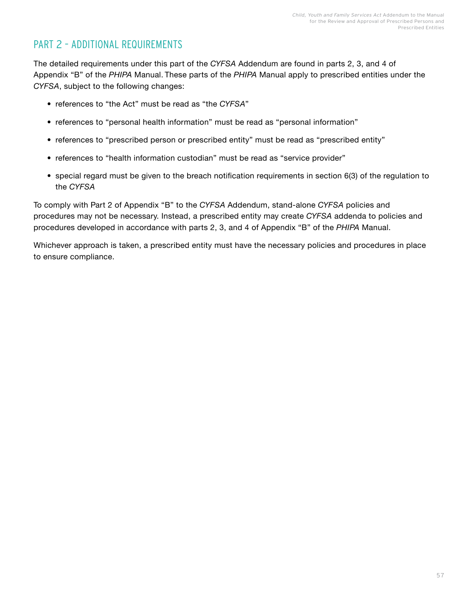## <span id="page-58-0"></span>PART 2 – ADDITIONAL REQUIREMENTS

The detailed requirements under this part of the *CYFSA* Addendum are found in parts 2, 3, and 4 of Appendix "B" of the *PHIPA* Manual. These parts of the *PHIPA* Manual apply to prescribed entities under the *CYFSA*, subject to the following changes:

- references to "the Act" must be read as "the *CYFSA*"
- references to "personal health information" must be read as "personal information"
- references to "prescribed person or prescribed entity" must be read as "prescribed entity"
- references to "health information custodian" must be read as "service provider"
- special regard must be given to the breach notification requirements in section 6(3) of the regulation to the *CYFSA*

To comply with Part 2 of Appendix "B" to the *CYFSA* Addendum, stand-alone *CYFSA* policies and procedures may not be necessary. Instead, a prescribed entity may create *CYFSA* addenda to policies and procedures developed in accordance with parts 2, 3, and 4 of Appendix "B" of the *PHIPA* Manual.

Whichever approach is taken, a prescribed entity must have the necessary policies and procedures in place to ensure compliance.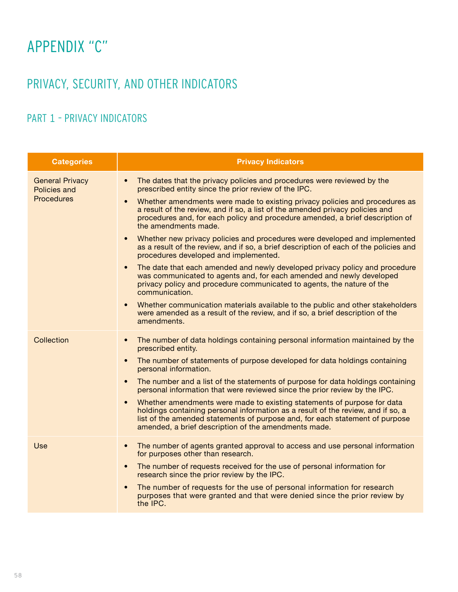# <span id="page-59-0"></span>APPENDIX "C"

# PRIVACY, SECURITY, AND OTHER INDICATORS

# PART 1 – PRIVACY INDICATORS

| <b>Categories</b>                                                  | <b>Privacy Indicators</b>                                                                                                                                                                                                                                                                                        |
|--------------------------------------------------------------------|------------------------------------------------------------------------------------------------------------------------------------------------------------------------------------------------------------------------------------------------------------------------------------------------------------------|
| <b>General Privacy</b><br><b>Policies and</b><br><b>Procedures</b> | The dates that the privacy policies and procedures were reviewed by the<br>$\bullet$<br>prescribed entity since the prior review of the IPC.                                                                                                                                                                     |
|                                                                    | Whether amendments were made to existing privacy policies and procedures as<br>$\bullet$<br>a result of the review, and if so, a list of the amended privacy policies and<br>procedures and, for each policy and procedure amended, a brief description of<br>the amendments made.                               |
|                                                                    | Whether new privacy policies and procedures were developed and implemented<br>$\bullet$<br>as a result of the review, and if so, a brief description of each of the policies and<br>procedures developed and implemented.                                                                                        |
|                                                                    | The date that each amended and newly developed privacy policy and procedure<br>$\bullet$<br>was communicated to agents and, for each amended and newly developed<br>privacy policy and procedure communicated to agents, the nature of the<br>communication.                                                     |
|                                                                    | Whether communication materials available to the public and other stakeholders<br>$\bullet$<br>were amended as a result of the review, and if so, a brief description of the<br>amendments.                                                                                                                      |
| Collection                                                         | The number of data holdings containing personal information maintained by the<br>$\bullet$<br>prescribed entity.                                                                                                                                                                                                 |
|                                                                    | The number of statements of purpose developed for data holdings containing<br>$\bullet$<br>personal information.                                                                                                                                                                                                 |
|                                                                    | The number and a list of the statements of purpose for data holdings containing<br>$\bullet$<br>personal information that were reviewed since the prior review by the IPC.                                                                                                                                       |
|                                                                    | Whether amendments were made to existing statements of purpose for data<br>$\bullet$<br>holdings containing personal information as a result of the review, and if so, a<br>list of the amended statements of purpose and, for each statement of purpose<br>amended, a brief description of the amendments made. |
| Use                                                                | The number of agents granted approval to access and use personal information<br>$\bullet$<br>for purposes other than research.                                                                                                                                                                                   |
|                                                                    | The number of requests received for the use of personal information for<br>$\bullet$<br>research since the prior review by the IPC.                                                                                                                                                                              |
|                                                                    | The number of requests for the use of personal information for research<br>$\bullet$<br>purposes that were granted and that were denied since the prior review by<br>the IPC.                                                                                                                                    |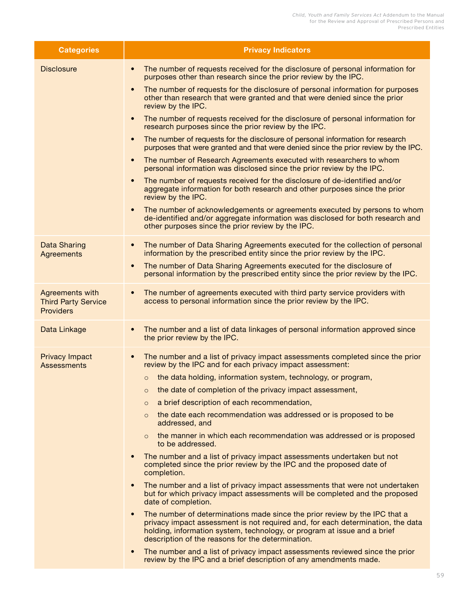| <b>Categories</b>                                                 | <b>Privacy Indicators</b>                                                                                                                                                                                                                                                                                   |
|-------------------------------------------------------------------|-------------------------------------------------------------------------------------------------------------------------------------------------------------------------------------------------------------------------------------------------------------------------------------------------------------|
| <b>Disclosure</b>                                                 | The number of requests received for the disclosure of personal information for<br>$\bullet$<br>purposes other than research since the prior review by the IPC.                                                                                                                                              |
|                                                                   | The number of requests for the disclosure of personal information for purposes<br>$\bullet$<br>other than research that were granted and that were denied since the prior<br>review by the IPC.                                                                                                             |
|                                                                   | The number of requests received for the disclosure of personal information for<br>$\bullet$<br>research purposes since the prior review by the IPC.                                                                                                                                                         |
|                                                                   | The number of requests for the disclosure of personal information for research<br>$\bullet$<br>purposes that were granted and that were denied since the prior review by the IPC.                                                                                                                           |
|                                                                   | The number of Research Agreements executed with researchers to whom<br>$\bullet$<br>personal information was disclosed since the prior review by the IPC.                                                                                                                                                   |
|                                                                   | The number of requests received for the disclosure of de-identified and/or<br>$\bullet$<br>aggregate information for both research and other purposes since the prior<br>review by the IPC.                                                                                                                 |
|                                                                   | The number of acknowledgements or agreements executed by persons to whom<br>$\bullet$<br>de-identified and/or aggregate information was disclosed for both research and<br>other purposes since the prior review by the IPC.                                                                                |
| <b>Data Sharing</b><br><b>Agreements</b>                          | The number of Data Sharing Agreements executed for the collection of personal<br>$\bullet$<br>information by the prescribed entity since the prior review by the IPC.                                                                                                                                       |
|                                                                   | The number of Data Sharing Agreements executed for the disclosure of<br>$\bullet$<br>personal information by the prescribed entity since the prior review by the IPC.                                                                                                                                       |
| Agreements with<br><b>Third Party Service</b><br><b>Providers</b> | The number of agreements executed with third party service providers with<br>$\bullet$<br>access to personal information since the prior review by the IPC.                                                                                                                                                 |
| Data Linkage                                                      | The number and a list of data linkages of personal information approved since<br>$\bullet$<br>the prior review by the IPC.                                                                                                                                                                                  |
| <b>Privacy Impact</b><br><b>Assessments</b>                       | The number and a list of privacy impact assessments completed since the prior<br>$\bullet$<br>review by the IPC and for each privacy impact assessment:                                                                                                                                                     |
|                                                                   | $\circ$ the data holding, information system, technology, or program,                                                                                                                                                                                                                                       |
|                                                                   | the date of completion of the privacy impact assessment,<br>$\circ$                                                                                                                                                                                                                                         |
|                                                                   | a brief description of each recommendation,<br>$\circ$                                                                                                                                                                                                                                                      |
|                                                                   | the date each recommendation was addressed or is proposed to be<br>$\circ$<br>addressed, and                                                                                                                                                                                                                |
|                                                                   | the manner in which each recommendation was addressed or is proposed<br>to be addressed.                                                                                                                                                                                                                    |
|                                                                   | The number and a list of privacy impact assessments undertaken but not<br>$\bullet$<br>completed since the prior review by the IPC and the proposed date of<br>completion.                                                                                                                                  |
|                                                                   | The number and a list of privacy impact assessments that were not undertaken<br>$\bullet$<br>but for which privacy impact assessments will be completed and the proposed<br>date of completion.                                                                                                             |
|                                                                   | The number of determinations made since the prior review by the IPC that a<br>$\bullet$<br>privacy impact assessment is not required and, for each determination, the data<br>holding, information system, technology, or program at issue and a brief<br>description of the reasons for the determination. |
|                                                                   | The number and a list of privacy impact assessments reviewed since the prior<br>$\bullet$<br>review by the IPC and a brief description of any amendments made.                                                                                                                                              |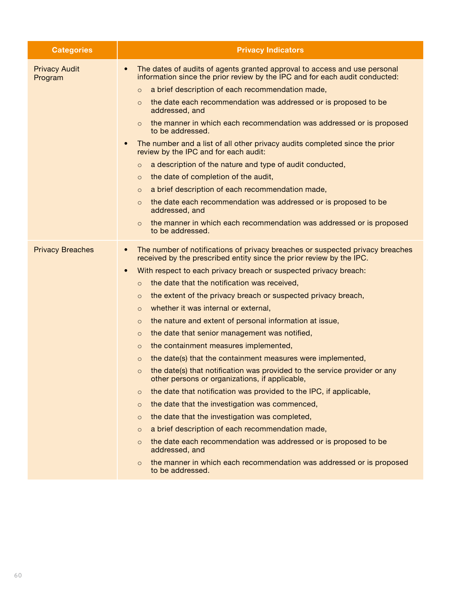| <b>Categories</b>               | <b>Privacy Indicators</b>                                                                                                                                             |
|---------------------------------|-----------------------------------------------------------------------------------------------------------------------------------------------------------------------|
| <b>Privacy Audit</b><br>Program | The dates of audits of agents granted approval to access and use personal<br>$\bullet$<br>information since the prior review by the IPC and for each audit conducted: |
|                                 | a brief description of each recommendation made,<br>$\circ$                                                                                                           |
|                                 | the date each recommendation was addressed or is proposed to be<br>$\circ$<br>addressed, and                                                                          |
|                                 | the manner in which each recommendation was addressed or is proposed<br>$\Omega$<br>to be addressed.                                                                  |
|                                 | The number and a list of all other privacy audits completed since the prior<br>$\bullet$<br>review by the IPC and for each audit:                                     |
|                                 | a description of the nature and type of audit conducted,<br>$\circ$                                                                                                   |
|                                 | the date of completion of the audit,<br>$\circ$                                                                                                                       |
|                                 | a brief description of each recommendation made,<br>$\circ$                                                                                                           |
|                                 | the date each recommendation was addressed or is proposed to be<br>$\circ$<br>addressed, and                                                                          |
|                                 | the manner in which each recommendation was addressed or is proposed<br>$\circ$<br>to be addressed.                                                                   |
| <b>Privacy Breaches</b>         | The number of notifications of privacy breaches or suspected privacy breaches<br>$\bullet$<br>received by the prescribed entity since the prior review by the IPC.    |
|                                 | With respect to each privacy breach or suspected privacy breach:<br>$\bullet$                                                                                         |
|                                 | the date that the notification was received,<br>$\circ$                                                                                                               |
|                                 | the extent of the privacy breach or suspected privacy breach,<br>$\circ$                                                                                              |
|                                 | whether it was internal or external,<br>$\circ$                                                                                                                       |
|                                 | the nature and extent of personal information at issue,<br>$\circ$                                                                                                    |
|                                 | the date that senior management was notified,<br>$\circ$                                                                                                              |
|                                 | the containment measures implemented,<br>$\circ$                                                                                                                      |
|                                 | the date(s) that the containment measures were implemented,<br>$\circ$                                                                                                |
|                                 | the date(s) that notification was provided to the service provider or any<br>$\circ$<br>other persons or organizations, if applicable,                                |
|                                 | the date that notification was provided to the IPC, if applicable,<br>$\circ$                                                                                         |
|                                 | the date that the investigation was commenced,<br>$\circ$                                                                                                             |
|                                 | the date that the investigation was completed,<br>$\circ$                                                                                                             |
|                                 | a brief description of each recommendation made,<br>$\circ$                                                                                                           |
|                                 | the date each recommendation was addressed or is proposed to be<br>$\circ$<br>addressed, and                                                                          |
|                                 | the manner in which each recommendation was addressed or is proposed<br>$\circ$<br>to be addressed.                                                                   |
|                                 |                                                                                                                                                                       |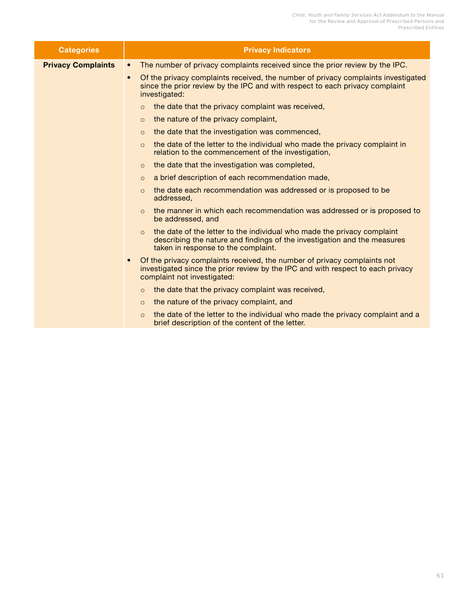| <b>Categories</b>         | <b>Privacy Indicators</b>                                                                                                                                                                               |  |
|---------------------------|---------------------------------------------------------------------------------------------------------------------------------------------------------------------------------------------------------|--|
| <b>Privacy Complaints</b> | The number of privacy complaints received since the prior review by the IPC.<br>$\bullet$                                                                                                               |  |
|                           | Of the privacy complaints received, the number of privacy complaints investigated<br>$\bullet$<br>since the prior review by the IPC and with respect to each privacy complaint<br>investigated:         |  |
|                           | the date that the privacy complaint was received,<br>$\Omega$                                                                                                                                           |  |
|                           | the nature of the privacy complaint,<br>$\circ$                                                                                                                                                         |  |
|                           | the date that the investigation was commenced,<br>$\circ$                                                                                                                                               |  |
|                           | the date of the letter to the individual who made the privacy complaint in<br>$\circ$<br>relation to the commencement of the investigation,                                                             |  |
|                           | the date that the investigation was completed,<br>$\circ$                                                                                                                                               |  |
|                           | a brief description of each recommendation made,<br>$\circ$                                                                                                                                             |  |
|                           | the date each recommendation was addressed or is proposed to be<br>$\circ$<br>addressed,                                                                                                                |  |
|                           | the manner in which each recommendation was addressed or is proposed to<br>$\Omega$<br>be addressed, and                                                                                                |  |
|                           | the date of the letter to the individual who made the privacy complaint<br>$\Omega$<br>describing the nature and findings of the investigation and the measures<br>taken in response to the complaint.  |  |
|                           | Of the privacy complaints received, the number of privacy complaints not<br>$\bullet$<br>investigated since the prior review by the IPC and with respect to each privacy<br>complaint not investigated: |  |
|                           | the date that the privacy complaint was received,<br>$\circ$                                                                                                                                            |  |
|                           | the nature of the privacy complaint, and<br>$\circ$                                                                                                                                                     |  |
|                           | the date of the letter to the individual who made the privacy complaint and a<br>$\circ$<br>brief description of the content of the letter.                                                             |  |
|                           |                                                                                                                                                                                                         |  |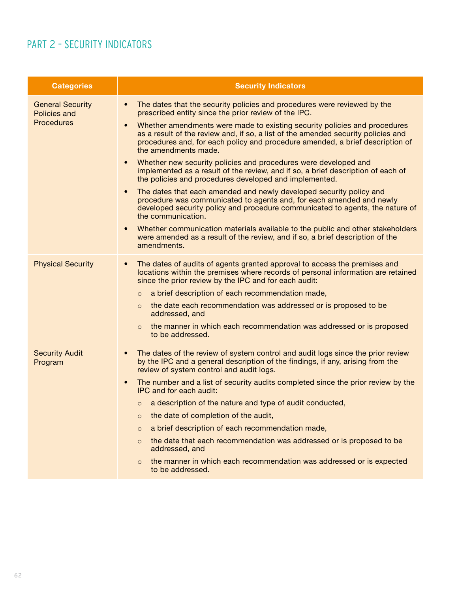## <span id="page-63-0"></span>PART 2 – SECURITY INDICATORS

| <b>Categories</b>                                                   | <b>Security Indicators</b>                                                                                                                                                                                                                                                           |
|---------------------------------------------------------------------|--------------------------------------------------------------------------------------------------------------------------------------------------------------------------------------------------------------------------------------------------------------------------------------|
| <b>General Security</b><br><b>Policies and</b><br><b>Procedures</b> | The dates that the security policies and procedures were reviewed by the<br>$\bullet$<br>prescribed entity since the prior review of the IPC.                                                                                                                                        |
|                                                                     | Whether amendments were made to existing security policies and procedures<br>$\bullet$<br>as a result of the review and, if so, a list of the amended security policies and<br>procedures and, for each policy and procedure amended, a brief description of<br>the amendments made. |
|                                                                     | Whether new security policies and procedures were developed and<br>$\bullet$<br>implemented as a result of the review, and if so, a brief description of each of<br>the policies and procedures developed and implemented.                                                           |
|                                                                     | The dates that each amended and newly developed security policy and<br>$\bullet$<br>procedure was communicated to agents and, for each amended and newly<br>developed security policy and procedure communicated to agents, the nature of<br>the communication.                      |
|                                                                     | Whether communication materials available to the public and other stakeholders<br>$\bullet$<br>were amended as a result of the review, and if so, a brief description of the<br>amendments.                                                                                          |
| <b>Physical Security</b>                                            | The dates of audits of agents granted approval to access the premises and<br>$\bullet$<br>locations within the premises where records of personal information are retained<br>since the prior review by the IPC and for each audit:                                                  |
|                                                                     | a brief description of each recommendation made,<br>$\circ$                                                                                                                                                                                                                          |
|                                                                     | the date each recommendation was addressed or is proposed to be<br>$\circ$<br>addressed, and                                                                                                                                                                                         |
|                                                                     | the manner in which each recommendation was addressed or is proposed<br>$\circ$<br>to be addressed.                                                                                                                                                                                  |
| <b>Security Audit</b><br>Program                                    | The dates of the review of system control and audit logs since the prior review<br>$\bullet$<br>by the IPC and a general description of the findings, if any, arising from the<br>review of system control and audit logs.                                                           |
|                                                                     | The number and a list of security audits completed since the prior review by the<br>$\bullet$<br>IPC and for each audit:                                                                                                                                                             |
|                                                                     | $\circ$ a description of the nature and type of audit conducted,                                                                                                                                                                                                                     |
|                                                                     | the date of completion of the audit,<br>$\circ$                                                                                                                                                                                                                                      |
|                                                                     | a brief description of each recommendation made,<br>$\circ$                                                                                                                                                                                                                          |
|                                                                     | the date that each recommendation was addressed or is proposed to be<br>$\circ$<br>addressed, and                                                                                                                                                                                    |
|                                                                     | the manner in which each recommendation was addressed or is expected<br>to be addressed.                                                                                                                                                                                             |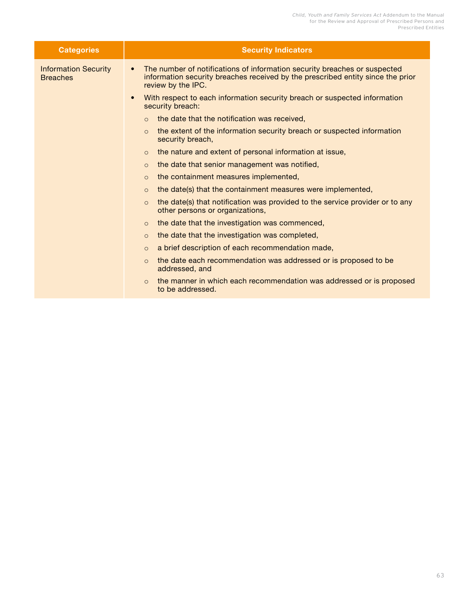| <b>Categories</b>                              | <b>Security Indicators</b>                                                                                                                                                                      |
|------------------------------------------------|-------------------------------------------------------------------------------------------------------------------------------------------------------------------------------------------------|
| <b>Information Security</b><br><b>Breaches</b> | The number of notifications of information security breaches or suspected<br>$\bullet$<br>information security breaches received by the prescribed entity since the prior<br>review by the IPC. |
|                                                | With respect to each information security breach or suspected information<br>$\bullet$<br>security breach:                                                                                      |
|                                                | $\circ$ the date that the notification was received,                                                                                                                                            |
|                                                | the extent of the information security breach or suspected information<br>$\circ$<br>security breach,                                                                                           |
|                                                | the nature and extent of personal information at issue,<br>$\circ$                                                                                                                              |
|                                                | the date that senior management was notified,<br>$\circ$                                                                                                                                        |
|                                                | the containment measures implemented,<br>$\circ$                                                                                                                                                |
|                                                | the date(s) that the containment measures were implemented,<br>$\Omega$                                                                                                                         |
|                                                | the date(s) that notification was provided to the service provider or to any<br>$\Omega$<br>other persons or organizations,                                                                     |
|                                                | the date that the investigation was commenced,<br>$\circ$                                                                                                                                       |
|                                                | the date that the investigation was completed,<br>$\circ$                                                                                                                                       |
|                                                | a brief description of each recommendation made,<br>$\circ$                                                                                                                                     |
|                                                | the date each recommendation was addressed or is proposed to be<br>$\Omega$<br>addressed, and                                                                                                   |
|                                                | the manner in which each recommendation was addressed or is proposed<br>$\circ$<br>to be addressed.                                                                                             |
|                                                |                                                                                                                                                                                                 |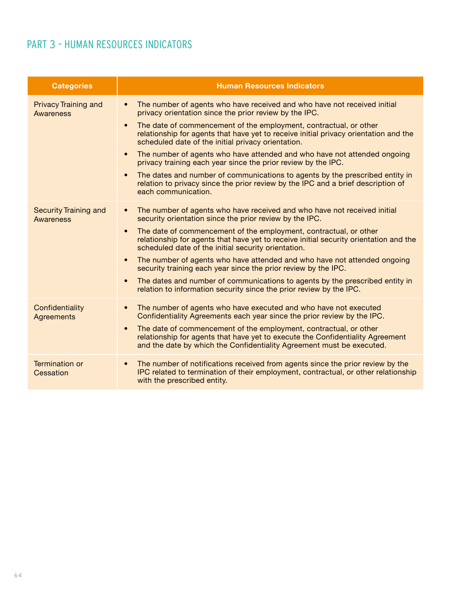# <span id="page-65-0"></span>PART 3 – HUMAN RESOURCES INDICATORS

| <b>Categories</b>                                | <b>Human Resources Indicators</b>                                                                                                                                                                                                         |
|--------------------------------------------------|-------------------------------------------------------------------------------------------------------------------------------------------------------------------------------------------------------------------------------------------|
| <b>Privacy Training and</b><br><b>Awareness</b>  | The number of agents who have received and who have not received initial<br>$\bullet$<br>privacy orientation since the prior review by the IPC.                                                                                           |
|                                                  | The date of commencement of the employment, contractual, or other<br>$\bullet$<br>relationship for agents that have yet to receive initial privacy orientation and the<br>scheduled date of the initial privacy orientation.              |
|                                                  | The number of agents who have attended and who have not attended ongoing<br>$\bullet$<br>privacy training each year since the prior review by the IPC.                                                                                    |
|                                                  | The dates and number of communications to agents by the prescribed entity in<br>$\bullet$<br>relation to privacy since the prior review by the IPC and a brief description of<br>each communication.                                      |
| <b>Security Training and</b><br><b>Awareness</b> | The number of agents who have received and who have not received initial<br>$\bullet$<br>security orientation since the prior review by the IPC.                                                                                          |
|                                                  | The date of commencement of the employment, contractual, or other<br>$\bullet$<br>relationship for agents that have yet to receive initial security orientation and the<br>scheduled date of the initial security orientation.            |
|                                                  | The number of agents who have attended and who have not attended ongoing<br>$\bullet$<br>security training each year since the prior review by the IPC.                                                                                   |
|                                                  | The dates and number of communications to agents by the prescribed entity in<br>$\bullet$<br>relation to information security since the prior review by the IPC.                                                                          |
| Confidentiality<br><b>Agreements</b>             | The number of agents who have executed and who have not executed<br>$\bullet$<br>Confidentiality Agreements each year since the prior review by the IPC.                                                                                  |
|                                                  | The date of commencement of the employment, contractual, or other<br>$\bullet$<br>relationship for agents that have yet to execute the Confidentiality Agreement<br>and the date by which the Confidentiality Agreement must be executed. |
| <b>Termination or</b><br>Cessation               | The number of notifications received from agents since the prior review by the<br>$\bullet$<br>IPC related to termination of their employment, contractual, or other relationship<br>with the prescribed entity.                          |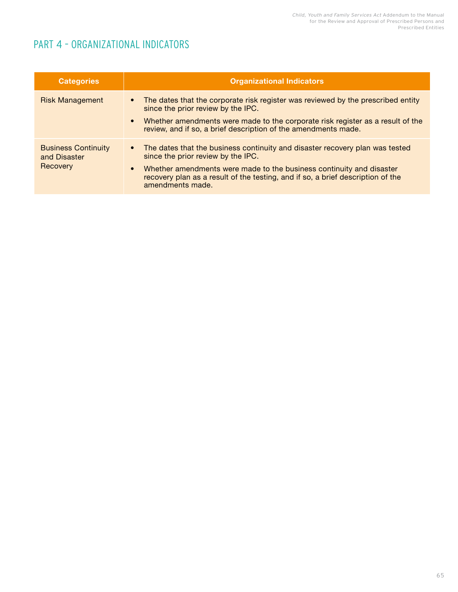## <span id="page-66-0"></span>PART 4 – ORGANIZATIONAL INDICATORS

| <b>Categories</b>                                      | <b>Organizational Indicators</b>                                                                                                                                                                                                                                                                                 |
|--------------------------------------------------------|------------------------------------------------------------------------------------------------------------------------------------------------------------------------------------------------------------------------------------------------------------------------------------------------------------------|
| <b>Risk Management</b>                                 | The dates that the corporate risk register was reviewed by the prescribed entity<br>$\bullet$<br>since the prior review by the IPC.<br>Whether amendments were made to the corporate risk register as a result of the<br>$\bullet$<br>review, and if so, a brief description of the amendments made.             |
| <b>Business Continuity</b><br>and Disaster<br>Recovery | • The dates that the business continuity and disaster recovery plan was tested<br>since the prior review by the IPC.<br>Whether amendments were made to the business continuity and disaster<br>$\bullet$<br>recovery plan as a result of the testing, and if so, a brief description of the<br>amendments made. |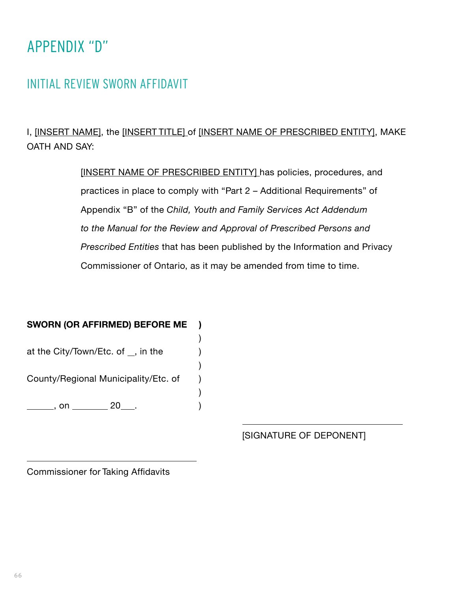# <span id="page-67-0"></span>APPENDIX "D"

# INITIAL REVIEW SWORN AFFIDAVIT

I, [INSERT NAME], the [INSERT TITLE] of [INSERT NAME OF PRESCRIBED ENTITY], MAKE OATH AND SAY:

> [INSERT NAME OF PRESCRIBED ENTITY] has policies, procedures, and practices in place to comply with "Part 2 – Additional Requirements" of Appendix "B" of the *Child, Youth and Family Services Act Addendum to the Manual for the Review and Approval of Prescribed Persons and Prescribed Entities* that has been published by the Information and Privacy Commissioner of Ontario, as it may be amended from time to time.

## **SWORN (OR AFFIRMED) BEFORE ME )**

)

at the City/Town/Etc. of  $\overline{\phantom{a}}$ , in the  $\overline{\phantom{a}}$  ) County/Regional Municipality/Etc. of ) ) , on 20 . )

[SIGNATURE OF DEPONENT]

Commissioner for Taking Affidavits

 $\overline{a}$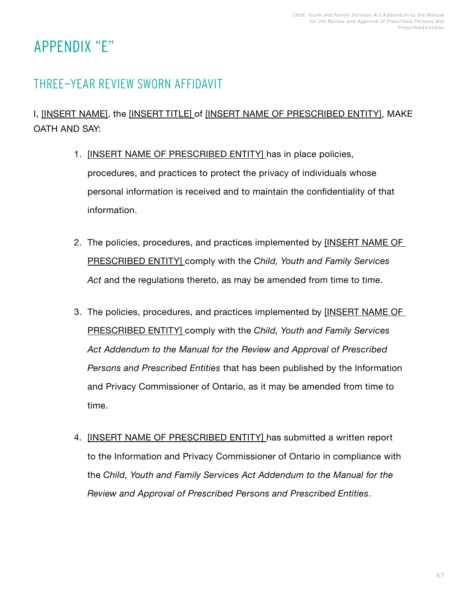# <span id="page-68-0"></span>APPENDIX "E"

# THREE-YEAR REVIEW SWORN AFFIDAVIT

## I, [INSERT NAME], the [INSERT TITLE] of [INSERT NAME OF PRESCRIBED ENTITY], MAKE OATH AND SAY:

- 1. [INSERT NAME OF PRESCRIBED ENTITY] has in place policies, procedures, and practices to protect the privacy of individuals whose personal information is received and to maintain the confidentiality of that information.
- 2. The policies, procedures, and practices implemented by **[INSERT NAME OF** PRESCRIBED ENTITY] comply with the *Child, Youth and Family Services*  Act and the regulations thereto, as may be amended from time to time.
- 3. The policies, procedures, and practices implemented by **[INSERT NAME OF** PRESCRIBED ENTITY] comply with the *Child, Youth and Family Services Act Addendum to the Manual for the Review and Approval of Prescribed Persons and Prescribed Entities* that has been published by the Information and Privacy Commissioner of Ontario, as it may be amended from time to time.
- 4. [INSERT NAME OF PRESCRIBED ENTITY] has submitted a written report to the Information and Privacy Commissioner of Ontario in compliance with the *Child, Youth and Family Services Act Addendum to the Manual for the Review and Approval of Prescribed Persons and Prescribed Entities*.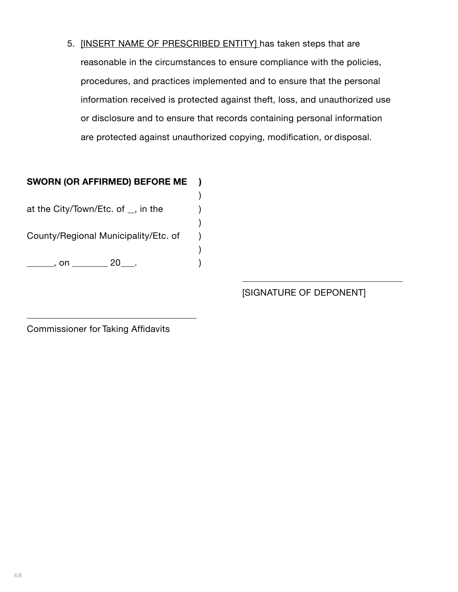5. [INSERT NAME OF PRESCRIBED ENTITY] has taken steps that are reasonable in the circumstances to ensure compliance with the policies, procedures, and practices implemented and to ensure that the personal information received is protected against theft, loss, and unauthorized use or disclosure and to ensure that records containing personal information are protected against unauthorized copying, modification, or disposal.

# **SWORN (OR AFFIRMED) BEFORE ME )**

 ) at the City/Town/Etc. of  $\Box$ , in the  $\Box$ ) )

County/Regional Municipality/Etc. of )

)

, on 20 . )

[SIGNATURE OF DEPONENT]

Commissioner for Taking Affidavits

 $\overline{a}$